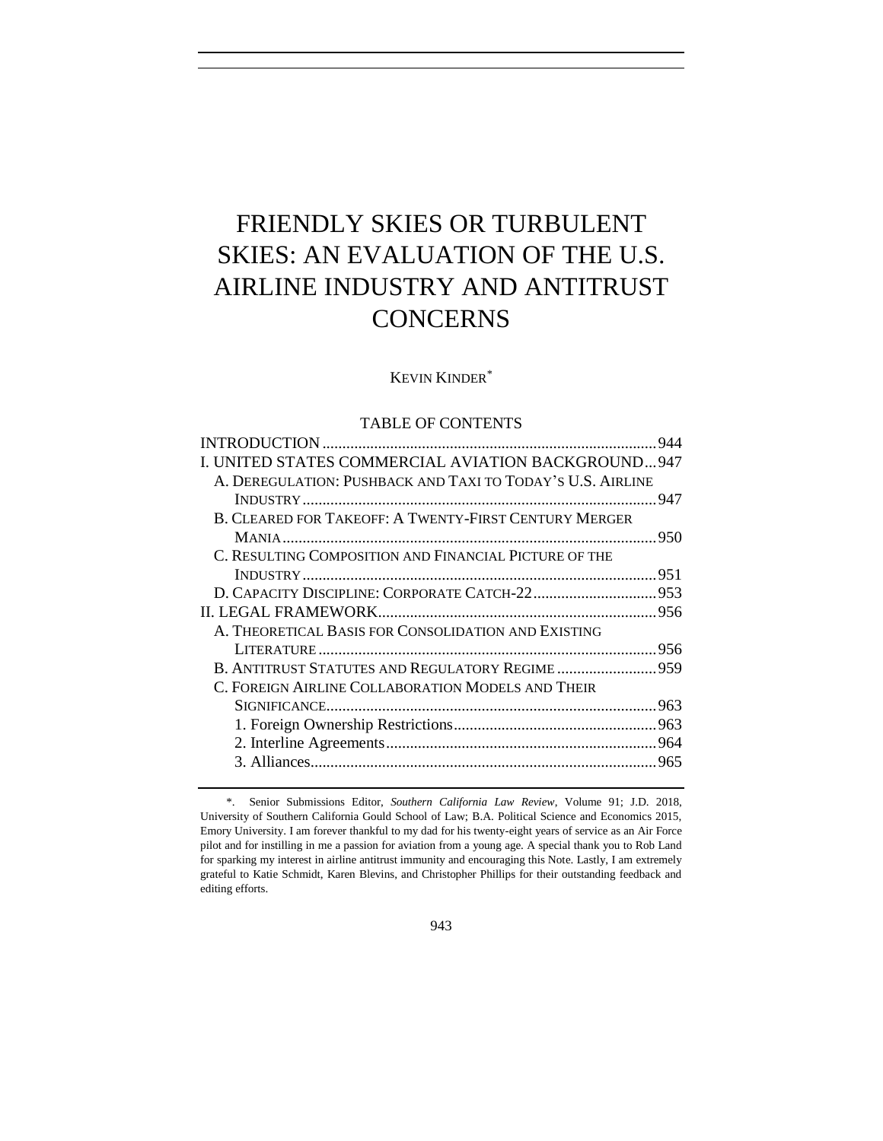# FRIENDLY SKIES OR TURBULENT SKIES: AN EVALUATION OF THE U.S. AIRLINE INDUSTRY AND ANTITRUST **CONCERNS**

## KEVIN KINDER\*

# TABLE OF CONTENTS

|                                                              | .944 |
|--------------------------------------------------------------|------|
| I. UNITED STATES COMMERCIAL AVIATION BACKGROUND947           |      |
| A. DEREGULATION: PUSHBACK AND TAXI TO TODAY'S U.S. AIRLINE   |      |
|                                                              |      |
| <b>B. CLEARED FOR TAKEOFF: A TWENTY-FIRST CENTURY MERGER</b> |      |
|                                                              |      |
| C. RESULTING COMPOSITION AND FINANCIAL PICTURE OF THE        |      |
|                                                              |      |
|                                                              |      |
|                                                              |      |
| A. THEORETICAL BASIS FOR CONSOLIDATION AND EXISTING          |      |
|                                                              |      |
| B. ANTITRUST STATUTES AND REGULATORY REGIME 959              |      |
| C. FOREIGN AIRLINE COLLABORATION MODELS AND THEIR            |      |
|                                                              |      |
|                                                              |      |
|                                                              |      |
|                                                              |      |
|                                                              |      |

<sup>\*.</sup> Senior Submissions Editor, *Southern California Law Review*, Volume 91; J.D. 2018, University of Southern California Gould School of Law; B.A. Political Science and Economics 2015, Emory University. I am forever thankful to my dad for his twenty-eight years of service as an Air Force pilot and for instilling in me a passion for aviation from a young age. A special thank you to Rob Land for sparking my interest in airline antitrust immunity and encouraging this Note. Lastly, I am extremely grateful to Katie Schmidt, Karen Blevins, and Christopher Phillips for their outstanding feedback and editing efforts.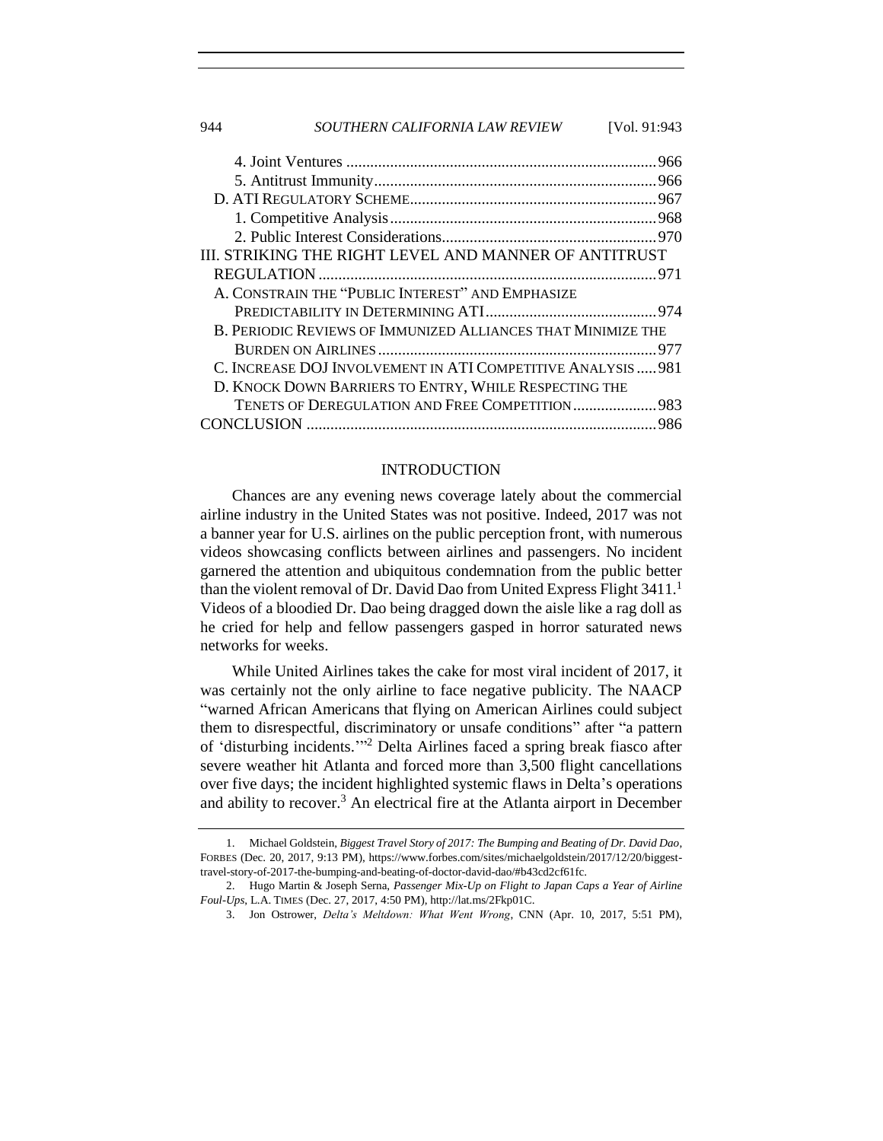| SOUTHERN CALIFORNIA LAW REVIEW<br>944                        | <b>IVol. 91:943</b> |  |
|--------------------------------------------------------------|---------------------|--|
|                                                              |                     |  |
|                                                              |                     |  |
|                                                              |                     |  |
|                                                              |                     |  |
|                                                              |                     |  |
| III. STRIKING THE RIGHT LEVEL AND MANNER OF ANTITRUST        |                     |  |
|                                                              |                     |  |
| A. CONSTRAIN THE "PUBLIC INTEREST" AND EMPHASIZE             |                     |  |
|                                                              |                     |  |
| B. PERIODIC REVIEWS OF IMMUNIZED ALLIANCES THAT MINIMIZE THE |                     |  |
|                                                              |                     |  |
| C. INCREASE DOJ INVOLVEMENT IN ATI COMPETITIVE ANALYSIS  981 |                     |  |
| D. KNOCK DOWN BARRIERS TO ENTRY, WHILE RESPECTING THE        |                     |  |
| TENETS OF DEREGULATION AND FREE COMPETITION 983              |                     |  |
|                                                              |                     |  |

#### <span id="page-1-2"></span>INTRODUCTION

<span id="page-1-0"></span>Chances are any evening news coverage lately about the commercial airline industry in the United States was not positive. Indeed, 2017 was not a banner year for U.S. airlines on the public perception front, with numerous videos showcasing conflicts between airlines and passengers. No incident garnered the attention and ubiquitous condemnation from the public better than the violent removal of Dr. David Dao from United Express Flight 3411.<sup>1</sup> Videos of a bloodied Dr. Dao being dragged down the aisle like a rag doll as he cried for help and fellow passengers gasped in horror saturated news networks for weeks.

While United Airlines takes the cake for most viral incident of 2017, it was certainly not the only airline to face negative publicity. The NAACP "warned African Americans that flying on American Airlines could subject them to disrespectful, discriminatory or unsafe conditions" after "a pattern of 'disturbing incidents.'" <sup>2</sup> Delta Airlines faced a spring break fiasco after severe weather hit Atlanta and forced more than 3,500 flight cancellations over five days; the incident highlighted systemic flaws in Delta's operations and ability to recover.<sup>3</sup> An electrical fire at the Atlanta airport in December

<span id="page-1-1"></span><sup>1.</sup> Michael Goldstein, *Biggest Travel Story of 2017: The Bumping and Beating of Dr. David Dao*, FORBES (Dec. 20, 2017, 9:13 PM), https://www.forbes.com/sites/michaelgoldstein/2017/12/20/biggesttravel-story-of-2017-the-bumping-and-beating-of-doctor-david-dao/#b43cd2cf61fc.

<sup>2.</sup> Hugo Martin & Joseph Serna, *Passenger Mix-Up on Flight to Japan Caps a Year of Airline Foul-Ups*, L.A. TIMES (Dec. 27, 2017, 4:50 PM), http://lat.ms/2Fkp01C.

<sup>3.</sup> Jon Ostrower, *Delta's Meltdown: What Went Wrong*, CNN (Apr. 10, 2017, 5:51 PM),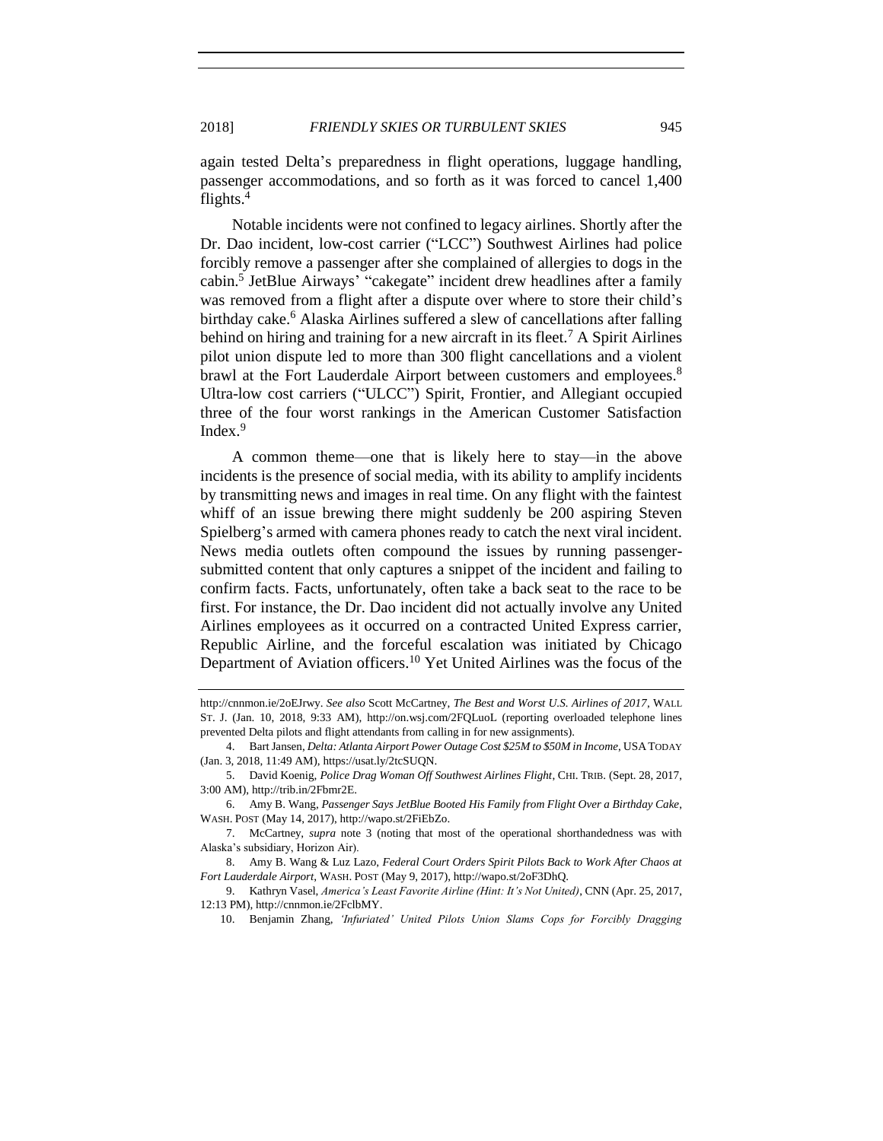again tested Delta's preparedness in flight operations, luggage handling, passenger accommodations, and so forth as it was forced to cancel 1,400 flights.<sup>4</sup>

Notable incidents were not confined to legacy airlines. Shortly after the Dr. Dao incident, low-cost carrier ("LCC") Southwest Airlines had police forcibly remove a passenger after she complained of allergies to dogs in the cabin.<sup>5</sup> JetBlue Airways' "cakegate" incident drew headlines after a family was removed from a flight after a dispute over where to store their child's birthday cake.<sup>6</sup> Alaska Airlines suffered a slew of cancellations after falling behind on hiring and training for a new aircraft in its fleet.<sup>7</sup> A Spirit Airlines pilot union dispute led to more than 300 flight cancellations and a violent brawl at the Fort Lauderdale Airport between customers and employees.<sup>8</sup> Ultra-low cost carriers ("ULCC") Spirit, Frontier, and Allegiant occupied three of the four worst rankings in the American Customer Satisfaction Index.<sup>9</sup>

A common theme—one that is likely here to stay—in the above incidents is the presence of social media, with its ability to amplify incidents by transmitting news and images in real time. On any flight with the faintest whiff of an issue brewing there might suddenly be 200 aspiring Steven Spielberg's armed with camera phones ready to catch the next viral incident. News media outlets often compound the issues by running passengersubmitted content that only captures a snippet of the incident and failing to confirm facts. Facts, unfortunately, often take a back seat to the race to be first. For instance, the Dr. Dao incident did not actually involve any United Airlines employees as it occurred on a contracted United Express carrier, Republic Airline, and the forceful escalation was initiated by Chicago Department of Aviation officers.<sup>10</sup> Yet United Airlines was the focus of the

http://cnnmon.ie/2oEJrwy. *See also* Scott McCartney, *The Best and Worst U.S. Airlines of 2017*, WALL ST. J. (Jan. 10, 2018, 9:33 AM), http://on.wsj.com/2FQLuoL (reporting overloaded telephone lines prevented Delta pilots and flight attendants from calling in for new assignments).

<sup>4.</sup> Bart Jansen, *Delta: Atlanta Airport Power Outage Cost \$25M to \$50M in Income*, USATODAY (Jan. 3, 2018, 11:49 AM), https://usat.ly/2tcSUQN.

<sup>5.</sup> David Koenig, *Police Drag Woman Off Southwest Airlines Flight*, CHI. TRIB. (Sept. 28, 2017, 3:00 AM), http://trib.in/2Fbmr2E.

<sup>6.</sup> Amy B. Wang, *Passenger Says JetBlue Booted His Family from Flight Over a Birthday Cake*, WASH. POST (May 14, 2017), http://wapo.st/2FiEbZo.

<sup>7.</sup> McCartney, *supra* note [3](#page-1-1) (noting that most of the operational shorthandedness was with Alaska's subsidiary, Horizon Air).

<sup>8.</sup> Amy B. Wang & Luz Lazo, *Federal Court Orders Spirit Pilots Back to Work After Chaos at Fort Lauderdale Airport*, WASH. POST (May 9, 2017), http://wapo.st/2oF3DhQ.

<sup>9.</sup> Kathryn Vasel, *America's Least Favorite Airline (Hint: It's Not United)*, CNN (Apr. 25, 2017, 12:13 PM), http://cnnmon.ie/2FclbMY.

<sup>10.</sup> Benjamin Zhang, *'Infuriated' United Pilots Union Slams Cops for Forcibly Dragging*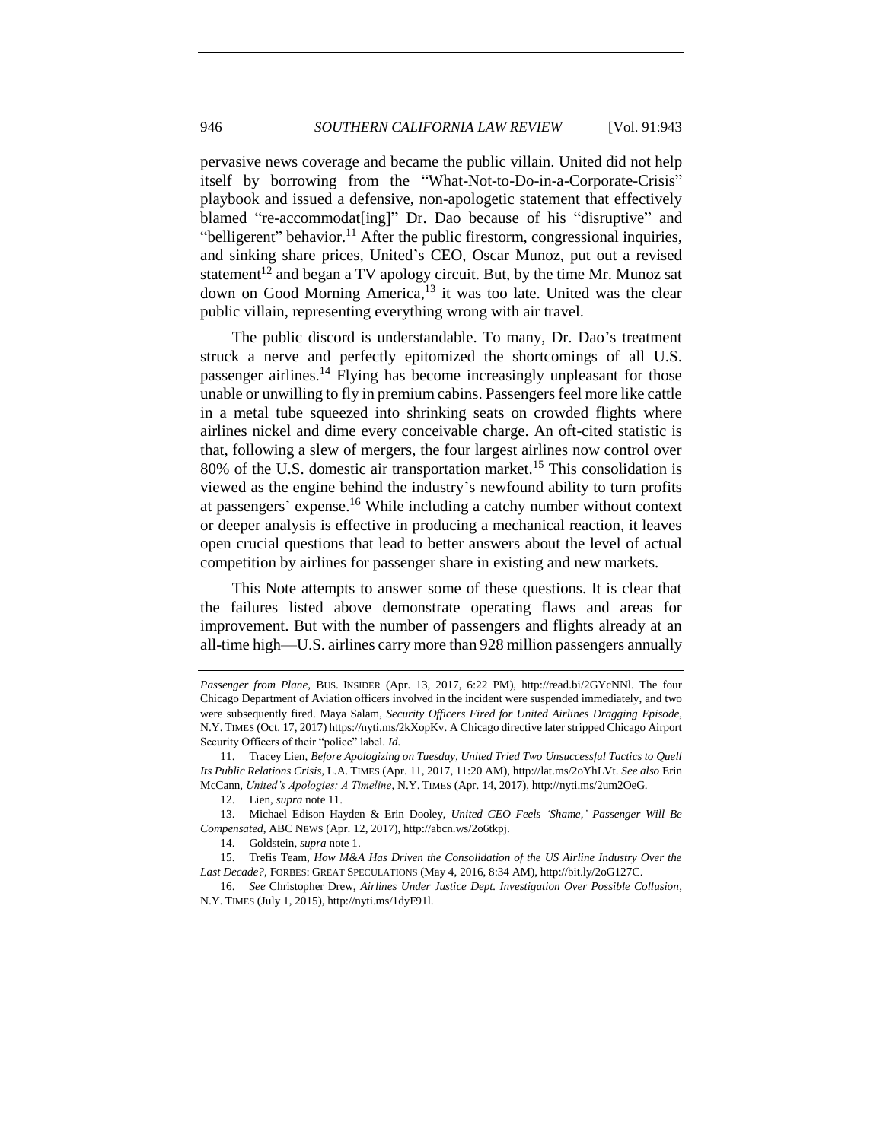<span id="page-3-0"></span>pervasive news coverage and became the public villain. United did not help itself by borrowing from the "What-Not-to-Do-in-a-Corporate-Crisis" playbook and issued a defensive, non-apologetic statement that effectively blamed "re-accommodat[ing]" Dr. Dao because of his "disruptive" and "belligerent" behavior.<sup>11</sup> After the public firestorm, congressional inquiries, and sinking share prices, United's CEO, Oscar Munoz, put out a revised statement<sup>12</sup> and began a TV apology circuit. But, by the time Mr. Munoz sat down on Good Morning America, <sup>13</sup> it was too late. United was the clear public villain, representing everything wrong with air travel.

The public discord is understandable. To many, Dr. Dao's treatment struck a nerve and perfectly epitomized the shortcomings of all U.S. passenger airlines.<sup>14</sup> Flying has become increasingly unpleasant for those unable or unwilling to fly in premium cabins. Passengers feel more like cattle in a metal tube squeezed into shrinking seats on crowded flights where airlines nickel and dime every conceivable charge. An oft-cited statistic is that, following a slew of mergers, the four largest airlines now control over  $80\%$  of the U.S. domestic air transportation market.<sup>15</sup> This consolidation is viewed as the engine behind the industry's newfound ability to turn profits at passengers' expense.<sup>16</sup> While including a catchy number without context or deeper analysis is effective in producing a mechanical reaction, it leaves open crucial questions that lead to better answers about the level of actual competition by airlines for passenger share in existing and new markets.

<span id="page-3-2"></span><span id="page-3-1"></span>This Note attempts to answer some of these questions. It is clear that the failures listed above demonstrate operating flaws and areas for improvement. But with the number of passengers and flights already at an all-time high—U.S. airlines carry more than 928 million passengers annually

*Passenger from Plane*, BUS. INSIDER (Apr. 13, 2017, 6:22 PM), http://read.bi/2GYcNNl. The four Chicago Department of Aviation officers involved in the incident were suspended immediately, and two were subsequently fired. Maya Salam, *Security Officers Fired for United Airlines Dragging Episode*, N.Y. TIMES (Oct. 17, 2017) https://nyti.ms/2kXopKv. A Chicago directive later stripped Chicago Airport Security Officers of their "police" label. *Id.*

<sup>11.</sup> Tracey Lien, *Before Apologizing on Tuesday, United Tried Two Unsuccessful Tactics to Quell Its Public Relations Crisis*, L.A. TIMES (Apr. 11, 2017, 11:20 AM), http://lat.ms/2oYhLVt. *See also* Erin McCann, *United's Apologies: A Timeline*, N.Y. TIMES (Apr. 14, 2017), http://nyti.ms/2um2OeG.

<sup>12.</sup> Lien, *supra* note [11.](#page-3-0)

<sup>13.</sup> Michael Edison Hayden & Erin Dooley, *United CEO Feels 'Shame,' Passenger Will Be Compensated*, ABC NEWS (Apr. 12, 2017), http://abcn.ws/2o6tkpj.

<sup>14.</sup> Goldstein, *supra* not[e 1.](#page-1-2)

<sup>15.</sup> Trefis Team, *How M&A Has Driven the Consolidation of the US Airline Industry Over the Last Decade?*, FORBES: GREAT SPECULATIONS (May 4, 2016, 8:34 AM), http://bit.ly/2oG127C.

<sup>16.</sup> *See* Christopher Drew, *Airlines Under Justice Dept. Investigation Over Possible Collusion*, N.Y. TIMES (July 1, 2015), http://nyti.ms/1dyF91l.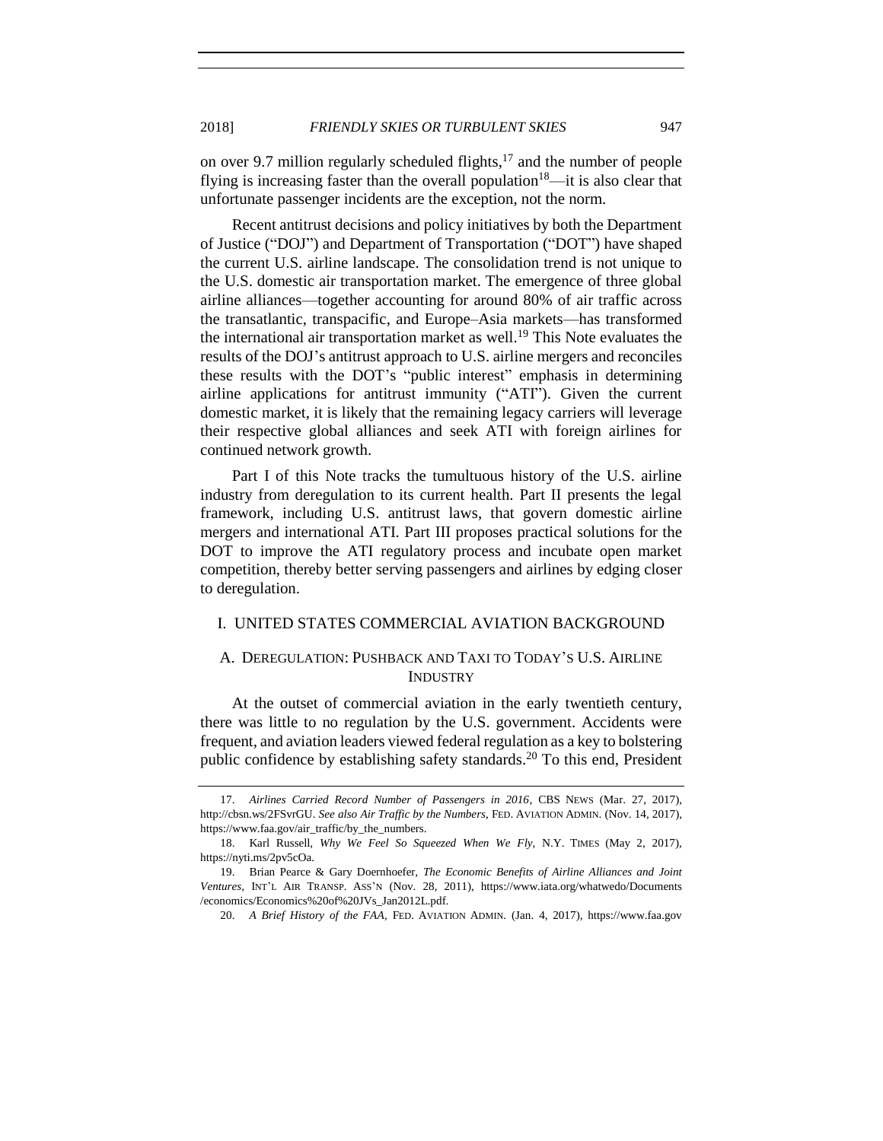on over 9.7 million regularly scheduled flights, <sup>17</sup> and the number of people flying is increasing faster than the overall population<sup>18</sup>—it is also clear that unfortunate passenger incidents are the exception, not the norm.

Recent antitrust decisions and policy initiatives by both the Department of Justice ("DOJ") and Department of Transportation ("DOT") have shaped the current U.S. airline landscape. The consolidation trend is not unique to the U.S. domestic air transportation market. The emergence of three global airline alliances—together accounting for around 80% of air traffic across the transatlantic, transpacific, and Europe–Asia markets—has transformed the international air transportation market as well.<sup>19</sup> This Note evaluates the results of the DOJ's antitrust approach to U.S. airline mergers and reconciles these results with the DOT's "public interest" emphasis in determining airline applications for antitrust immunity ("ATI"). Given the current domestic market, it is likely that the remaining legacy carriers will leverage their respective global alliances and seek ATI with foreign airlines for continued network growth.

Part I of this Note tracks the tumultuous history of the U.S. airline industry from deregulation to its current health. Part II presents the legal framework, including U.S. antitrust laws, that govern domestic airline mergers and international ATI. Part III proposes practical solutions for the DOT to improve the ATI regulatory process and incubate open market competition, thereby better serving passengers and airlines by edging closer to deregulation.

#### <span id="page-4-0"></span>I. UNITED STATES COMMERCIAL AVIATION BACKGROUND

# <span id="page-4-1"></span>A. DEREGULATION: PUSHBACK AND TAXI TO TODAY'S U.S. AIRLINE INDUSTRY

At the outset of commercial aviation in the early twentieth century, there was little to no regulation by the U.S. government. Accidents were frequent, and aviation leaders viewed federal regulation as a key to bolstering public confidence by establishing safety standards.<sup>20</sup> To this end, President

<span id="page-4-2"></span>

<sup>17.</sup> *Airlines Carried Record Number of Passengers in 2016*, CBS NEWS (Mar. 27, 2017), http://cbsn.ws/2FSvrGU. *See also Air Traffic by the Numbers*, FED. AVIATION ADMIN. (Nov. 14, 2017), https://www.faa.gov/air\_traffic/by\_the\_numbers.

<sup>18.</sup> Karl Russell, *Why We Feel So Squeezed When We Fly*, N.Y. TIMES (May 2, 2017), https://nyti.ms/2pv5cOa.

<sup>19.</sup> Brian Pearce & Gary Doernhoefer, *The Economic Benefits of Airline Alliances and Joint Ventures*, INT'L AIR TRANSP. ASS'N (Nov. 28, 2011), https://www.iata.org/whatwedo/Documents /economics/Economics%20of%20JVs\_Jan2012L.pdf.

<sup>20.</sup> *A Brief History of the FAA*, FED. AVIATION ADMIN. (Jan. 4, 2017), https://www.faa.gov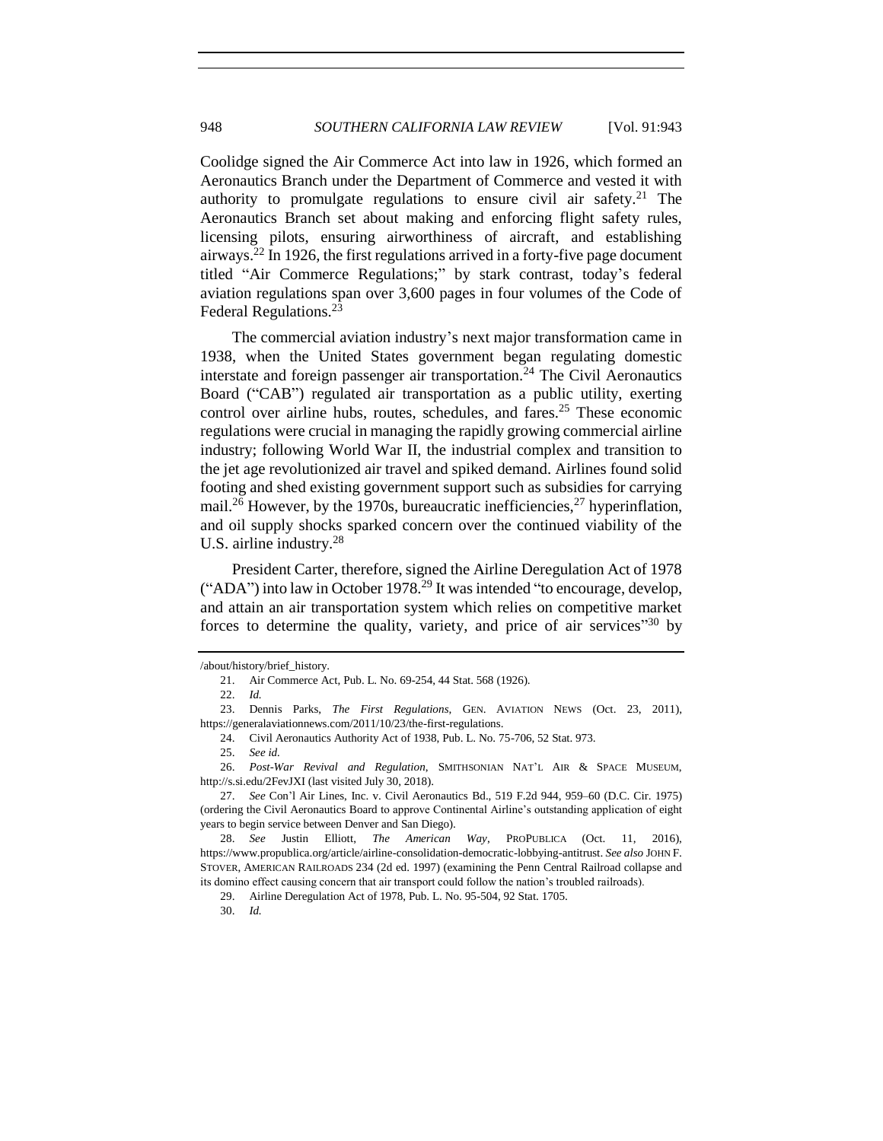Coolidge signed the Air Commerce Act into law in 1926, which formed an Aeronautics Branch under the Department of Commerce and vested it with authority to promulgate regulations to ensure civil air safety.<sup>21</sup> The Aeronautics Branch set about making and enforcing flight safety rules, licensing pilots, ensuring airworthiness of aircraft, and establishing airways.<sup>22</sup> In 1926, the first regulations arrived in a forty-five page document titled "Air Commerce Regulations;" by stark contrast, today's federal aviation regulations span over 3,600 pages in four volumes of the Code of Federal Regulations.<sup>23</sup>

The commercial aviation industry's next major transformation came in 1938, when the United States government began regulating domestic interstate and foreign passenger air transportation.<sup>24</sup> The Civil Aeronautics Board ("CAB") regulated air transportation as a public utility, exerting control over airline hubs, routes, schedules, and fares.<sup>25</sup> These economic regulations were crucial in managing the rapidly growing commercial airline industry; following World War II, the industrial complex and transition to the jet age revolutionized air travel and spiked demand. Airlines found solid footing and shed existing government support such as subsidies for carrying mail.<sup>26</sup> However, by the 1970s, bureaucratic inefficiencies,  $^{27}$  hyperinflation, and oil supply shocks sparked concern over the continued viability of the U.S. airline industry.<sup>28</sup>

<span id="page-5-0"></span>President Carter, therefore, signed the Airline Deregulation Act of 1978 ("ADA") into law in October 1978.<sup>29</sup> It was intended "to encourage, develop, and attain an air transportation system which relies on competitive market forces to determine the quality, variety, and price of air services"<sup>30</sup> by

24. Civil Aeronautics Authority Act of 1938, Pub. L. No. 75-706, 52 Stat. 973.

<sup>/</sup>about/history/brief\_history.

<sup>21.</sup> Air Commerce Act, Pub. L. No. 69-254, 44 Stat. 568 (1926).

<sup>22.</sup> *Id.*

<sup>23.</sup> Dennis Parks, *The First Regulations*, GEN. AVIATION NEWS (Oct. 23, 2011), https://generalaviationnews.com/2011/10/23/the-first-regulations.

<sup>25.</sup> *See id.*

<sup>26.</sup> *Post-War Revival and Regulation*, SMITHSONIAN NAT'L AIR & SPACE MUSEUM, http://s.si.edu/2FevJXI (last visited July 30, 2018).

<sup>27.</sup> *See* Con'l Air Lines, Inc. v. Civil Aeronautics Bd., 519 F.2d 944, 959–60 (D.C. Cir. 1975) (ordering the Civil Aeronautics Board to approve Continental Airline's outstanding application of eight years to begin service between Denver and San Diego).

<sup>28.</sup> *See* Justin Elliott, *The American Way*, PROPUBLICA (Oct. 11, 2016), https://www.propublica.org/article/airline-consolidation-democratic-lobbying-antitrust. *See also* JOHN F. STOVER, AMERICAN RAILROADS 234 (2d ed. 1997) (examining the Penn Central Railroad collapse and its domino effect causing concern that air transport could follow the nation's troubled railroads).

<sup>29.</sup> Airline Deregulation Act of 1978, Pub. L. No. 95-504, 92 Stat. 1705.

<sup>30.</sup> *Id.*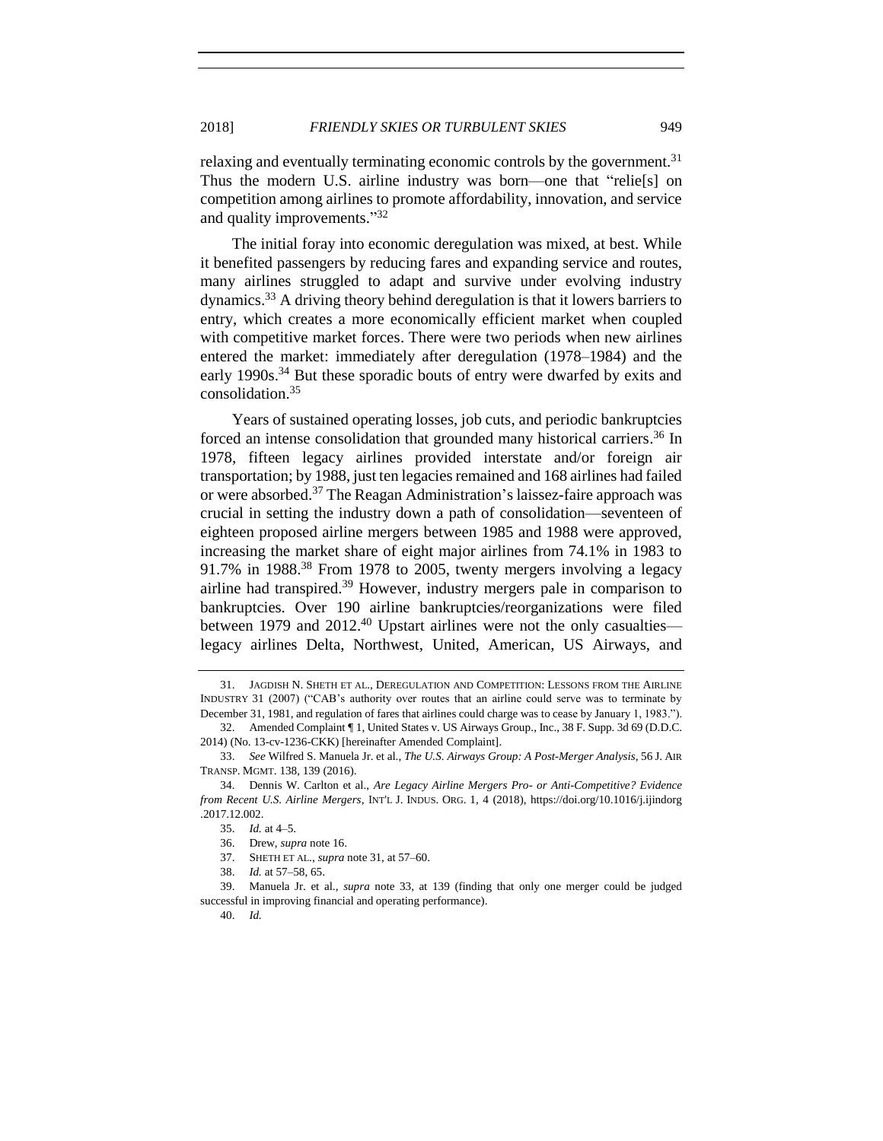relaxing and eventually terminating economic controls by the government.<sup>31</sup> Thus the modern U.S. airline industry was born—one that "relie[s] on competition among airlines to promote affordability, innovation, and service and quality improvements."32

<span id="page-6-3"></span><span id="page-6-1"></span>The initial foray into economic deregulation was mixed, at best. While it benefited passengers by reducing fares and expanding service and routes, many airlines struggled to adapt and survive under evolving industry dynamics.<sup>33</sup> A driving theory behind deregulation is that it lowers barriers to entry, which creates a more economically efficient market when coupled with competitive market forces. There were two periods when new airlines entered the market: immediately after deregulation (1978–1984) and the early 1990s.<sup>34</sup> But these sporadic bouts of entry were dwarfed by exits and consolidation.<sup>35</sup>

<span id="page-6-2"></span>Years of sustained operating losses, job cuts, and periodic bankruptcies forced an intense consolidation that grounded many historical carriers. <sup>36</sup> In 1978, fifteen legacy airlines provided interstate and/or foreign air transportation; by 1988, just ten legacies remained and 168 airlines had failed or were absorbed.<sup>37</sup> The Reagan Administration's laissez-faire approach was crucial in setting the industry down a path of consolidation—seventeen of eighteen proposed airline mergers between 1985 and 1988 were approved, increasing the market share of eight major airlines from 74.1% in 1983 to 91.7% in 1988.<sup>38</sup> From 1978 to 2005, twenty mergers involving a legacy airline had transpired.<sup>39</sup> However, industry mergers pale in comparison to bankruptcies. Over 190 airline bankruptcies/reorganizations were filed between 1979 and 2012.<sup>40</sup> Upstart airlines were not the only casualties legacy airlines Delta, Northwest, United, American, US Airways, and

<span id="page-6-0"></span>

<sup>31.</sup> JAGDISH N. SHETH ET AL., DEREGULATION AND COMPETITION: LESSONS FROM THE AIRLINE INDUSTRY 31 (2007) ("CAB's authority over routes that an airline could serve was to terminate by December 31, 1981, and regulation of fares that airlines could charge was to cease by January 1, 1983.").

<sup>32.</sup> Amended Complaint ¶ 1, United States v. US Airways Group., Inc., 38 F. Supp. 3d 69 (D.D.C. 2014) (No. 13-cv-1236-CKK) [hereinafter Amended Complaint].

<sup>33.</sup> *See* Wilfred S. Manuela Jr. et al., *The U.S. Airways Group: A Post-Merger Analysis*, 56 J. AIR TRANSP. MGMT. 138, 139 (2016).

<sup>34.</sup> Dennis W. Carlton et al., *Are Legacy Airline Mergers Pro- or Anti-Competitive? Evidence from Recent U.S. Airline Mergers*, INT'L J. INDUS. ORG. 1, 4 (2018), https://doi.org/10.1016/j.ijindorg .2017.12.002.

<sup>35.</sup> *Id.* at 4–5.

<sup>36.</sup> Drew, *supra* not[e 16.](#page-3-1)

<sup>37.</sup> SHETH ET AL., *supra* not[e 31,](#page-6-0) at 57–60.

<sup>38.</sup> *Id.* at 57–58, 65.

<sup>39.</sup> Manuela Jr. et al., *supra* note [33,](#page-6-1) at 139 (finding that only one merger could be judged successful in improving financial and operating performance).

<sup>40.</sup> *Id.*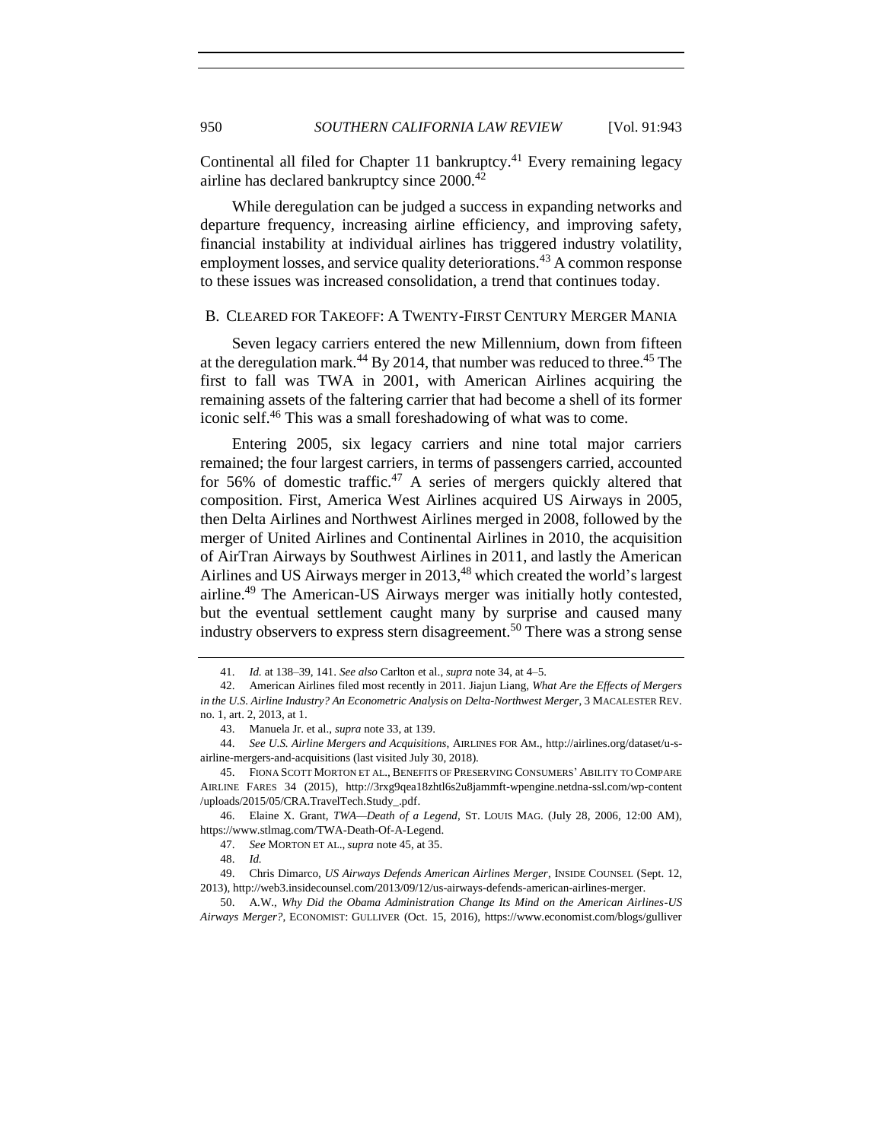Continental all filed for Chapter 11 bankruptcy. $41$  Every remaining legacy airline has declared bankruptcy since 2000.<sup>42</sup>

While deregulation can be judged a success in expanding networks and departure frequency, increasing airline efficiency, and improving safety, financial instability at individual airlines has triggered industry volatility, employment losses, and service quality deteriorations.<sup>43</sup> A common response to these issues was increased consolidation, a trend that continues today.

#### <span id="page-7-1"></span><span id="page-7-0"></span>B. CLEARED FOR TAKEOFF: A TWENTY-FIRST CENTURY MERGER MANIA

Seven legacy carriers entered the new Millennium, down from fifteen at the deregulation mark.<sup>44</sup> By 2014, that number was reduced to three.<sup>45</sup> The first to fall was TWA in 2001, with American Airlines acquiring the remaining assets of the faltering carrier that had become a shell of its former iconic self.<sup>46</sup> This was a small foreshadowing of what was to come.

Entering 2005, six legacy carriers and nine total major carriers remained; the four largest carriers, in terms of passengers carried, accounted for 56% of domestic traffic.<sup>47</sup> A series of mergers quickly altered that composition. First, America West Airlines acquired US Airways in 2005, then Delta Airlines and Northwest Airlines merged in 2008, followed by the merger of United Airlines and Continental Airlines in 2010, the acquisition of AirTran Airways by Southwest Airlines in 2011, and lastly the American Airlines and US Airways merger in 2013,<sup>48</sup> which created the world's largest airline. <sup>49</sup> The American-US Airways merger was initially hotly contested, but the eventual settlement caught many by surprise and caused many industry observers to express stern disagreement.<sup>50</sup> There was a strong sense

<span id="page-7-3"></span><span id="page-7-2"></span><sup>41.</sup> *Id.* at 138–39, 141. *See also* Carlton et al., *supra* not[e 34,](#page-6-2) at 4–5.

<sup>42.</sup> American Airlines filed most recently in 2011. Jiajun Liang, *What Are the Effects of Mergers in the U.S. Airline Industry? An Econometric Analysis on Delta-Northwest Merger*, 3 MACALESTER REV. no. 1, art. 2, 2013, at 1.

<sup>43.</sup> Manuela Jr. et al., *supra* not[e 33,](#page-6-1) at 139.

<sup>44.</sup> *See U.S. Airline Mergers and Acquisitions*, AIRLINES FOR AM., http://airlines.org/dataset/u-sairline-mergers-and-acquisitions (last visited July 30, 2018).

<sup>45.</sup> FIONA SCOTT MORTON ET AL., BENEFITS OF PRESERVING CONSUMERS' ABILITY TO COMPARE AIRLINE FARES 34 (2015), http://3rxg9qea18zhtl6s2u8jammft-wpengine.netdna-ssl.com/wp-content /uploads/2015/05/CRA.TravelTech.Study\_.pdf.

<sup>46.</sup> Elaine X. Grant, *TWA—Death of a Legend*, ST. LOUIS MAG. (July 28, 2006, 12:00 AM), https://www.stlmag.com/TWA-Death-Of-A-Legend.

<sup>47.</sup> *See* MORTON ET AL., *supra* not[e 45,](#page-7-1) at 35.

<sup>48.</sup> *Id.*

<sup>49.</sup> Chris Dimarco, *US Airways Defends American Airlines Merger*, INSIDE COUNSEL (Sept. 12, 2013), http://web3.insidecounsel.com/2013/09/12/us-airways-defends-american-airlines-merger.

<sup>50.</sup> A.W., *Why Did the Obama Administration Change Its Mind on the American Airlines-US Airways Merger?*, ECONOMIST: GULLIVER (Oct. 15, 2016), https://www.economist.com/blogs/gulliver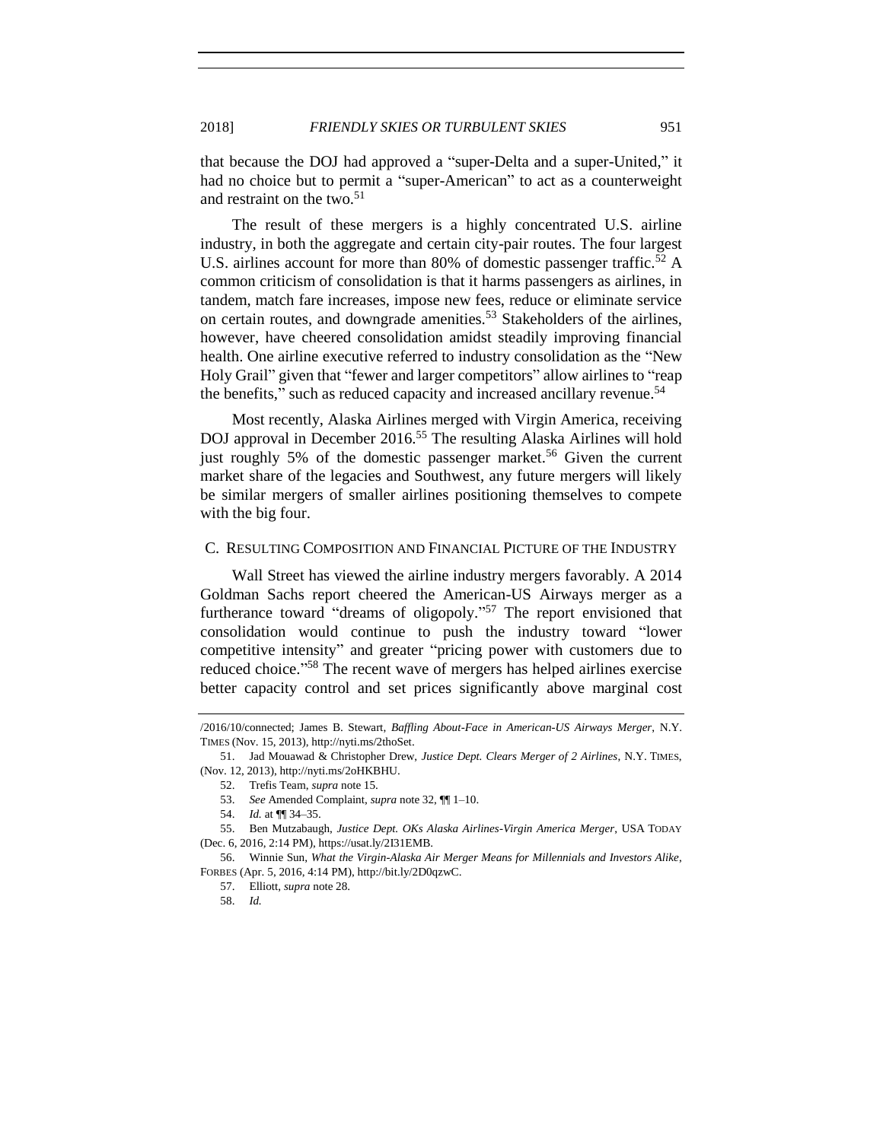that because the DOJ had approved a "super-Delta and a super-United," it had no choice but to permit a "super-American" to act as a counterweight and restraint on the two. $51$ 

<span id="page-8-1"></span>The result of these mergers is a highly concentrated U.S. airline industry, in both the aggregate and certain city-pair routes. The four largest U.S. airlines account for more than 80% of domestic passenger traffic.<sup>52</sup> A common criticism of consolidation is that it harms passengers as airlines, in tandem, match fare increases, impose new fees, reduce or eliminate service on certain routes, and downgrade amenities.<sup>53</sup> Stakeholders of the airlines, however, have cheered consolidation amidst steadily improving financial health. One airline executive referred to industry consolidation as the "New Holy Grail" given that "fewer and larger competitors" allow airlines to "reap the benefits," such as reduced capacity and increased ancillary revenue.<sup>54</sup>

Most recently, Alaska Airlines merged with Virgin America, receiving DOJ approval in December 2016.<sup>55</sup> The resulting Alaska Airlines will hold just roughly 5% of the domestic passenger market.<sup>56</sup> Given the current market share of the legacies and Southwest, any future mergers will likely be similar mergers of smaller airlines positioning themselves to compete with the big four.

#### <span id="page-8-0"></span>C. RESULTING COMPOSITION AND FINANCIAL PICTURE OF THE INDUSTRY

Wall Street has viewed the airline industry mergers favorably. A 2014 Goldman Sachs report cheered the American-US Airways merger as a furtherance toward "dreams of oligopoly."<sup>57</sup> The report envisioned that consolidation would continue to push the industry toward "lower competitive intensity" and greater "pricing power with customers due to reduced choice." <sup>58</sup> The recent wave of mergers has helped airlines exercise better capacity control and set prices significantly above marginal cost

<sup>/2016/10/</sup>connected; James B. Stewart, *Baffling About-Face in American-US Airways Merger*, N.Y. TIMES (Nov. 15, 2013), http://nyti.ms/2thoSet.

<sup>51.</sup> Jad Mouawad & Christopher Drew, *Justice Dept. Clears Merger of 2 Airlines*, N.Y. TIMES, (Nov. 12, 2013), http://nyti.ms/2oHKBHU.

<sup>52.</sup> Trefis Team, *supra* not[e 15.](#page-3-2) 

<sup>53.</sup> *See* Amended Complaint, *supra* not[e 32,](#page-6-3) ¶¶ 1–10.

<sup>54.</sup> *Id.* at ¶¶ 34–35.

<sup>55.</sup> Ben Mutzabaugh, *Justice Dept. OKs Alaska Airlines-Virgin America Merger*, USA TODAY (Dec. 6, 2016, 2:14 PM), https://usat.ly/2I31EMB.

<sup>56.</sup> Winnie Sun, *What the Virgin-Alaska Air Merger Means for Millennials and Investors Alike*, FORBES (Apr. 5, 2016, 4:14 PM), http://bit.ly/2D0qzwC.

<sup>57.</sup> Elliott, *supra* not[e 28.](#page-5-0)

<sup>58.</sup> *Id.*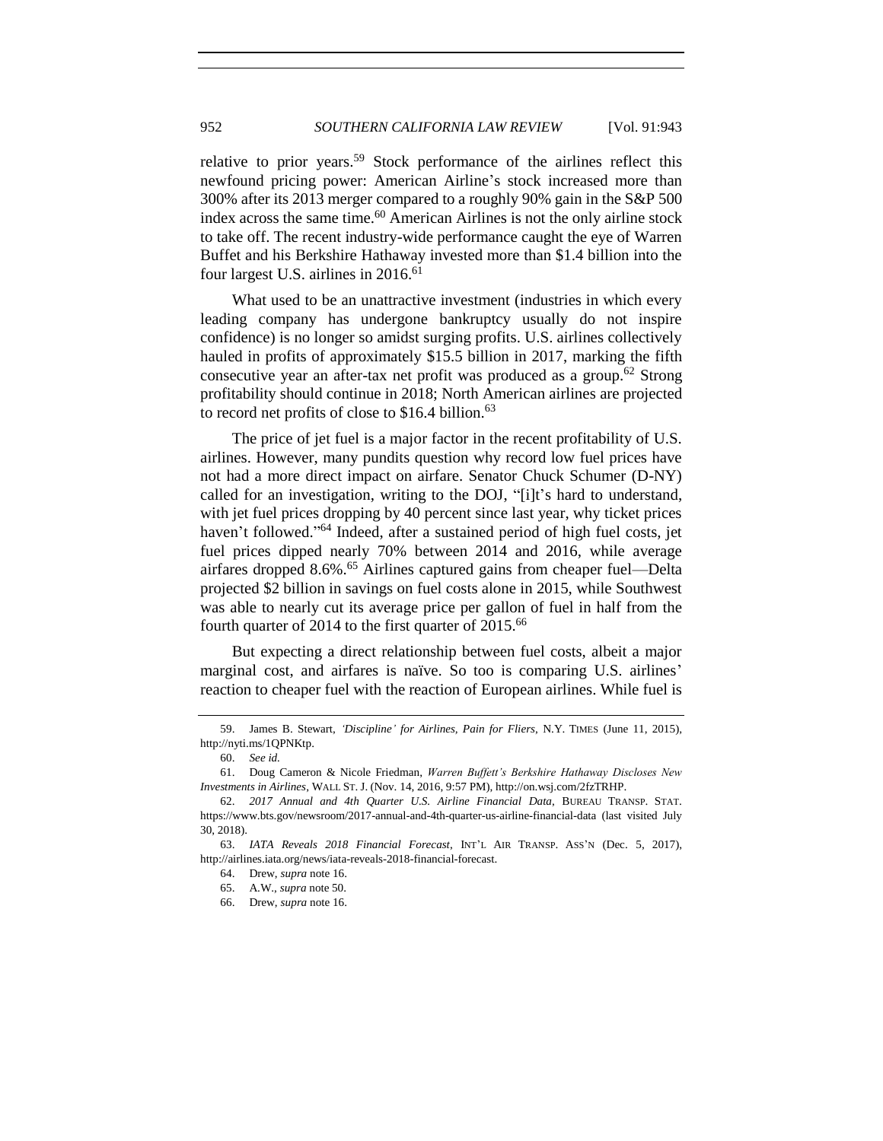<span id="page-9-0"></span>relative to prior years.<sup>59</sup> Stock performance of the airlines reflect this newfound pricing power: American Airline's stock increased more than 300% after its 2013 merger compared to a roughly 90% gain in the S&P 500 index across the same time.<sup>60</sup> American Airlines is not the only airline stock to take off. The recent industry-wide performance caught the eye of Warren Buffet and his Berkshire Hathaway invested more than \$1.4 billion into the four largest U.S. airlines in 2016. 61

What used to be an unattractive investment (industries in which every leading company has undergone bankruptcy usually do not inspire confidence) is no longer so amidst surging profits. U.S. airlines collectively hauled in profits of approximately \$15.5 billion in 2017, marking the fifth consecutive year an after-tax net profit was produced as a group.<sup>62</sup> Strong profitability should continue in 2018; North American airlines are projected to record net profits of close to  $$16.4$  billion.<sup>63</sup>

The price of jet fuel is a major factor in the recent profitability of U.S. airlines. However, many pundits question why record low fuel prices have not had a more direct impact on airfare. Senator Chuck Schumer (D-NY) called for an investigation, writing to the DOJ, "[i]t's hard to understand, with jet fuel prices dropping by 40 percent since last year, why ticket prices haven't followed."<sup>64</sup> Indeed, after a sustained period of high fuel costs, jet fuel prices dipped nearly 70% between 2014 and 2016, while average airfares dropped 8.6%.<sup>65</sup> Airlines captured gains from cheaper fuel—Delta projected \$2 billion in savings on fuel costs alone in 2015, while Southwest was able to nearly cut its average price per gallon of fuel in half from the fourth quarter of 2014 to the first quarter of 2015.<sup>66</sup>

But expecting a direct relationship between fuel costs, albeit a major marginal cost, and airfares is naïve. So too is comparing U.S. airlines' reaction to cheaper fuel with the reaction of European airlines. While fuel is

<sup>59.</sup> James B. Stewart, *'Discipline' for Airlines, Pain for Fliers*, N.Y. TIMES (June 11, 2015), http://nyti.ms/1QPNKtp.

<sup>60.</sup> *See id.*

<sup>61.</sup> Doug Cameron & Nicole Friedman, *Warren Buffett's Berkshire Hathaway Discloses New Investments in Airlines*, WALL ST. J. (Nov. 14, 2016, 9:57 PM), http://on.wsj.com/2fzTRHP.

<sup>62.</sup> *2017 Annual and 4th Quarter U.S. Airline Financial Data*, BUREAU TRANSP. STAT. https://www.bts.gov/newsroom/2017-annual-and-4th-quarter-us-airline-financial-data (last visited July 30, 2018).

<sup>63.</sup> *IATA Reveals 2018 Financial Forecast*, INT'L AIR TRANSP. ASS'N (Dec. 5, 2017), http://airlines.iata.org/news/iata-reveals-2018-financial-forecast.

<sup>64.</sup> Drew, *supra* not[e 16.](#page-3-1)

<sup>65.</sup> A.W., *supra* not[e 50.](#page-7-2)

<sup>66.</sup> Drew, *supra* not[e 16.](#page-3-1)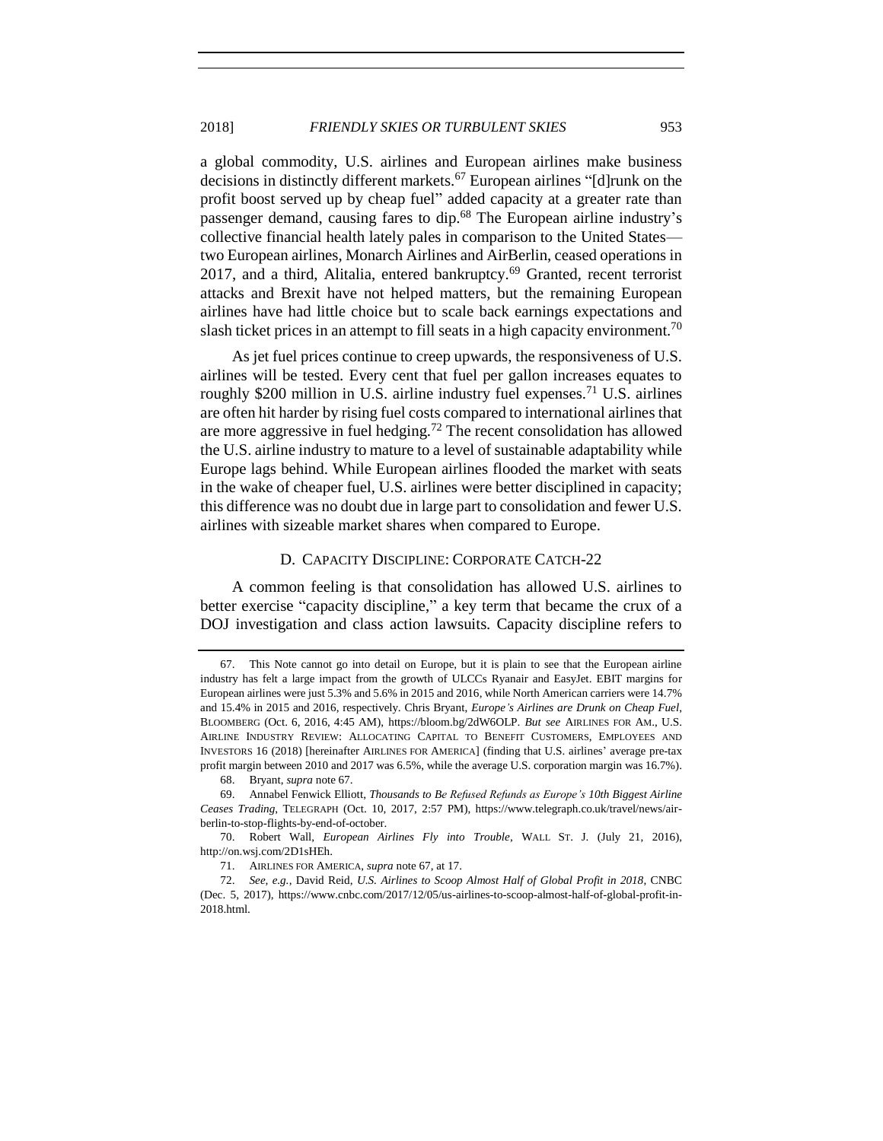<span id="page-10-1"></span>a global commodity, U.S. airlines and European airlines make business decisions in distinctly different markets.<sup>67</sup> European airlines "[d]runk on the profit boost served up by cheap fuel" added capacity at a greater rate than passenger demand, causing fares to dip.<sup>68</sup> The European airline industry's collective financial health lately pales in comparison to the United States two European airlines, Monarch Airlines and AirBerlin, ceased operations in 2017, and a third, Alitalia, entered bankruptcy. $69$  Granted, recent terrorist attacks and Brexit have not helped matters, but the remaining European airlines have had little choice but to scale back earnings expectations and slash ticket prices in an attempt to fill seats in a high capacity environment.<sup>70</sup>

As jet fuel prices continue to creep upwards, the responsiveness of U.S. airlines will be tested. Every cent that fuel per gallon increases equates to roughly \$200 million in U.S. airline industry fuel expenses.<sup>71</sup> U.S. airlines are often hit harder by rising fuel costs compared to international airlines that are more aggressive in fuel hedging.<sup>72</sup> The recent consolidation has allowed the U.S. airline industry to mature to a level of sustainable adaptability while Europe lags behind. While European airlines flooded the market with seats in the wake of cheaper fuel, U.S. airlines were better disciplined in capacity; this difference was no doubt due in large part to consolidation and fewer U.S. airlines with sizeable market shares when compared to Europe.

#### D. CAPACITY DISCIPLINE: CORPORATE CATCH-22

<span id="page-10-0"></span>A common feeling is that consolidation has allowed U.S. airlines to better exercise "capacity discipline," a key term that became the crux of a DOJ investigation and class action lawsuits. Capacity discipline refers to

<sup>67.</sup> This Note cannot go into detail on Europe, but it is plain to see that the European airline industry has felt a large impact from the growth of ULCCs Ryanair and EasyJet. EBIT margins for European airlines were just 5.3% and 5.6% in 2015 and 2016, while North American carriers were 14.7% and 15.4% in 2015 and 2016, respectively. Chris Bryant, *Europe's Airlines are Drunk on Cheap Fuel*, BLOOMBERG (Oct. 6, 2016, 4:45 AM), https://bloom.bg/2dW6OLP. *But see* AIRLINES FOR AM., U.S. AIRLINE INDUSTRY REVIEW: ALLOCATING CAPITAL TO BENEFIT CUSTOMERS, EMPLOYEES AND INVESTORS 16 (2018) [hereinafter AIRLINES FOR AMERICA] (finding that U.S. airlines' average pre-tax profit margin between 2010 and 2017 was 6.5%, while the average U.S. corporation margin was 16.7%).

<sup>68.</sup> Bryant, *supra* not[e 67.](#page-10-1)

<sup>69.</sup> Annabel Fenwick Elliott, *Thousands to Be Refused Refunds as Europe's 10th Biggest Airline Ceases Trading*, TELEGRAPH (Oct. 10, 2017, 2:57 PM), https://www.telegraph.co.uk/travel/news/airberlin-to-stop-flights-by-end-of-october.

<sup>70.</sup> Robert Wall, *European Airlines Fly into Trouble*, WALL ST. J. (July 21, 2016), http://on.wsj.com/2D1sHEh.

<sup>71.</sup> AIRLINES FOR AMERICA, *supra* not[e 67,](#page-10-1) at 17.

<sup>72.</sup> *See, e.g.*, David Reid, *U.S. Airlines to Scoop Almost Half of Global Profit in 2018*, CNBC (Dec. 5, 2017), https://www.cnbc.com/2017/12/05/us-airlines-to-scoop-almost-half-of-global-profit-in-2018.html.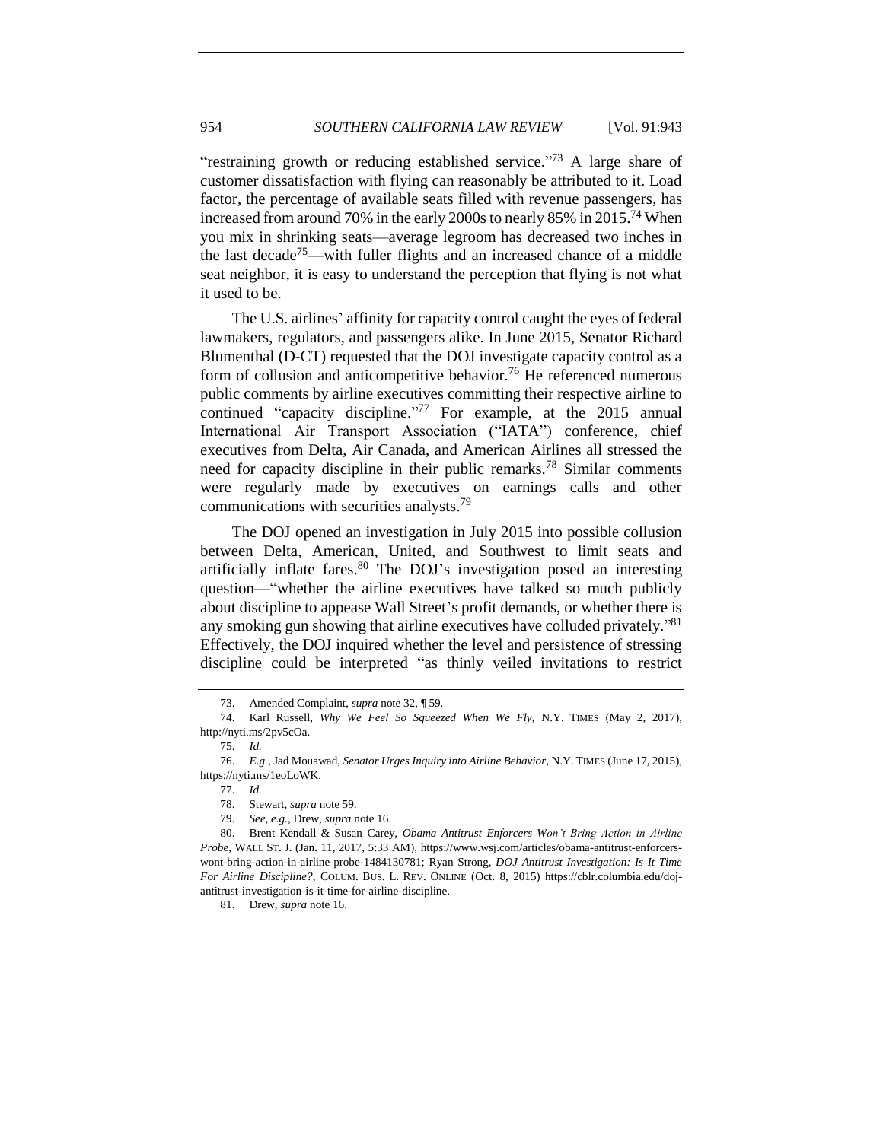"restraining growth or reducing established service."<sup>73</sup> A large share of customer dissatisfaction with flying can reasonably be attributed to it. Load factor, the percentage of available seats filled with revenue passengers, has increased from around 70% in the early 2000s to nearly 85% in 2015.<sup>74</sup> When you mix in shrinking seats—average legroom has decreased two inches in the last decade<sup>75</sup>—with fuller flights and an increased chance of a middle seat neighbor, it is easy to understand the perception that flying is not what it used to be.

The U.S. airlines' affinity for capacity control caught the eyes of federal lawmakers, regulators, and passengers alike. In June 2015, Senator Richard Blumenthal (D-CT) requested that the DOJ investigate capacity control as a form of collusion and anticompetitive behavior.<sup>76</sup> He referenced numerous public comments by airline executives committing their respective airline to continued "capacity discipline."<sup>77</sup> For example, at the 2015 annual International Air Transport Association ("IATA") conference, chief executives from Delta, Air Canada, and American Airlines all stressed the need for capacity discipline in their public remarks.<sup>78</sup> Similar comments were regularly made by executives on earnings calls and other communications with securities analysts.<sup>79</sup>

<span id="page-11-0"></span>The DOJ opened an investigation in July 2015 into possible collusion between Delta, American, United, and Southwest to limit seats and artificially inflate fares. $80$  The DOJ's investigation posed an interesting question—"whether the airline executives have talked so much publicly about discipline to appease Wall Street's profit demands, or whether there is any smoking gun showing that airline executives have colluded privately."<sup>81</sup> Effectively, the DOJ inquired whether the level and persistence of stressing discipline could be interpreted "as thinly veiled invitations to restrict

<sup>73.</sup> Amended Complaint, *supra* note [32,](#page-6-3) ¶ 59.

<sup>74.</sup> Karl Russell, *Why We Feel So Squeezed When We Fly*, N.Y. TIMES (May 2, 2017), http://nyti.ms/2pv5cOa.

<sup>75.</sup> *Id.*

<sup>76.</sup> *E.g.*, Jad Mouawad, *Senator Urges Inquiry into Airline Behavior*, N.Y. TIMES (June 17, 2015), https://nyti.ms/1eoLoWK.

<sup>77.</sup> *Id.*

<sup>78.</sup> Stewart, *supra* not[e 59.](#page-9-0)

<sup>79.</sup> *See, e.g.*, Drew, *supra* not[e 16.](#page-3-1)

<sup>80.</sup> Brent Kendall & Susan Carey, *Obama Antitrust Enforcers Won't Bring Action in Airline Probe*, WALL ST. J. (Jan. 11, 2017, 5:33 AM), https://www.wsj.com/articles/obama-antitrust-enforcerswont-bring-action-in-airline-probe-1484130781; Ryan Strong, *DOJ Antitrust Investigation: Is It Time For Airline Discipline?*, COLUM. BUS. L. REV. ONLINE (Oct. 8, 2015) https://cblr.columbia.edu/dojantitrust-investigation-is-it-time-for-airline-discipline.

<sup>81.</sup> Drew, *supra* not[e 16.](#page-3-1)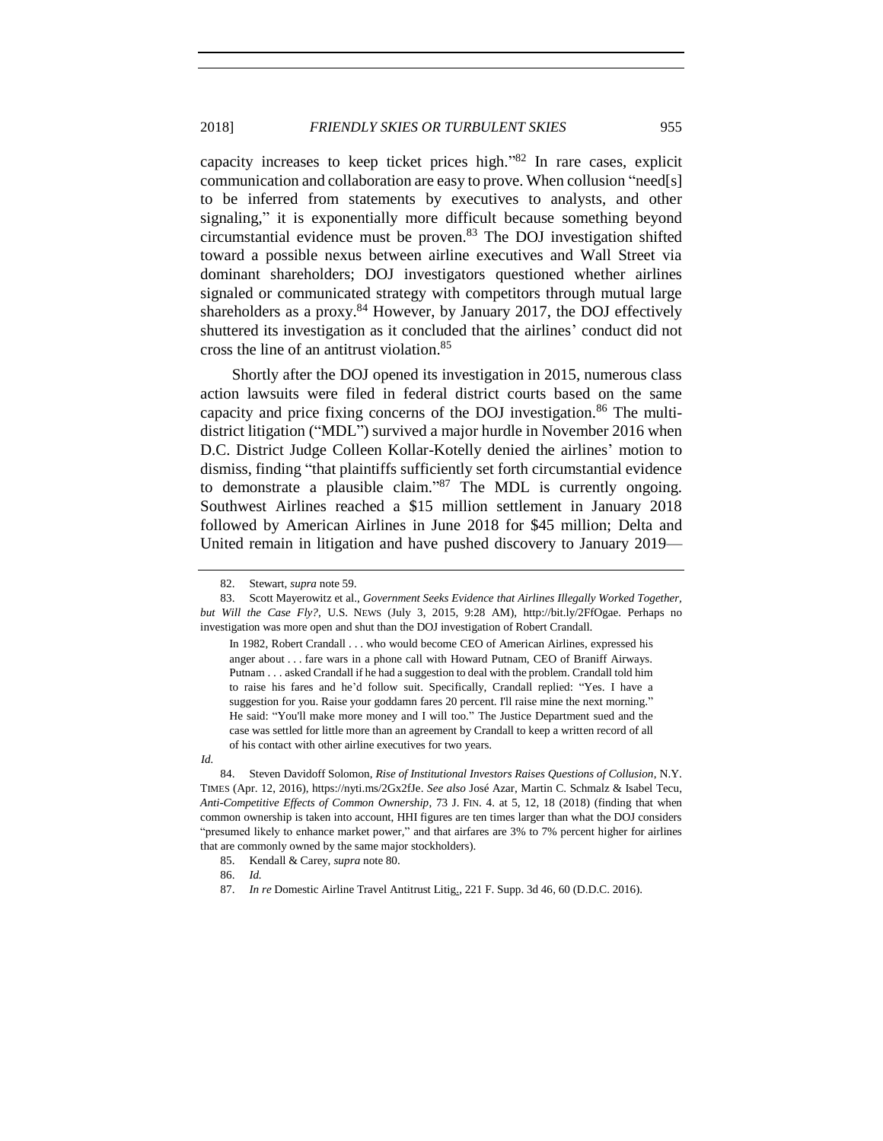capacity increases to keep ticket prices high." <sup>82</sup> In rare cases, explicit communication and collaboration are easy to prove. When collusion "need[s] to be inferred from statements by executives to analysts, and other signaling," it is exponentially more difficult because something beyond circumstantial evidence must be proven. $83$  The DOJ investigation shifted toward a possible nexus between airline executives and Wall Street via dominant shareholders; DOJ investigators questioned whether airlines signaled or communicated strategy with competitors through mutual large shareholders as a proxy.<sup>84</sup> However, by January 2017, the DOJ effectively shuttered its investigation as it concluded that the airlines' conduct did not cross the line of an antitrust violation.<sup>85</sup>

Shortly after the DOJ opened its investigation in 2015, numerous class action lawsuits were filed in federal district courts based on the same capacity and price fixing concerns of the DOJ investigation.<sup>86</sup> The multidistrict litigation ("MDL") survived a major hurdle in November 2016 when D.C. District Judge Colleen Kollar-Kotelly denied the airlines' motion to dismiss, finding "that plaintiffs sufficiently set forth circumstantial evidence to demonstrate a plausible claim." <sup>87</sup> The MDL is currently ongoing. Southwest Airlines reached a \$15 million settlement in January 2018 followed by American Airlines in June 2018 for \$45 million; Delta and United remain in litigation and have pushed discovery to January 2019—

In 1982, Robert Crandall . . . who would become CEO of American Airlines, expressed his anger about . . . fare wars in a phone call with Howard Putnam, CEO of Braniff Airways. Putnam . . . asked Crandall if he had a suggestion to deal with the problem. Crandall told him to raise his fares and he'd follow suit. Specifically, Crandall replied: "Yes. I have a suggestion for you. Raise your goddamn fares 20 percent. I'll raise mine the next morning." He said: "You'll make more money and I will too." The Justice Department sued and the case was settled for little more than an agreement by Crandall to keep a written record of all of his contact with other airline executives for two years.

<sup>82.</sup> Stewart, *supra* not[e 59.](#page-9-0)

<sup>83.</sup> Scott Mayerowitz et al., *Government Seeks Evidence that Airlines Illegally Worked Together, but Will the Case Fly?*, U.S. NEWS (July 3, 2015, 9:28 AM), http://bit.ly/2FfOgae. Perhaps no investigation was more open and shut than the DOJ investigation of Robert Crandall.

*Id.*

<sup>84.</sup> Steven Davidoff Solomon, *Rise of Institutional Investors Raises Questions of Collusion*, N.Y. TIMES (Apr. 12, 2016), https://nyti.ms/2Gx2fJe. *See also* José Azar, Martin C. Schmalz & Isabel Tecu, *Anti-Competitive Effects of Common Ownership*, 73 J. FIN. 4. at 5, 12, 18 (2018) (finding that when common ownership is taken into account, HHI figures are ten times larger than what the DOJ considers "presumed likely to enhance market power," and that airfares are 3% to 7% percent higher for airlines that are commonly owned by the same major stockholders).

<sup>85.</sup> Kendall & Carey, *supra* not[e 80.](#page-11-0) 

<sup>86.</sup> *Id.*

<sup>87.</sup> *In re* Domestic Airline Travel Antitrust Litig., 221 F. Supp. 3d 46, 60 (D.D.C. 2016).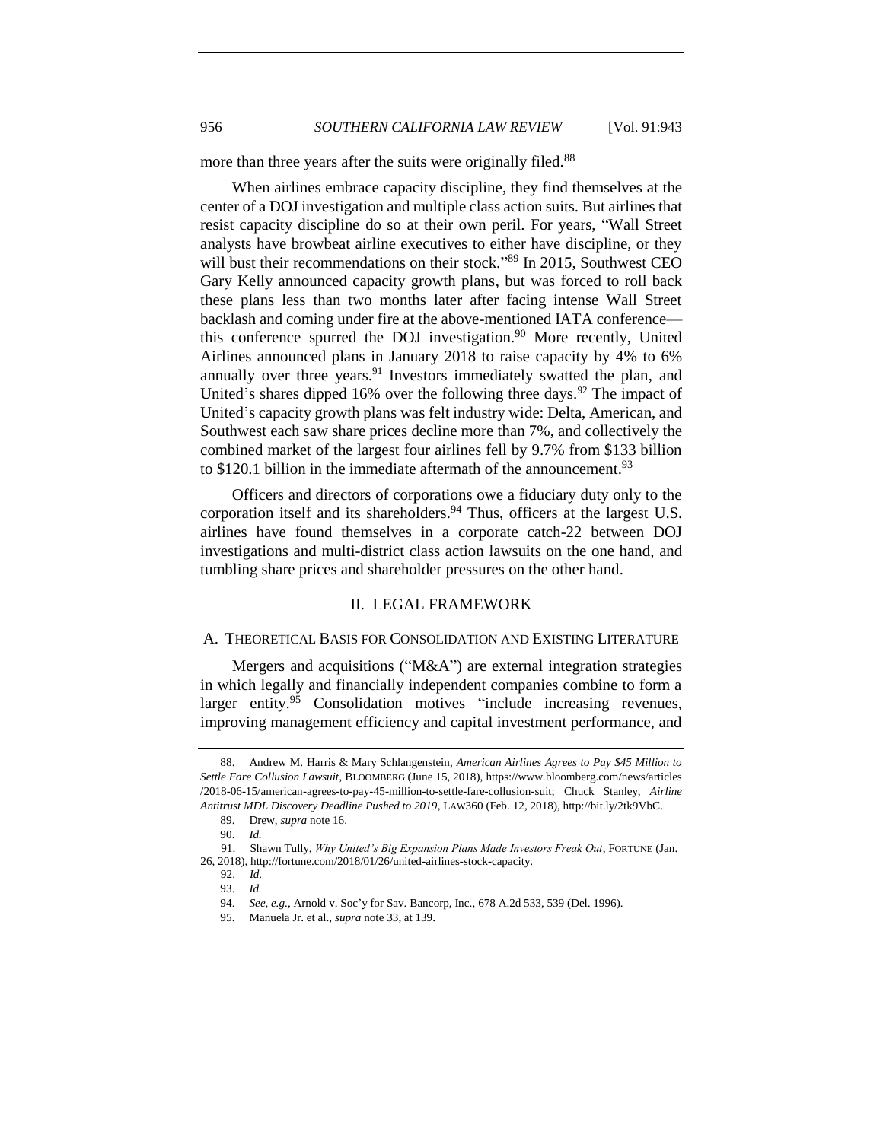more than three years after the suits were originally filed.<sup>88</sup>

When airlines embrace capacity discipline, they find themselves at the center of a DOJ investigation and multiple class action suits. But airlines that resist capacity discipline do so at their own peril. For years, "Wall Street analysts have browbeat airline executives to either have discipline, or they will bust their recommendations on their stock."<sup>89</sup> In 2015, Southwest CEO Gary Kelly announced capacity growth plans, but was forced to roll back these plans less than two months later after facing intense Wall Street backlash and coming under fire at the above-mentioned IATA conference this conference spurred the DOJ investigation.<sup>90</sup> More recently, United Airlines announced plans in January 2018 to raise capacity by 4% to 6% annually over three years. $91$  Investors immediately swatted the plan, and United's shares dipped 16% over the following three days.<sup>92</sup> The impact of United's capacity growth plans was felt industry wide: Delta, American, and Southwest each saw share prices decline more than 7%, and collectively the combined market of the largest four airlines fell by 9.7% from \$133 billion to \$120.1 billion in the immediate aftermath of the announcement.<sup>93</sup>

Officers and directors of corporations owe a fiduciary duty only to the corporation itself and its shareholders.<sup>94</sup> Thus, officers at the largest U.S. airlines have found themselves in a corporate catch-22 between DOJ investigations and multi-district class action lawsuits on the one hand, and tumbling share prices and shareholder pressures on the other hand.

#### II. LEGAL FRAMEWORK

#### <span id="page-13-1"></span><span id="page-13-0"></span>A. THEORETICAL BASIS FOR CONSOLIDATION AND EXISTING LITERATURE

Mergers and acquisitions ("M&A") are external integration strategies in which legally and financially independent companies combine to form a larger entity.<sup>95</sup> Consolidation motives "include increasing revenues, improving management efficiency and capital investment performance, and

<sup>88.</sup> Andrew M. Harris & Mary Schlangenstein, *American Airlines Agrees to Pay \$45 Million to Settle Fare Collusion Lawsuit*, BLOOMBERG (June 15, 2018), https://www.bloomberg.com/news/articles /2018-06-15/american-agrees-to-pay-45-million-to-settle-fare-collusion-suit; Chuck Stanley, *Airline Antitrust MDL Discovery Deadline Pushed to 2019*, LAW360 (Feb. 12, 2018), http://bit.ly/2tk9VbC.

<sup>89.</sup> Drew, *supra* not[e 16.](#page-3-1)

<sup>90.</sup> *Id.*

 <sup>91.</sup> Shawn Tully, *Why United's Big Expansion Plans Made Investors Freak Out*, FORTUNE (Jan. 26, 2018), http://fortune.com/2018/01/26/united-airlines-stock-capacity.

 <sup>92.</sup> *Id.* 93. *Id.*

<sup>94.</sup> *See, e.g.*, Arnold v. Soc'y for Sav. Bancorp, Inc., 678 A.2d 533, 539 (Del. 1996).

<sup>95.</sup> Manuela Jr. et al., *supra* not[e 33,](#page-6-1) at 139.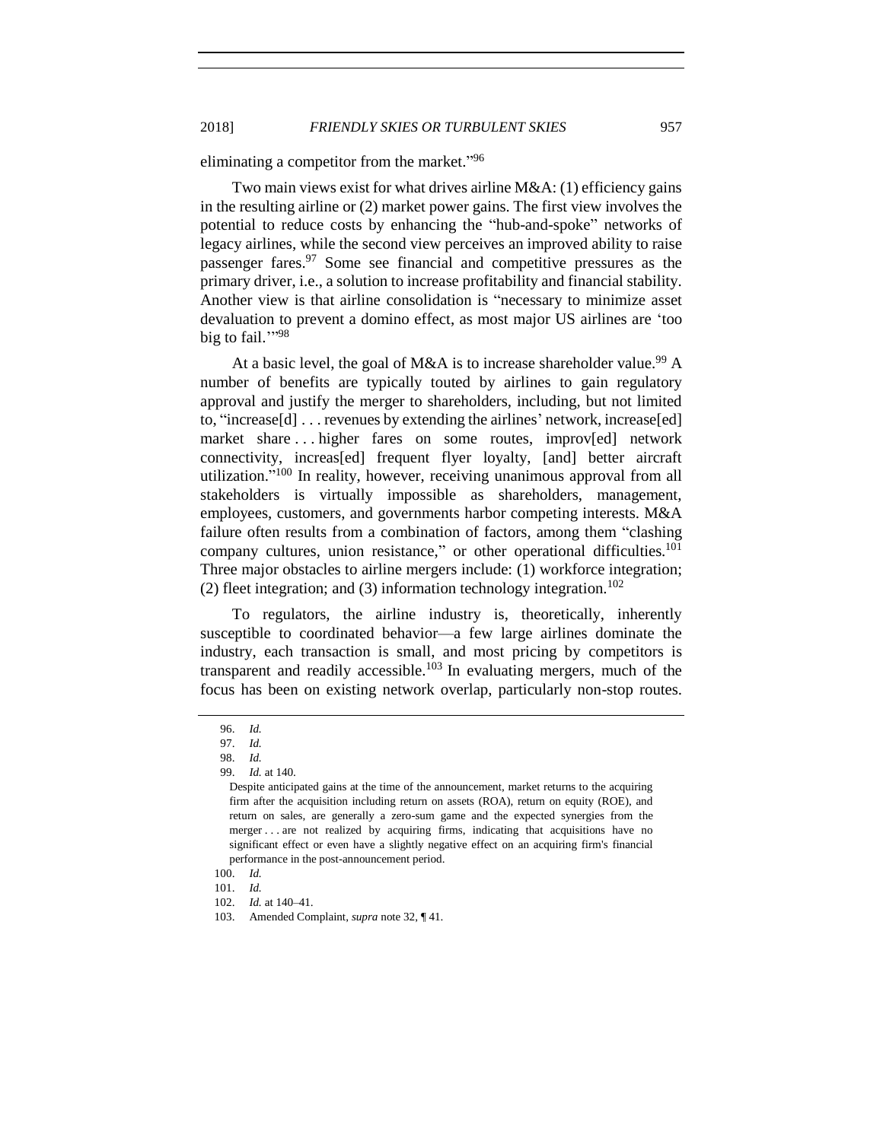eliminating a competitor from the market."<sup>96</sup>

Two main views exist for what drives airline M&A: (1) efficiency gains in the resulting airline or (2) market power gains. The first view involves the potential to reduce costs by enhancing the "hub-and-spoke" networks of legacy airlines, while the second view perceives an improved ability to raise passenger fares.<sup>97</sup> Some see financial and competitive pressures as the primary driver, i.e., a solution to increase profitability and financial stability. Another view is that airline consolidation is "necessary to minimize asset devaluation to prevent a domino effect, as most major US airlines are 'too big to fail.""<sup>98</sup>

At a basic level, the goal of M&A is to increase shareholder value.<sup>99</sup> A number of benefits are typically touted by airlines to gain regulatory approval and justify the merger to shareholders, including, but not limited to, "increase[d] . . . revenues by extending the airlines' network, increase[ed] market share ... higher fares on some routes, improv[ed] network connectivity, increas[ed] frequent flyer loyalty, [and] better aircraft utilization." <sup>100</sup> In reality, however, receiving unanimous approval from all stakeholders is virtually impossible as shareholders, management, employees, customers, and governments harbor competing interests. M&A failure often results from a combination of factors, among them "clashing company cultures, union resistance," or other operational difficulties.<sup>101</sup> Three major obstacles to airline mergers include: (1) workforce integration; (2) fleet integration; and (3) information technology integration.<sup>102</sup>

To regulators, the airline industry is, theoretically, inherently susceptible to coordinated behavior—a few large airlines dominate the industry, each transaction is small, and most pricing by competitors is transparent and readily accessible.<sup>103</sup> In evaluating mergers, much of the focus has been on existing network overlap, particularly non-stop routes.

<sup>96.</sup> *Id.*

<sup>97.</sup> *Id.*

<sup>98.</sup> *Id.*

<sup>99.</sup> *Id.* at 140.

Despite anticipated gains at the time of the announcement, market returns to the acquiring firm after the acquisition including return on assets (ROA), return on equity (ROE), and return on sales, are generally a zero-sum game and the expected synergies from the merger . . . are not realized by acquiring firms, indicating that acquisitions have no significant effect or even have a slightly negative effect on an acquiring firm's financial performance in the post-announcement period.

<sup>100.</sup> *Id.*

<sup>101.</sup> *Id.*

<sup>102.</sup> *Id.* at 140–41.

<sup>103.</sup> Amended Complaint, *supra* note [32,](#page-6-3) ¶ 41.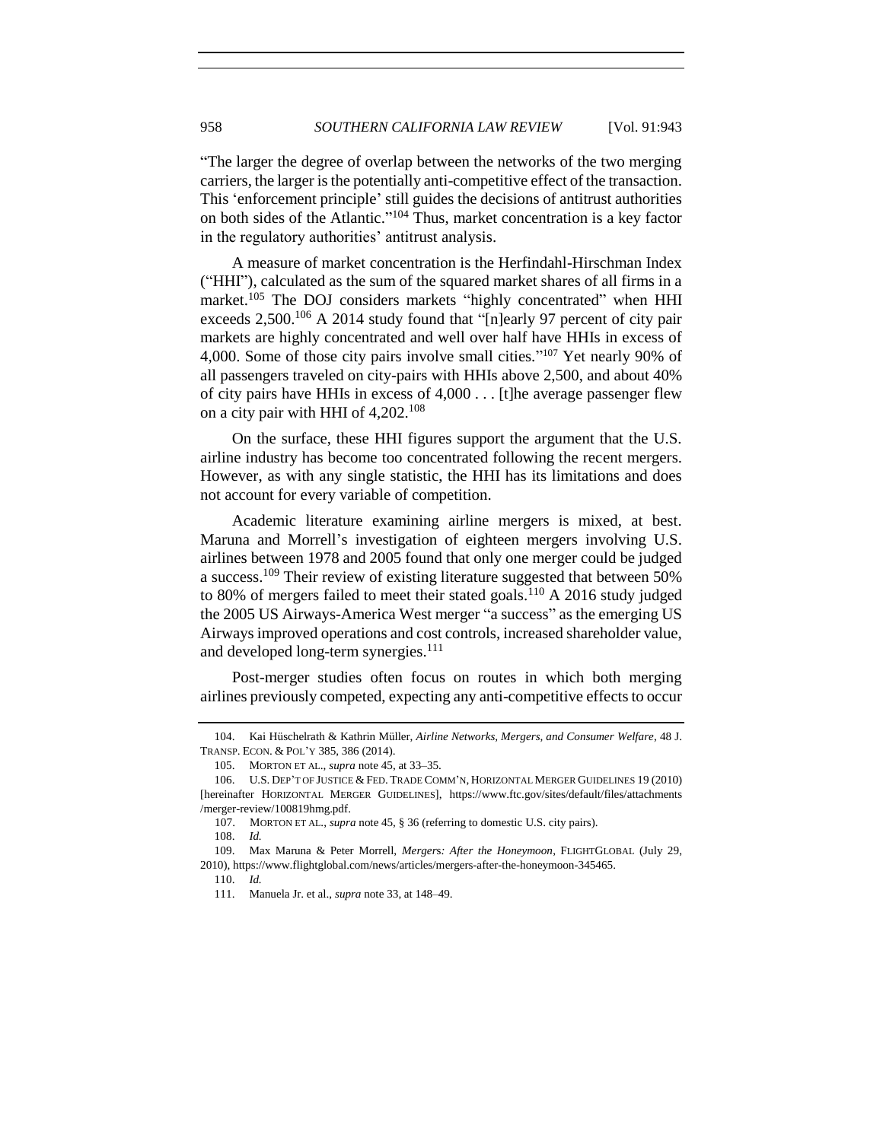"The larger the degree of overlap between the networks of the two merging carriers, the larger is the potentially anti-competitive effect of the transaction. This 'enforcement principle' still guides the decisions of antitrust authorities on both sides of the Atlantic." <sup>104</sup> Thus, market concentration is a key factor in the regulatory authorities' antitrust analysis.

<span id="page-15-0"></span>A measure of market concentration is the Herfindahl-Hirschman Index ("HHI"), calculated as the sum of the squared market shares of all firms in a market.<sup>105</sup> The DOJ considers markets "highly concentrated" when HHI exceeds  $2,500$ <sup>106</sup> A 2014 study found that "[n]early 97 percent of city pair markets are highly concentrated and well over half have HHIs in excess of 4,000. Some of those city pairs involve small cities." <sup>107</sup> Yet nearly 90% of all passengers traveled on city-pairs with HHIs above 2,500, and about 40% of city pairs have HHIs in excess of 4,000 . . . [t]he average passenger flew on a city pair with HHI of 4,202.<sup>108</sup>

On the surface, these HHI figures support the argument that the U.S. airline industry has become too concentrated following the recent mergers. However, as with any single statistic, the HHI has its limitations and does not account for every variable of competition.

Academic literature examining airline mergers is mixed, at best. Maruna and Morrell's investigation of eighteen mergers involving U.S. airlines between 1978 and 2005 found that only one merger could be judged a success.<sup>109</sup> Their review of existing literature suggested that between 50% to 80% of mergers failed to meet their stated goals.<sup>110</sup> A 2016 study judged the 2005 US Airways-America West merger "a success" as the emerging US Airways improved operations and cost controls, increased shareholder value, and developed long-term synergies.<sup>111</sup>

Post-merger studies often focus on routes in which both merging airlines previously competed, expecting any anti-competitive effects to occur

<sup>104.</sup> Kai Hüschelrath & Kathrin Müller, *Airline Networks, Mergers, and Consumer Welfare*, 48 J. TRANSP. ECON. & POL'Y 385, 386 (2014).

<sup>105.</sup> MORTON ET AL., *supra* not[e 45,](#page-7-1) at 33–35.

<sup>106.</sup> U.S. DEP'T OF JUSTICE & FED. TRADE COMM'N, HORIZONTAL MERGER GUIDELINES 19 (2010) [hereinafter HORIZONTAL MERGER GUIDELINES], https://www.ftc.gov/sites/default/files/attachments /merger-review/100819hmg.pdf.

 <sup>107.</sup> MORTON ET AL., *supra* not[e 45,](#page-7-1) § 36 (referring to dome*s*tic U.S. city pairs).

<sup>108.</sup> *Id.*

<sup>109.</sup> Max Maruna & Peter Morrell, *Merger*s*: After the Honeymoon*, FLIGHTGLOBAL (July 29, 2010), https://www.flightglobal.com/news/articles/mergers-after-the-honeymoon-345465.

<sup>110.</sup> *Id.* 

<sup>111.</sup> Manuela Jr. et al., *supra* not[e 33,](#page-6-1) at 148–49.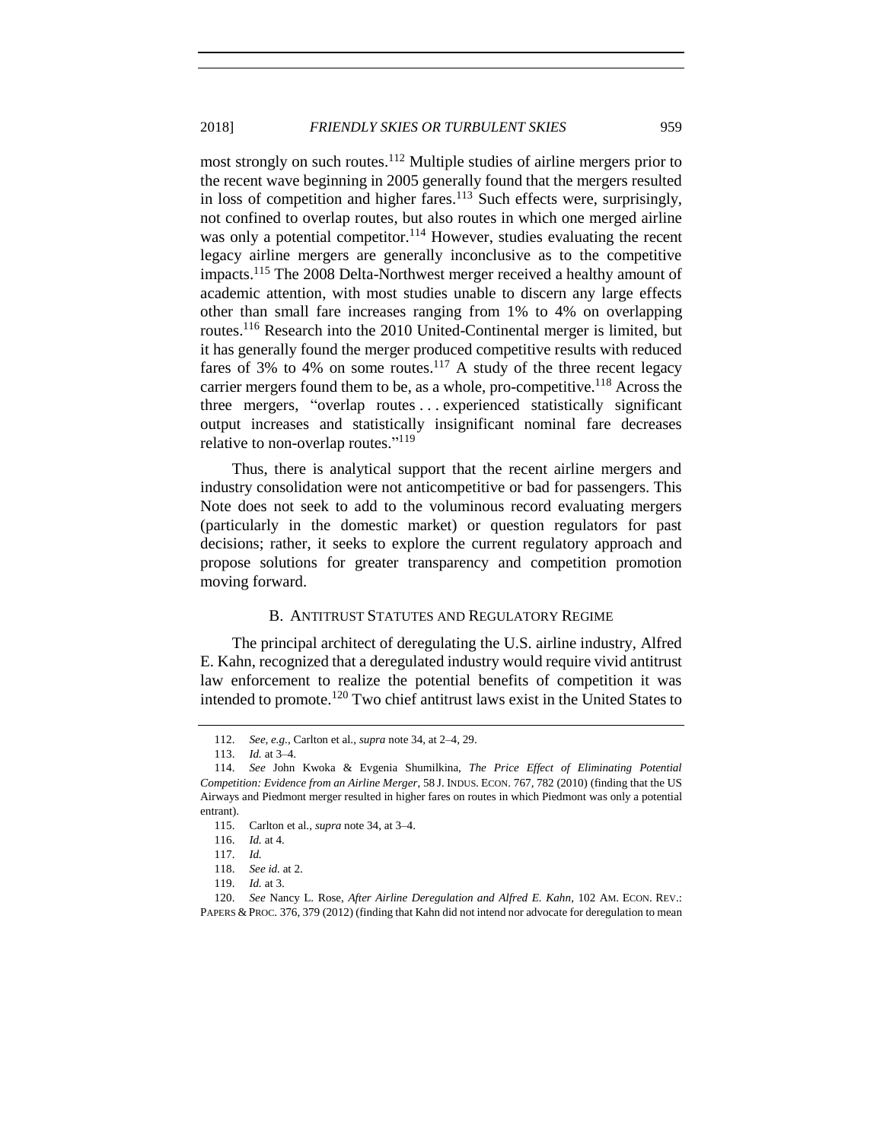most strongly on such routes.<sup>112</sup> Multiple studies of airline mergers prior to the recent wave beginning in 2005 generally found that the mergers resulted in loss of competition and higher fares.<sup>113</sup> Such effects were, surprisingly, not confined to overlap routes, but also routes in which one merged airline was only a potential competitor.<sup>114</sup> However, studies evaluating the recent legacy airline mergers are generally inconclusive as to the competitive impacts.<sup>115</sup> The 2008 Delta-Northwest merger received a healthy amount of academic attention, with most studies unable to discern any large effects other than small fare increases ranging from 1% to 4% on overlapping routes.<sup>116</sup> Research into the 2010 United-Continental merger is limited, but it has generally found the merger produced competitive results with reduced fares of 3% to 4% on some routes.<sup>117</sup> A study of the three recent legacy carrier mergers found them to be, as a whole, pro-competitive.<sup>118</sup> Across the three mergers, "overlap routes . . . experienced statistically significant output increases and statistically insignificant nominal fare decreases relative to non-overlap routes."<sup>119</sup>

Thus, there is analytical support that the recent airline mergers and industry consolidation were not anticompetitive or bad for passengers. This Note does not seek to add to the voluminous record evaluating mergers (particularly in the domestic market) or question regulators for past decisions; rather, it seeks to explore the current regulatory approach and propose solutions for greater transparency and competition promotion moving forward.

## B. ANTITRUST STATUTES AND REGULATORY REGIME

<span id="page-16-0"></span>The principal architect of deregulating the U.S. airline industry, Alfred E. Kahn, recognized that a deregulated industry would require vivid antitrust law enforcement to realize the potential benefits of competition it was intended to promote.<sup>120</sup> Two chief antitrust laws exist in the United States to

<sup>112.</sup> *See, e.g.*, Carlton et al., *supra* not[e 34,](#page-6-2) at 2–4, 29.

<sup>113.</sup> *Id.* at 3–4.

<sup>114.</sup> *See* John Kwoka & Evgenia Shumilkina, *The Price Effect of Eliminating Potential Competition: Evidence from an Airline Merger*, 58 J. INDUS. ECON. 767, 782 (2010) (finding that the US Airways and Piedmont merger resulted in higher fares on routes in which Piedmont was only a potential entrant).

<sup>115.</sup> Carlton et al., *supra* not[e 34,](#page-6-2) at 3–4.

<sup>116.</sup> *Id.* at 4.

<sup>117.</sup> *Id.*

<sup>118.</sup> *See id.* at 2.

<sup>119.</sup> *Id.* at 3.

<sup>120.</sup> *See* Nancy L. Rose, *After Airline Deregulation and Alfred E. Kahn*, 102 AM. ECON. REV.: PAPERS & PROC. 376, 379 (2012) (finding that Kahn did not intend nor advocate for deregulation to mean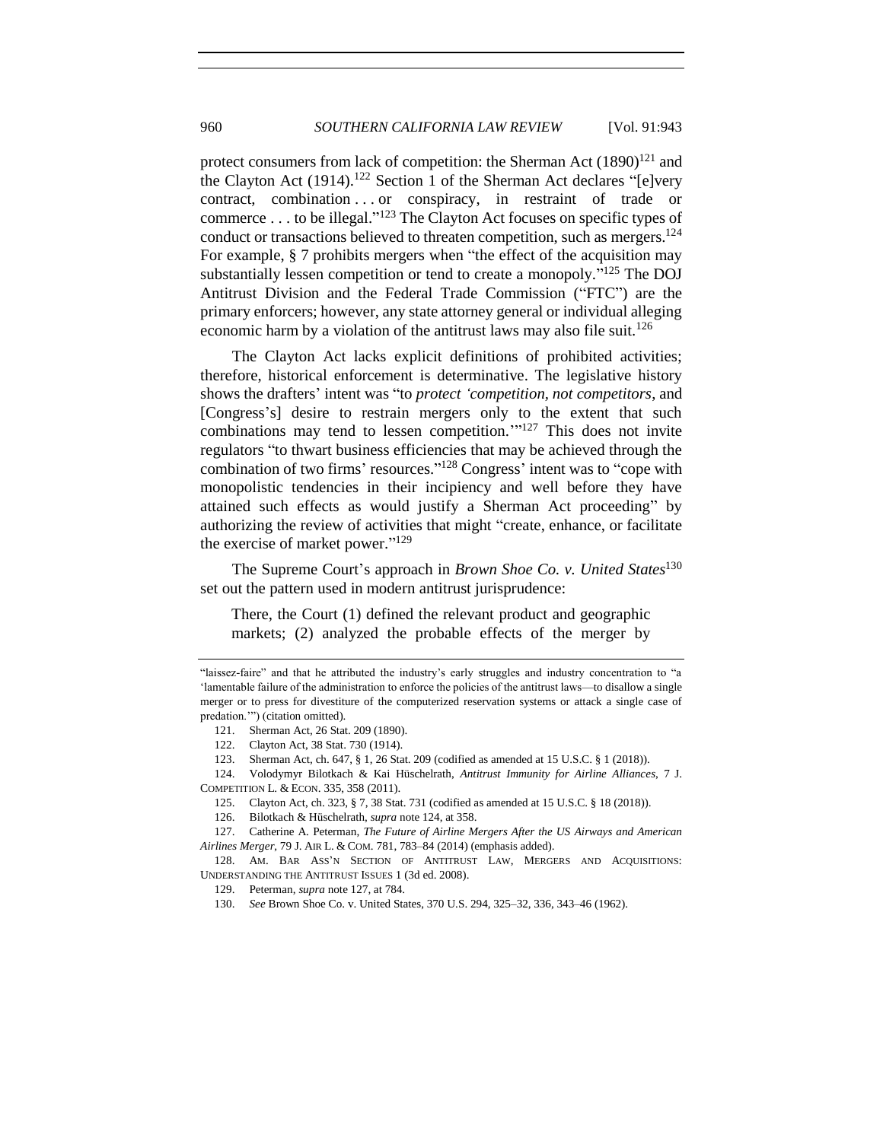<span id="page-17-0"></span>protect consumers from lack of competition: the Sherman Act (1890)<sup>121</sup> and the Clayton Act (1914).<sup>122</sup> Section 1 of the Sherman Act declares "[e]very contract, combination . . or conspiracy, in restraint of trade or commerce . . . to be illegal." <sup>123</sup> The Clayton Act focuses on specific types of conduct or transactions believed to threaten competition, such as mergers.<sup>124</sup> For example, § 7 prohibits mergers when "the effect of the acquisition may substantially lessen competition or tend to create a monopoly."<sup>125</sup> The DOJ Antitrust Division and the Federal Trade Commission ("FTC") are the primary enforcers; however, any state attorney general or individual alleging economic harm by a violation of the antitrust laws may also file suit.<sup>126</sup>

<span id="page-17-1"></span>The Clayton Act lacks explicit definitions of prohibited activities; therefore, historical enforcement is determinative. The legislative history shows the drafters' intent was "to *protect 'competition, not competitors*, and [Congress's] desire to restrain mergers only to the extent that such combinations may tend to lessen competition."<sup>127</sup> This does not invite regulators "to thwart business efficiencies that may be achieved through the combination of two firms' resources."<sup>128</sup> Congress' intent was to "cope with monopolistic tendencies in their incipiency and well before they have attained such effects as would justify a Sherman Act proceeding" by authorizing the review of activities that might "create, enhance, or facilitate the exercise of market power." 129

The Supreme Court's approach in *Brown Shoe Co. v. United States*<sup>130</sup> set out the pattern used in modern antitrust jurisprudence:

There, the Court (1) defined the relevant product and geographic markets; (2) analyzed the probable effects of the merger by

- 124. Volodymyr Bilotkach & Kai Hüschelrath, *Antitrust Immunity for Airline Alliances*, 7 J. COMPETITION L. & ECON. 335, 358 (2011).
	- 125. Clayton Act, ch. 323, § 7, 38 Stat. 731 (codified as amended at 15 U.S.C. § 18 (2018)).

128. AM. BAR ASS'N SECTION OF ANTITRUST LAW, MERGERS AND ACQUISITIONS: UNDERSTANDING THE ANTITRUST ISSUES 1 (3d ed. 2008).

<sup>&</sup>quot;laissez-faire" and that he attributed the industry's early struggles and industry concentration to "a 'lamentable failure of the administration to enforce the policies of the antitrust laws—to disallow a single merger or to press for divestiture of the computerized reservation systems or attack a single case of predation.'") (citation omitted).

<sup>121.</sup> Sherman Act, 26 Stat. 209 (1890).

<sup>122.</sup> Clayton Act, 38 Stat. 730 (1914).

<sup>123.</sup> Sherman Act, ch. 647, § 1, 26 Stat. 209 (codified as amended at 15 U.S.C. § 1 (2018)).

<sup>126.</sup> Bilotkach & Hüschelrath, *supra* not[e 124,](#page-17-0) at 358.

<sup>127.</sup> Catherine A. Peterman, *The Future of Airline Mergers After the US Airways and American Airlines Merger*, 79 J. AIR L. & COM. 781, 783–84 (2014) (emphasis added).

<sup>129.</sup> Peterman, *supra* not[e 127,](#page-17-1) at 784.

<sup>130.</sup> *See* Brown Shoe Co. v. United States, 370 U.S. 294, 325–32, 336, 343–46 (1962).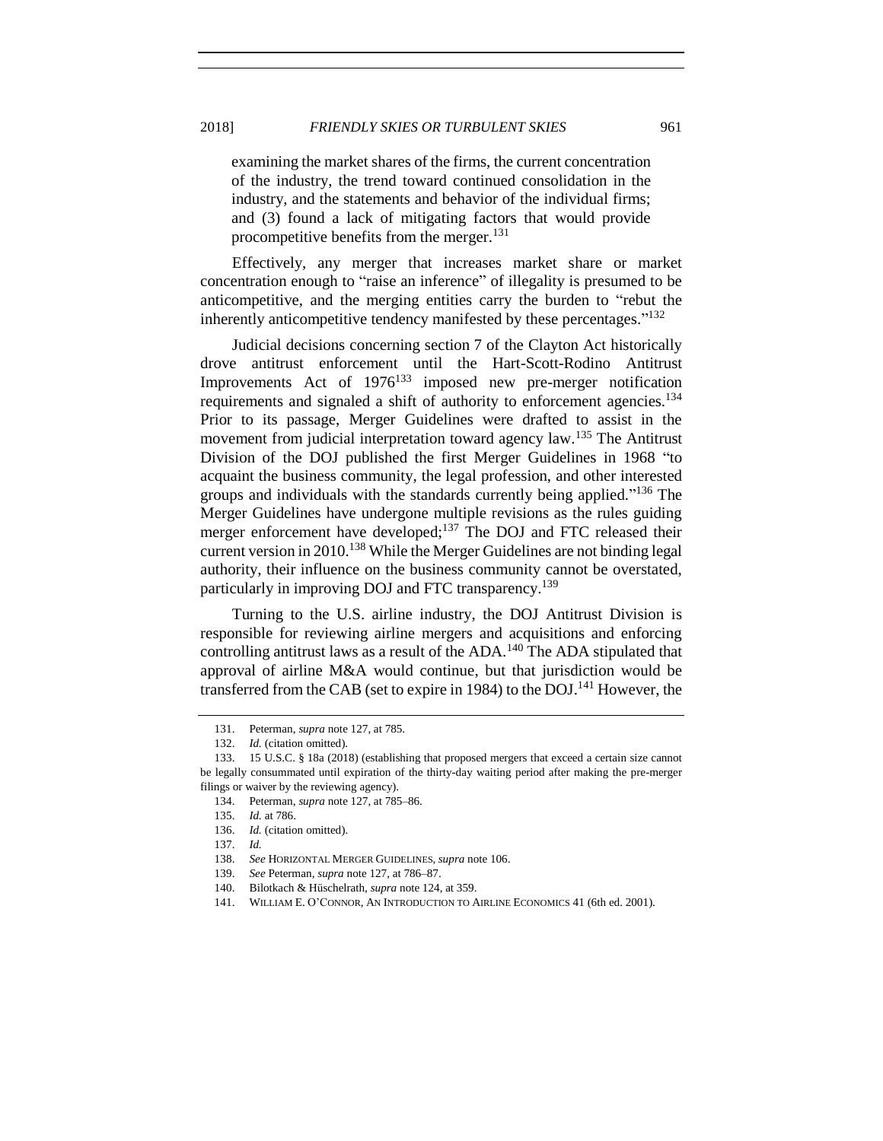examining the market shares of the firms, the current concentration of the industry, the trend toward continued consolidation in the industry, and the statements and behavior of the individual firms; and (3) found a lack of mitigating factors that would provide procompetitive benefits from the merger.<sup>131</sup>

Effectively, any merger that increases market share or market concentration enough to "raise an inference" of illegality is presumed to be anticompetitive, and the merging entities carry the burden to "rebut the inherently anticompetitive tendency manifested by these percentages."<sup>132</sup>

Judicial decisions concerning section 7 of the Clayton Act historically drove antitrust enforcement until the Hart-Scott-Rodino Antitrust Improvements Act of  $1976^{133}$  imposed new pre-merger notification requirements and signaled a shift of authority to enforcement agencies.<sup>134</sup> Prior to its passage, Merger Guidelines were drafted to assist in the movement from judicial interpretation toward agency law.<sup>135</sup> The Antitrust Division of the DOJ published the first Merger Guidelines in 1968 "to acquaint the business community, the legal profession, and other interested groups and individuals with the standards currently being applied."<sup>136</sup> The Merger Guidelines have undergone multiple revisions as the rules guiding merger enforcement have developed;<sup>137</sup> The DOJ and FTC released their current version in  $2010$ <sup>138</sup> While the Merger Guidelines are not binding legal authority, their influence on the business community cannot be overstated, particularly in improving DOJ and FTC transparency.<sup>139</sup>

Turning to the U.S. airline industry, the DOJ Antitrust Division is responsible for reviewing airline mergers and acquisitions and enforcing controlling antitrust laws as a result of the ADA.<sup>140</sup> The ADA stipulated that approval of airline M&A would continue, but that jurisdiction would be transferred from the CAB (set to expire in 1984) to the DOJ.<sup>141</sup> However, the

<span id="page-18-0"></span><sup>131.</sup> Peterman, *supra* not[e 127,](#page-17-1) at 785.

<sup>132.</sup> *Id.* (citation omitted).

<sup>133.</sup> 15 U.S.C. § 18a (2018) (establishing that proposed mergers that exceed a certain size cannot be legally consummated until expiration of the thirty-day waiting period after making the pre-merger filings or waiver by the reviewing agency).

<sup>134.</sup> Peterman, *supra* not[e 127,](#page-17-1) at 785–86.

<sup>135.</sup> *Id.* at 786.

<sup>136.</sup> *Id.* (citation omitted).

<sup>137.</sup> *Id.*

<sup>138.</sup> *See* HORIZONTAL MERGER GUIDELINES, *supra* not[e 106.](#page-15-0)

<sup>139.</sup> *See* Peterman, *supra* not[e 127,](#page-17-1) at 786–87.

<sup>140.</sup> Bilotkach & Hüschelrath, *supra* not[e 124,](#page-17-0) at 359.

<sup>141.</sup> WILLIAM E. O'CONNOR, AN INTRODUCTION TO AIRLINE ECONOMICS 41 (6th ed. 2001).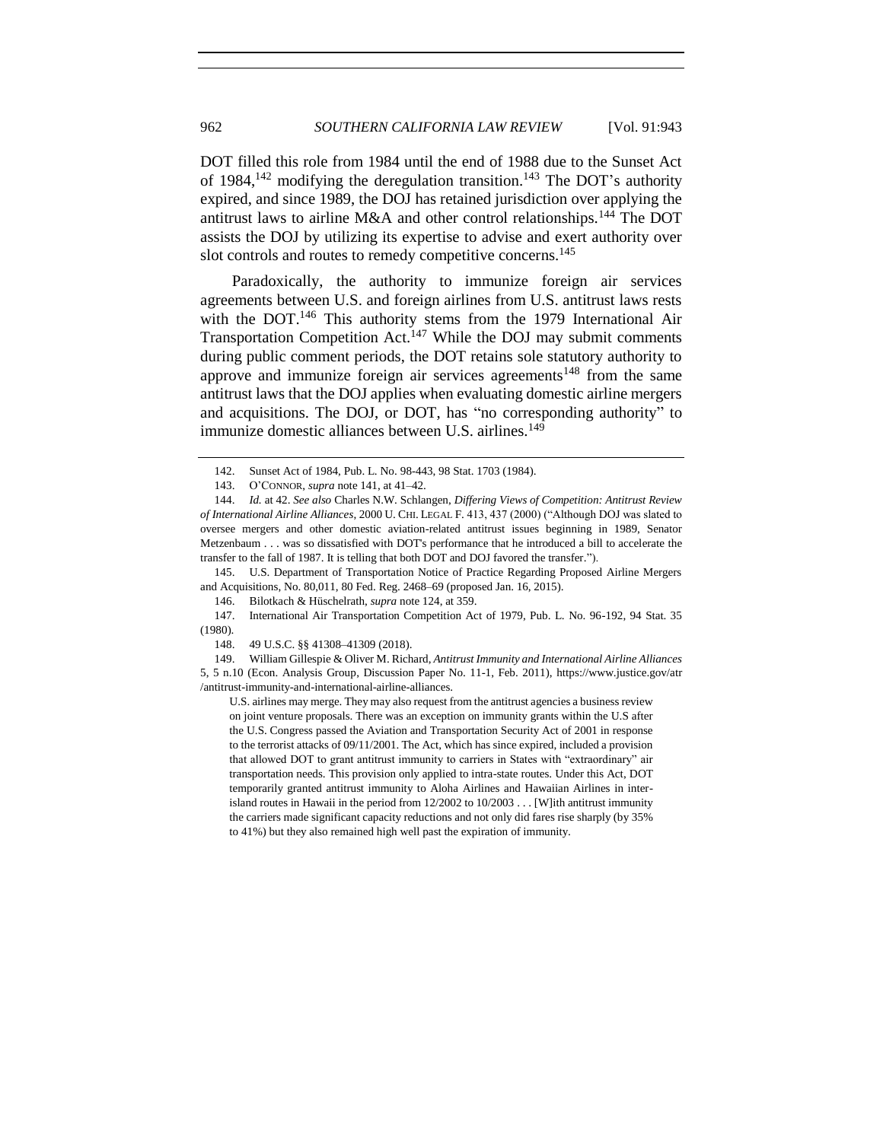<span id="page-19-1"></span>DOT filled this role from 1984 until the end of 1988 due to the Sunset Act of 1984,<sup>142</sup> modifying the deregulation transition.<sup>143</sup> The DOT's authority expired, and since 1989, the DOJ has retained jurisdiction over applying the antitrust laws to airline M&A and other control relationships.<sup>144</sup> The DOT assists the DOJ by utilizing its expertise to advise and exert authority over slot controls and routes to remedy competitive concerns.<sup>145</sup>

Paradoxically, the authority to immunize foreign air services agreements between U.S. and foreign airlines from U.S. antitrust laws rests with the DOT.<sup>146</sup> This authority stems from the 1979 International Air Transportation Competition Act.<sup>147</sup> While the DOJ may submit comments during public comment periods, the DOT retains sole statutory authority to approve and immunize foreign air services agreements<sup>148</sup> from the same antitrust laws that the DOJ applies when evaluating domestic airline mergers and acquisitions. The DOJ, or DOT, has "no corresponding authority" to immunize domestic alliances between U.S. airlines.<sup>149</sup>

145. U.S. Department of Transportation Notice of Practice Regarding Proposed Airline Mergers and Acquisitions, No. 80,011, 80 Fed. Reg. 2468–69 (proposed Jan. 16, 2015).

U.S. airlines may merge. They may also request from the antitrust agencies a business review on joint venture proposals. There was an exception on immunity grants within the U.S after the U.S. Congress passed the Aviation and Transportation Security Act of 2001 in response to the terrorist attacks of 09/11/2001. The Act, which has since expired, included a provision that allowed DOT to grant antitrust immunity to carriers in States with "extraordinary" air transportation needs. This provision only applied to intra-state routes. Under this Act, DOT temporarily granted antitrust immunity to Aloha Airlines and Hawaiian Airlines in interisland routes in Hawaii in the period from 12/2002 to 10/2003 . . . [W]ith antitrust immunity the carriers made significant capacity reductions and not only did fares rise sharply (by 35% to 41%) but they also remained high well past the expiration of immunity.

<span id="page-19-0"></span><sup>142.</sup> Sunset Act of 1984, Pub. L. No. 98-443, 98 Stat. 1703 (1984).

<sup>143.</sup> O'CONNOR, *supra* not[e 141,](#page-18-0) at 41–42.

<sup>144.</sup> *Id.* at 42. *See also* Charles N.W. Schlangen, *Differing Views of Competition: Antitrust Review of International Airline Alliances*, 2000 U. CHI. LEGAL F. 413, 437 (2000) ("Although DOJ was slated to oversee mergers and other domestic aviation-related antitrust issues beginning in 1989, Senator Metzenbaum . . . was so dissatisfied with DOT's performance that he introduced a bill to accelerate the transfer to the fall of 1987. It is telling that both DOT and DOJ favored the transfer.").

<sup>146.</sup> Bilotkach & Hüschelrath, *supra* not[e 124,](#page-17-0) at 359.

<sup>147.</sup> International Air Transportation Competition Act of 1979, Pub. L. No. 96-192, 94 Stat. 35 (1980).

<sup>148.</sup> 49 U.S.C. §§ 41308–41309 (2018).

<sup>149.</sup> William Gillespie & Oliver M. Richard, *Antitrust Immunity and International Airline Alliances* 5, 5 n.10 (Econ. Analysis Group, Discussion Paper No. 11-1, Feb. 2011), https://www.justice.gov/atr /antitrust-immunity-and-international-airline-alliances.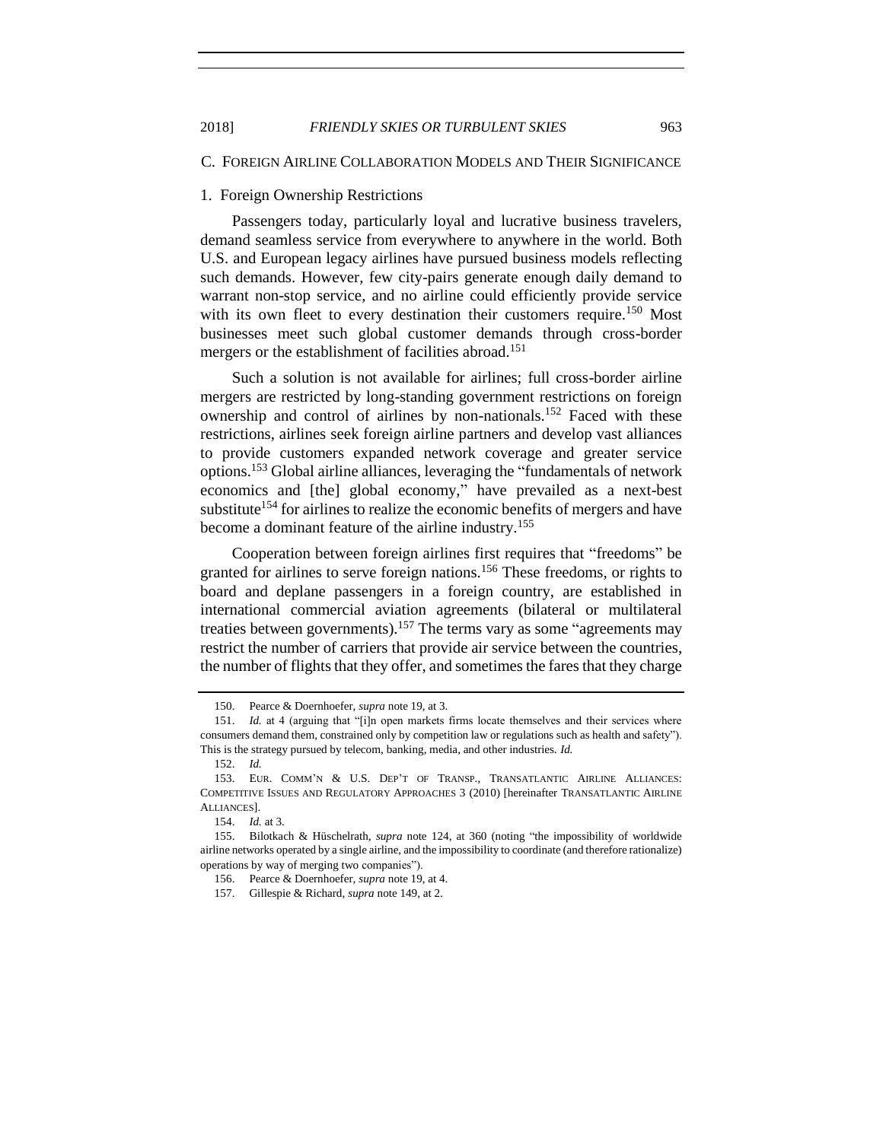#### <span id="page-20-0"></span>C. FOREIGN AIRLINE COLLABORATION MODELS AND THEIR SIGNIFICANCE

## <span id="page-20-1"></span>1. Foreign Ownership Restrictions

Passengers today, particularly loyal and lucrative business travelers, demand seamless service from everywhere to anywhere in the world. Both U.S. and European legacy airlines have pursued business models reflecting such demands. However, few city-pairs generate enough daily demand to warrant non-stop service, and no airline could efficiently provide service with its own fleet to every destination their customers require.<sup>150</sup> Most businesses meet such global customer demands through cross-border mergers or the establishment of facilities abroad.<sup>151</sup>

Such a solution is not available for airlines; full cross-border airline mergers are restricted by long-standing government restrictions on foreign ownership and control of airlines by non-nationals.<sup>152</sup> Faced with these restrictions, airlines seek foreign airline partners and develop vast alliances to provide customers expanded network coverage and greater service options.<sup>153</sup> Global airline alliances, leveraging the "fundamentals of network economics and [the] global economy," have prevailed as a next-best substitute<sup>154</sup> for airlines to realize the economic benefits of mergers and have become a dominant feature of the airline industry.<sup>155</sup>

<span id="page-20-2"></span>Cooperation between foreign airlines first requires that "freedoms" be granted for airlines to serve foreign nations.<sup>156</sup> These freedoms, or rights to board and deplane passengers in a foreign country, are established in international commercial aviation agreements (bilateral or multilateral treaties between governments).<sup>157</sup> The terms vary as some "agreements may restrict the number of carriers that provide air service between the countries, the number of flights that they offer, and sometimes the fares that they charge

<sup>150.</sup> Pearce & Doernhoefer, *supra* not[e 19,](#page-4-2) at 3.

<sup>151.</sup> *Id.* at 4 (arguing that "[i]n open markets firms locate themselves and their services where consumers demand them, constrained only by competition law or regulations such as health and safety"). This is the strategy pursued by telecom, banking, media, and other industries. *Id.*

<sup>152.</sup> *Id.*

<sup>153.</sup> EUR. COMM'N & U.S. DEP'T OF TRANSP., TRANSATLANTIC AIRLINE ALLIANCES: COMPETITIVE ISSUES AND REGULATORY APPROACHES 3 (2010) [hereinafter TRANSATLANTIC AIRLINE ALLIANCES].

<sup>154.</sup> *Id.* at 3.

<sup>155.</sup> Bilotkach & Hüschelrath, *supra* note [124,](#page-17-0) at 360 (noting "the impossibility of worldwide airline networks operated by a single airline, and the impossibility to coordinate (and therefore rationalize) operations by way of merging two companies").

<sup>156.</sup> Pearce & Doernhoefer, *supra* not[e 19,](#page-4-2) at 4.

<sup>157.</sup> Gillespie & Richard, *supra* not[e 149,](#page-19-0) at 2.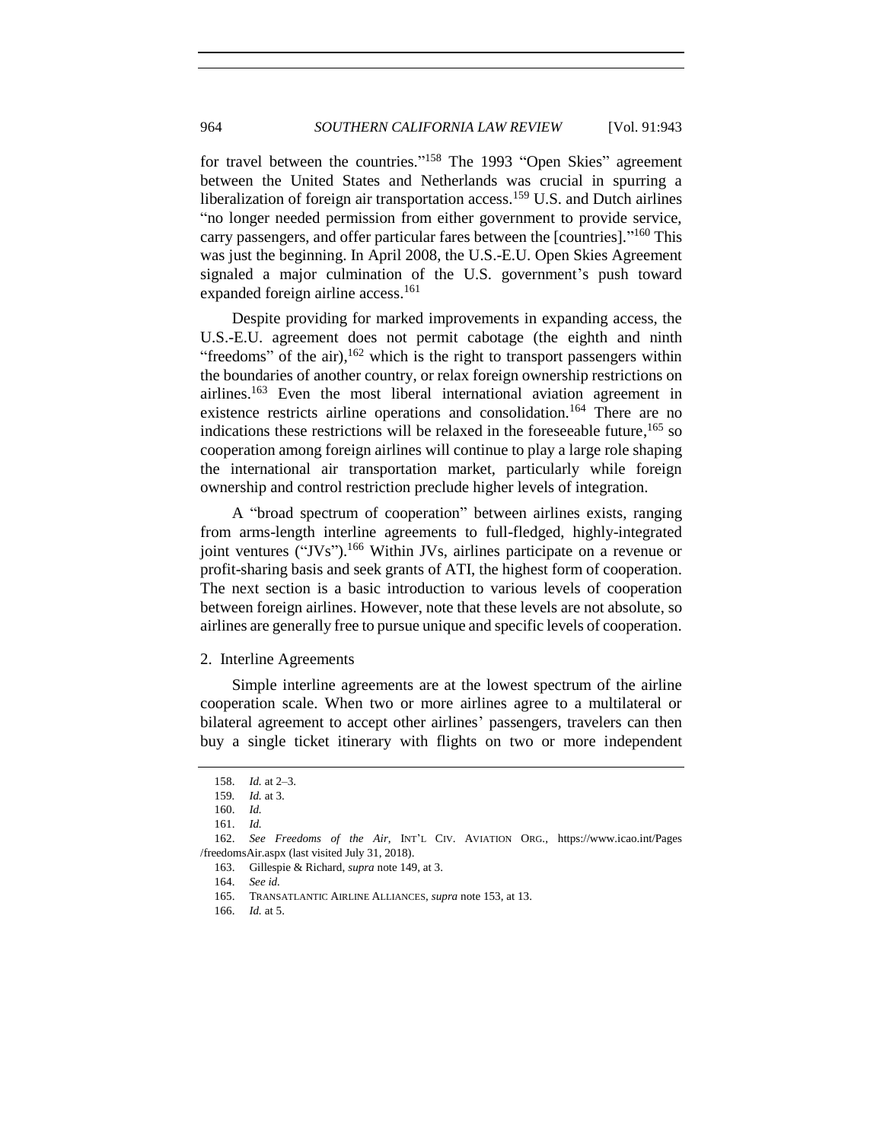for travel between the countries."<sup>158</sup> The 1993 "Open Skies" agreement between the United States and Netherlands was crucial in spurring a liberalization of foreign air transportation access.<sup>159</sup> U.S. and Dutch airlines "no longer needed permission from either government to provide service, carry passengers, and offer particular fares between the [countries]."<sup>160</sup> This was just the beginning. In April 2008, the U.S.-E.U. Open Skies Agreement signaled a major culmination of the U.S. government's push toward expanded foreign airline access.<sup>161</sup>

Despite providing for marked improvements in expanding access, the U.S.-E.U. agreement does not permit cabotage (the eighth and ninth "freedoms" of the air),  $162$  which is the right to transport passengers within the boundaries of another country, or relax foreign ownership restrictions on airlines.<sup>163</sup> Even the most liberal international aviation agreement in existence restricts airline operations and consolidation.<sup>164</sup> There are no indications these restrictions will be relaxed in the foreseeable future, <sup>165</sup> so cooperation among foreign airlines will continue to play a large role shaping the international air transportation market, particularly while foreign ownership and control restriction preclude higher levels of integration.

A "broad spectrum of cooperation" between airlines exists, ranging from arms-length interline agreements to full-fledged, highly-integrated joint ventures ("JVs").<sup>166</sup> Within JVs, airlines participate on a revenue or profit-sharing basis and seek grants of ATI, the highest form of cooperation. The next section is a basic introduction to various levels of cooperation between foreign airlines. However, note that these levels are not absolute, so airlines are generally free to pursue unique and specific levels of cooperation.

#### <span id="page-21-0"></span>2. Interline Agreements

Simple interline agreements are at the lowest spectrum of the airline cooperation scale. When two or more airlines agree to a multilateral or bilateral agreement to accept other airlines' passengers, travelers can then buy a single ticket itinerary with flights on two or more independent

<sup>158.</sup> *Id.* at 2–3.

<sup>159</sup>*. Id.* at 3.

<sup>160.</sup> *Id.*

<sup>161.</sup> *Id.*

<sup>162.</sup> *See Freedoms of the Air*, INT'L CIV. AVIATION ORG., https://www.icao.int/Pages /freedomsAir.aspx (last visited July 31, 2018).

<sup>163.</sup> Gillespie & Richard, *supra* not[e 149,](#page-19-0) at 3.

<sup>164.</sup> *See id.*

<sup>165.</sup> TRANSATLANTIC AIRLINE ALLIANCES, *supra* not[e 153,](#page-20-2) at 13.

<sup>166.</sup> *Id.* at 5.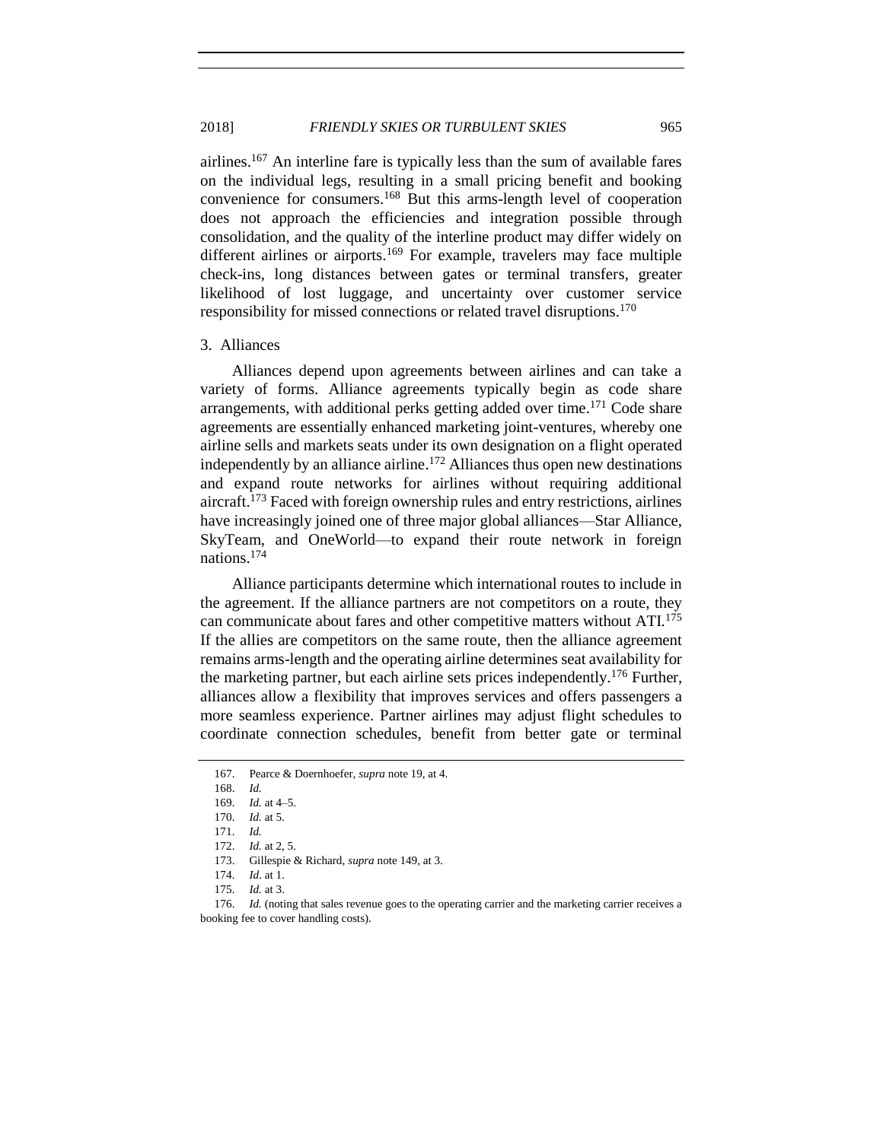## 2018] *FRIENDLY SKIES OR TURBULENT SKIES* 965

airlines.<sup>167</sup> An interline fare is typically less than the sum of available fares on the individual legs, resulting in a small pricing benefit and booking convenience for consumers. <sup>168</sup> But this arms-length level of cooperation does not approach the efficiencies and integration possible through consolidation, and the quality of the interline product may differ widely on different airlines or airports.<sup>169</sup> For example, travelers may face multiple check-ins, long distances between gates or terminal transfers, greater likelihood of lost luggage, and uncertainty over customer service responsibility for missed connections or related travel disruptions.<sup>170</sup>

#### <span id="page-22-0"></span>3. Alliances

Alliances depend upon agreements between airlines and can take a variety of forms. Alliance agreements typically begin as code share arrangements, with additional perks getting added over time.<sup>171</sup> Code share agreements are essentially enhanced marketing joint-ventures, whereby one airline sells and markets seats under its own designation on a flight operated independently by an alliance airline. <sup>172</sup> Alliances thus open new destinations and expand route networks for airlines without requiring additional aircraft.<sup>173</sup> Faced with foreign ownership rules and entry restrictions, airlines have increasingly joined one of three major global alliances—Star Alliance, SkyTeam, and OneWorld—to expand their route network in foreign nations.<sup>174</sup>

Alliance participants determine which international routes to include in the agreement. If the alliance partners are not competitors on a route, they can communicate about fares and other competitive matters without ATI.<sup>175</sup> If the allies are competitors on the same route, then the alliance agreement remains arms-length and the operating airline determines seat availability for the marketing partner, but each airline sets prices independently.<sup>176</sup> Further, alliances allow a flexibility that improves services and offers passengers a more seamless experience. Partner airlines may adjust flight schedules to coordinate connection schedules, benefit from better gate or terminal

<sup>167.</sup> Pearce & Doernhoefer, *supra* not[e 19,](#page-4-2) at 4.

<sup>168.</sup> *Id.*

<sup>169.</sup> *Id.* at 4–5.

<sup>170.</sup> *Id.* at 5.

<sup>171.</sup> *Id.*

<sup>172.</sup> *Id.* at 2, 5.

<sup>173.</sup> Gillespie & Richard, *supra* not[e 149,](#page-19-0) at 3.

<sup>174.</sup> *Id*. at 1.

<sup>175.</sup> *Id.* at 3.

<sup>176.</sup> *Id.* (noting that sales revenue goes to the operating carrier and the marketing carrier receives a booking fee to cover handling costs).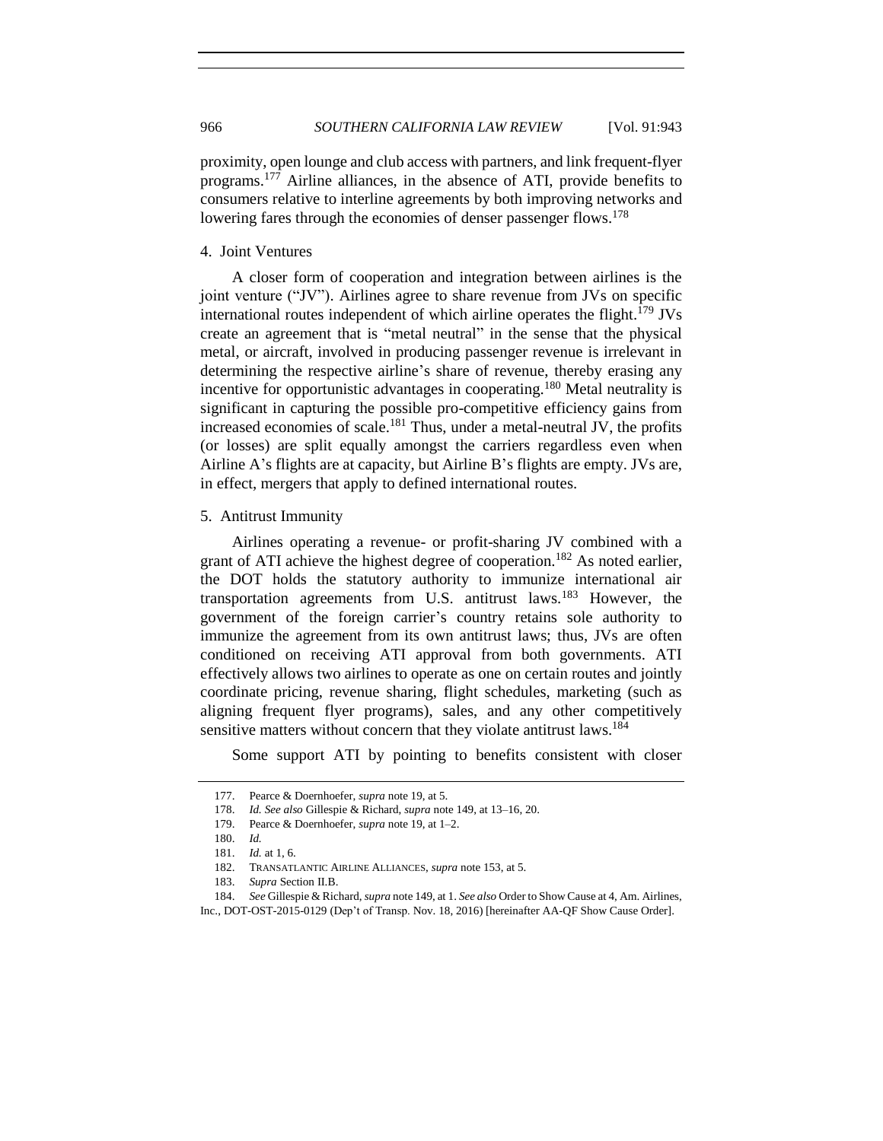proximity, open lounge and club access with partners, and link frequent-flyer programs.<sup>177</sup> Airline alliances, in the absence of ATI, provide benefits to consumers relative to interline agreements by both improving networks and lowering fares through the economies of denser passenger flows.<sup>178</sup>

<span id="page-23-0"></span>4. Joint Ventures

A closer form of cooperation and integration between airlines is the joint venture ("JV"). Airlines agree to share revenue from JVs on specific international routes independent of which airline operates the flight.<sup>179</sup> JVs create an agreement that is "metal neutral" in the sense that the physical metal, or aircraft, involved in producing passenger revenue is irrelevant in determining the respective airline's share of revenue, thereby erasing any incentive for opportunistic advantages in cooperating.<sup>180</sup> Metal neutrality is significant in capturing the possible pro-competitive efficiency gains from increased economies of scale.<sup>181</sup> Thus, under a metal-neutral JV, the profits (or losses) are split equally amongst the carriers regardless even when Airline A's flights are at capacity, but Airline B's flights are empty. JVs are, in effect, mergers that apply to defined international routes.

#### <span id="page-23-1"></span>5. Antitrust Immunity

Airlines operating a revenue- or profit-sharing JV combined with a grant of ATI achieve the highest degree of cooperation.<sup>182</sup> As noted earlier, the DOT holds the statutory authority to immunize international air transportation agreements from U.S. antitrust  $laws.183}$  However, the government of the foreign carrier's country retains sole authority to immunize the agreement from its own antitrust laws; thus, JVs are often conditioned on receiving ATI approval from both governments. ATI effectively allows two airlines to operate as one on certain routes and jointly coordinate pricing, revenue sharing, flight schedules, marketing (such as aligning frequent flyer programs), sales, and any other competitively sensitive matters without concern that they violate antitrust laws.<sup>184</sup>

<span id="page-23-2"></span>Some support ATI by pointing to benefits consistent with closer

<sup>177.</sup> Pearce & Doernhoefer, *supra* not[e 19,](#page-4-2) at 5.

<sup>178.</sup> *Id. See also* Gillespie & Richard, *supra* not[e 149,](#page-19-0) at 13–16, 20.

<sup>179.</sup> Pearce & Doernhoefer, *supra* not[e 19,](#page-4-2) at 1–2.

<sup>180.</sup> *Id.*

<sup>181.</sup> *Id.* at 1, 6.

<sup>182.</sup> TRANSATLANTIC AIRLINE ALLIANCES, *supra* not[e 153,](#page-20-2) at 5.

<sup>183.</sup> *Supra* Section II.B.

<sup>184.</sup> *See* Gillespie & Richard, *supra* not[e 149,](#page-19-0) at 1. *See also* Order to Show Cause at 4, Am. Airlines,

Inc., DOT-OST-2015-0129 (Dep't of Transp. Nov. 18, 2016) [hereinafter AA-QF Show Cause Order].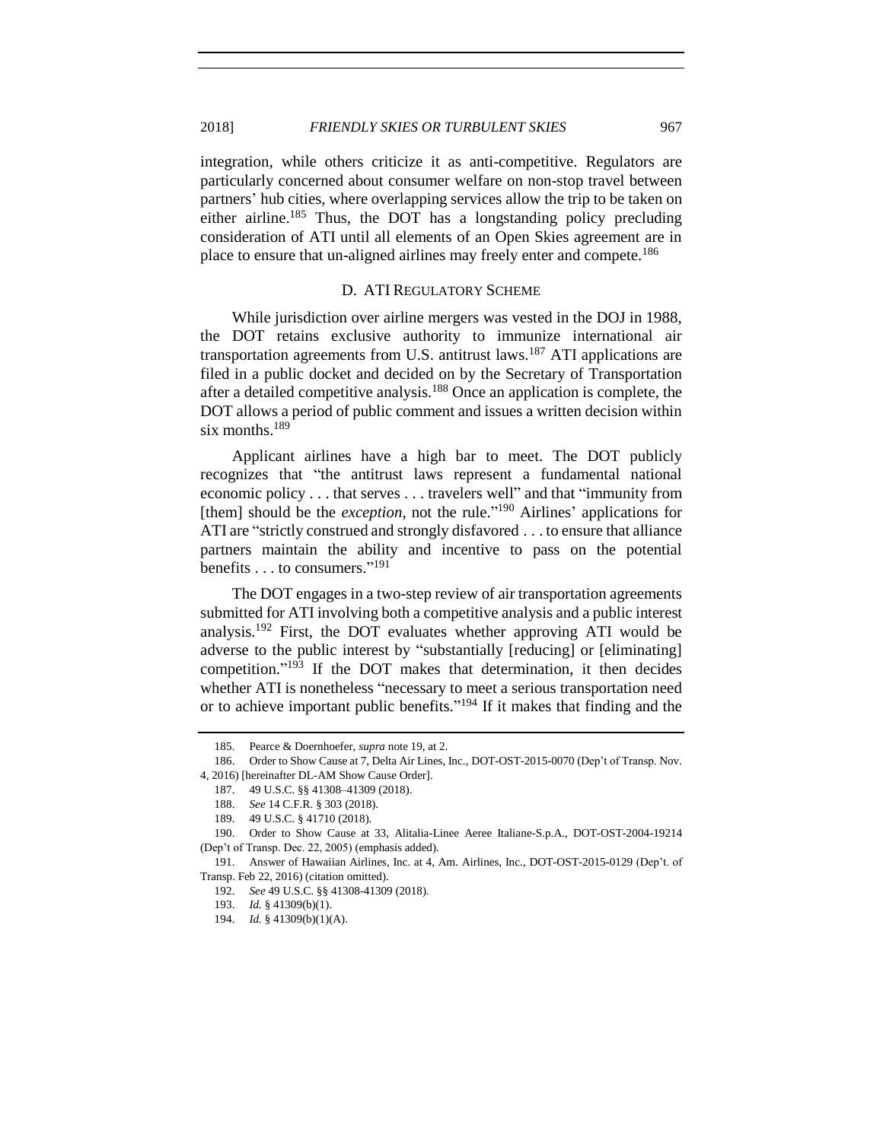integration, while others criticize it as anti-competitive. Regulators are particularly concerned about consumer welfare on non-stop travel between partners' hub cities, where overlapping services allow the trip to be taken on either airline.<sup>185</sup> Thus, the DOT has a longstanding policy precluding consideration of ATI until all elements of an Open Skies agreement are in place to ensure that un-aligned airlines may freely enter and compete.<sup>186</sup>

### D. ATI REGULATORY SCHEME

<span id="page-24-0"></span>While jurisdiction over airline mergers was vested in the DOJ in 1988, the DOT retains exclusive authority to immunize international air transportation agreements from U.S. antitrust laws.<sup>187</sup> ATI applications are filed in a public docket and decided on by the Secretary of Transportation after a detailed competitive analysis.<sup>188</sup> Once an application is complete, the DOT allows a period of public comment and issues a written decision within six months.<sup>189</sup>

Applicant airlines have a high bar to meet. The DOT publicly recognizes that "the antitrust laws represent a fundamental national economic policy . . . that serves . . . travelers well" and that "immunity from [them] should be the *exception*, not the rule."<sup>190</sup> Airlines' applications for ATI are "strictly construed and strongly disfavored . . . to ensure that alliance partners maintain the ability and incentive to pass on the potential benefits . . . to consumers." 191

<span id="page-24-2"></span>The DOT engages in a two-step review of air transportation agreements submitted for ATI involving both a competitive analysis and a public interest analysis.<sup>192</sup> First, the DOT evaluates whether approving ATI would be adverse to the public interest by "substantially [reducing] or [eliminating] competition." <sup>193</sup> If the DOT makes that determination, it then decides whether ATI is nonetheless "necessary to meet a serious transportation need or to achieve important public benefits."<sup>194</sup> If it makes that finding and the

<span id="page-24-1"></span>

<sup>185.</sup> Pearce & Doernhoefer, *supra* note [19,](#page-4-2) at 2.

<sup>186.</sup> Order to Show Cause at 7, Delta Air Lines, Inc., DOT-OST-2015-0070 (Dep't of Transp. Nov. 4, 2016) [hereinafter DL-AM Show Cause Order].

<sup>187.</sup> 49 U.S.C. §§ 41308–41309 (2018).

<sup>188.</sup> *See* 14 C.F.R. § 303 (2018).

<sup>189.</sup> 49 U.S.C. § 41710 (2018).

<sup>190.</sup> Order to Show Cause at 33, Alitalia-Linee Aeree Italiane-S.p.A., DOT-OST-2004-19214 (Dep't of Transp. Dec. 22, 2005) (emphasis added).

<sup>191.</sup> Answer of Hawaiian Airlines, Inc. at 4, Am. Airlines, Inc., DOT-OST-2015-0129 (Dep't. of Transp. Feb 22, 2016) (citation omitted).

<sup>192.</sup> *See* 49 U.S.C. §§ 41308-41309 (2018).

<sup>193.</sup> *Id.* § 41309(b)(1).

<sup>194.</sup> *Id.* § 41309(b)(1)(A).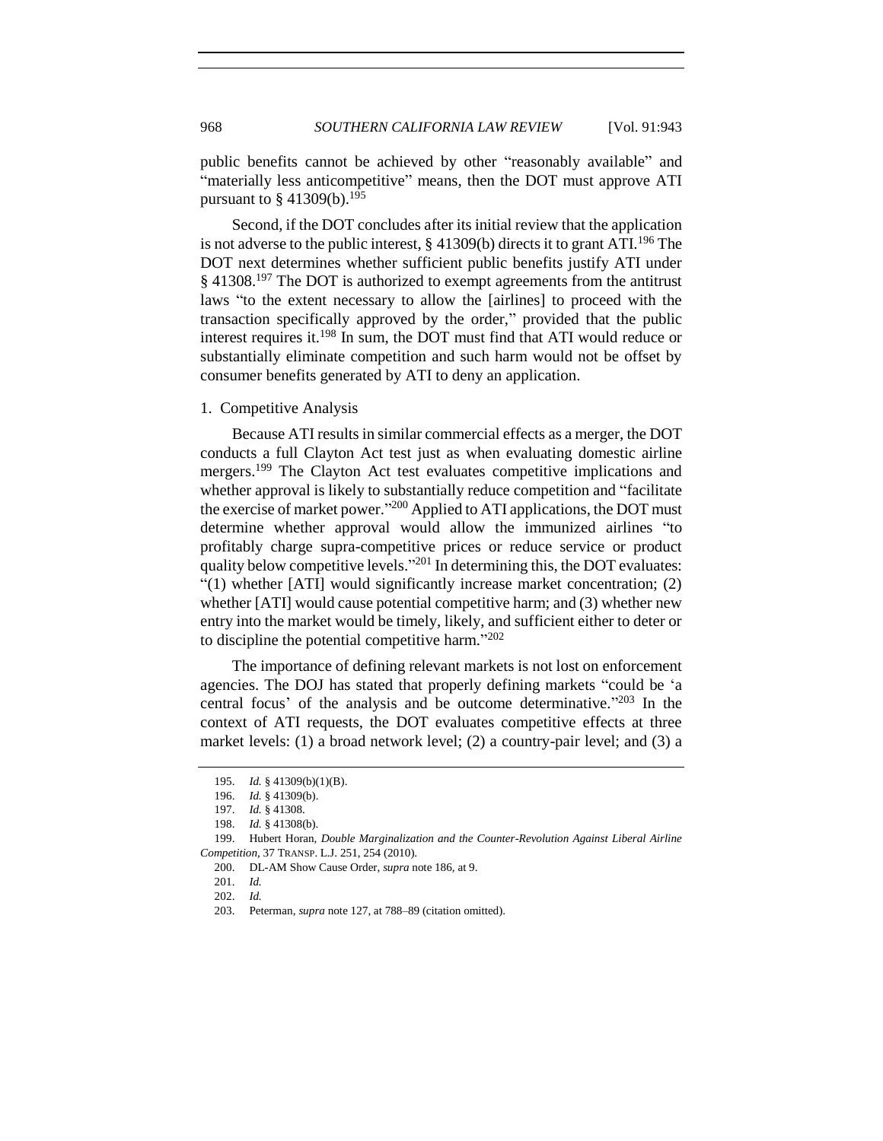public benefits cannot be achieved by other "reasonably available" and "materially less anticompetitive" means, then the DOT must approve ATI pursuant to  $§$  41309(b).<sup>195</sup>

Second, if the DOT concludes after its initial review that the application is not adverse to the public interest,  $\S$  41309(b) directs it to grant ATI.<sup>196</sup> The DOT next determines whether sufficient public benefits justify ATI under § 41308.<sup>197</sup> The DOT is authorized to exempt agreements from the antitrust laws "to the extent necessary to allow the [airlines] to proceed with the transaction specifically approved by the order," provided that the public interest requires it.<sup>198</sup> In sum, the DOT must find that ATI would reduce or substantially eliminate competition and such harm would not be offset by consumer benefits generated by ATI to deny an application.

#### <span id="page-25-0"></span>1. Competitive Analysis

<span id="page-25-1"></span>Because ATI results in similar commercial effects as a merger, the DOT conducts a full Clayton Act test just as when evaluating domestic airline mergers.<sup>199</sup> The Clayton Act test evaluates competitive implications and whether approval is likely to substantially reduce competition and "facilitate the exercise of market power."<sup>200</sup> Applied to ATI applications, the DOT must determine whether approval would allow the immunized airlines "to profitably charge supra-competitive prices or reduce service or product quality below competitive levels."<sup>201</sup> In determining this, the DOT evaluates: "(1) whether [ATI] would significantly increase market concentration; (2) whether [ATI] would cause potential competitive harm; and (3) whether new entry into the market would be timely, likely, and sufficient either to deter or to discipline the potential competitive harm."<sup>202</sup>

The importance of defining relevant markets is not lost on enforcement agencies. The DOJ has stated that properly defining markets "could be 'a central focus' of the analysis and be outcome determinative." <sup>203</sup> In the context of ATI requests, the DOT evaluates competitive effects at three market levels: (1) a broad network level; (2) a country-pair level; and (3) a

<sup>195.</sup> *Id.* § 41309(b)(1)(B).

<sup>196.</sup> *Id.* § 41309(b).

<sup>197.</sup> *Id.* § 41308.

<sup>198.</sup> *Id.* § 41308(b).

<sup>199.</sup> Hubert Horan, *Double Marginalization and the Counter-Revolution Against Liberal Airline Competition*, 37 TRANSP. L.J. 251, 254 (2010).

<sup>200.</sup> DL-AM Show Cause Order, *supra* not[e 186,](#page-24-1) at 9.

<sup>201.</sup> *Id.*

<sup>202.</sup> *Id.*

<sup>203.</sup> Peterman, *supra* not[e 127,](#page-17-1) at 788–89 (citation omitted).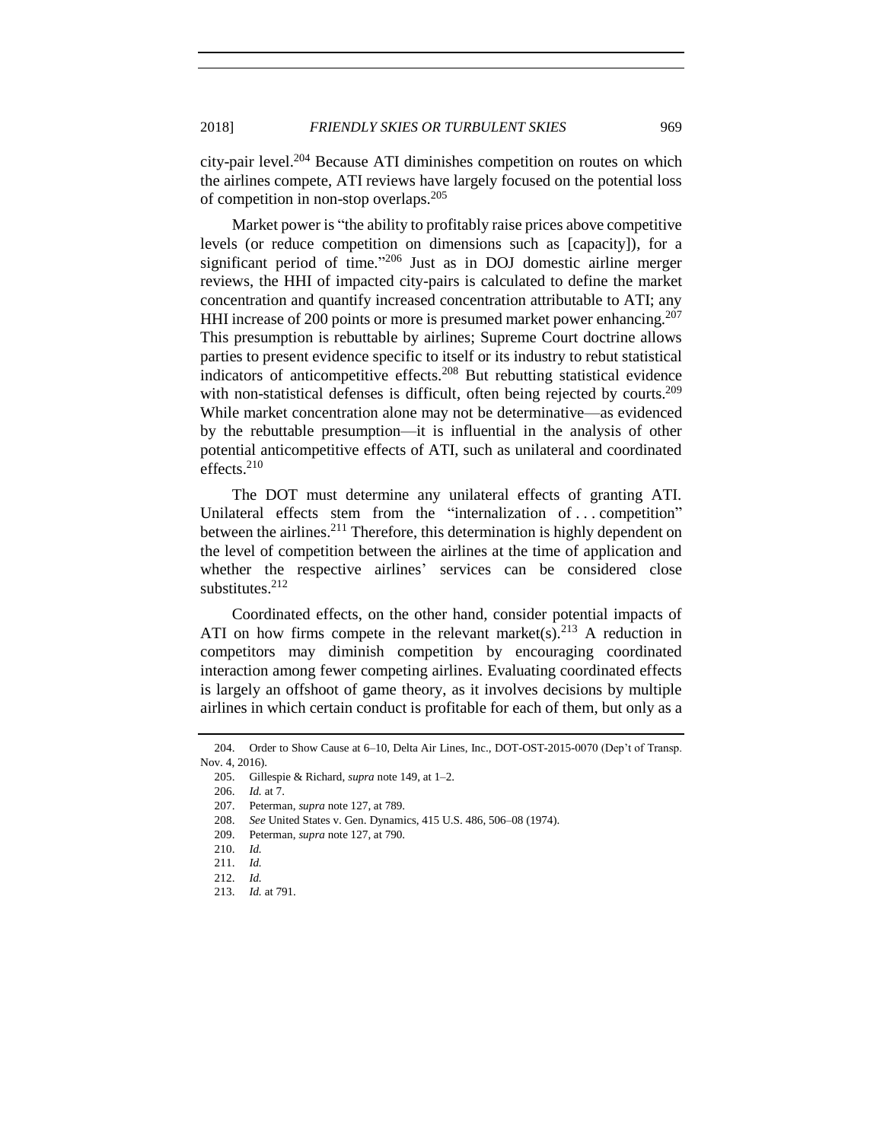city-pair level.<sup>204</sup> Because ATI diminishes competition on routes on which the airlines compete, ATI reviews have largely focused on the potential loss of competition in non-stop overlaps.<sup>205</sup>

Market power is "the ability to profitably raise prices above competitive levels (or reduce competition on dimensions such as [capacity]), for a significant period of time."<sup>206</sup> Just as in DOJ domestic airline merger reviews, the HHI of impacted city-pairs is calculated to define the market concentration and quantify increased concentration attributable to ATI; any HHI increase of 200 points or more is presumed market power enhancing.<sup>207</sup> This presumption is rebuttable by airlines; Supreme Court doctrine allows parties to present evidence specific to itself or its industry to rebut statistical indicators of anticompetitive effects.<sup>208</sup> But rebutting statistical evidence with non-statistical defenses is difficult, often being rejected by courts.<sup>209</sup> While market concentration alone may not be determinative—as evidenced by the rebuttable presumption—it is influential in the analysis of other potential anticompetitive effects of ATI, such as unilateral and coordinated effects.<sup>210</sup>

The DOT must determine any unilateral effects of granting ATI. Unilateral effects stem from the "internalization of ... competition" between the airlines.<sup>211</sup> Therefore, this determination is highly dependent on the level of competition between the airlines at the time of application and whether the respective airlines' services can be considered close substitutes.<sup>212</sup>

Coordinated effects, on the other hand, consider potential impacts of ATI on how firms compete in the relevant market(s). $213$  A reduction in competitors may diminish competition by encouraging coordinated interaction among fewer competing airlines. Evaluating coordinated effects is largely an offshoot of game theory, as it involves decisions by multiple airlines in which certain conduct is profitable for each of them, but only as a

<sup>204.</sup> Order to Show Cause at 6–10, Delta Air Lines, Inc., DOT-OST-2015-0070 (Dep't of Transp. Nov. 4, 2016).

<sup>205.</sup> Gillespie & Richard, *supra* not[e 149,](#page-19-0) at 1–2.

<sup>206.</sup> *Id.* at 7.

<sup>207.</sup> Peterman, *supra* not[e 127,](#page-17-1) at 789.

<sup>208.</sup> *See* United States v. Gen. Dynamics, 415 U.S. 486, 506–08 (1974).

<sup>209.</sup> Peterman, *supra* not[e 127,](#page-17-1) at 790.

<sup>210.</sup> *Id.*

<sup>211.</sup> *Id.*

<sup>212.</sup> *Id.*

<sup>213.</sup> *Id.* at 791.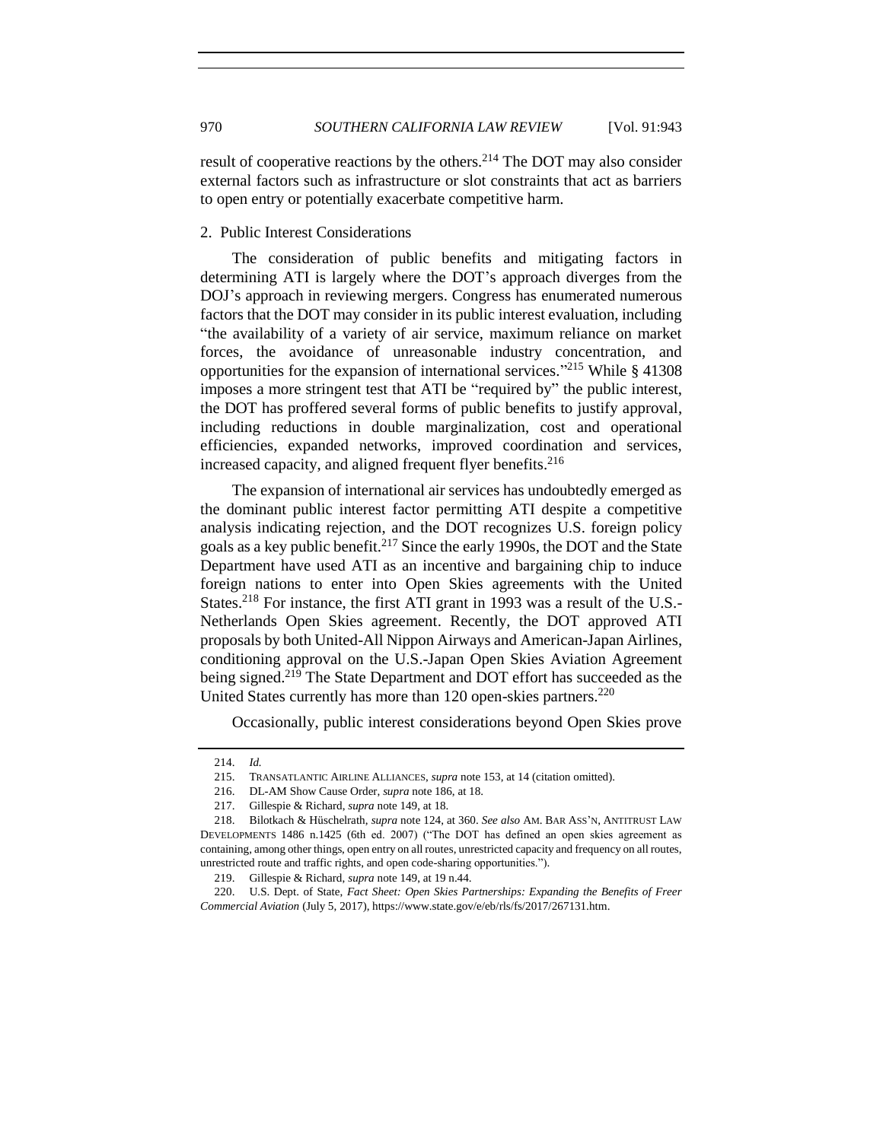result of cooperative reactions by the others.<sup>214</sup> The DOT may also consider external factors such as infrastructure or slot constraints that act as barriers to open entry or potentially exacerbate competitive harm.

## <span id="page-27-0"></span>2. Public Interest Considerations

The consideration of public benefits and mitigating factors in determining ATI is largely where the DOT's approach diverges from the DOJ's approach in reviewing mergers. Congress has enumerated numerous factors that the DOT may consider in its public interest evaluation, including "the availability of a variety of air service, maximum reliance on market forces, the avoidance of unreasonable industry concentration, and opportunities for the expansion of international services." <sup>215</sup> While § 41308 imposes a more stringent test that ATI be "required by" the public interest, the DOT has proffered several forms of public benefits to justify approval, including reductions in double marginalization, cost and operational efficiencies, expanded networks, improved coordination and services, increased capacity, and aligned frequent flyer benefits.<sup>216</sup>

<span id="page-27-1"></span>The expansion of international air services has undoubtedly emerged as the dominant public interest factor permitting ATI despite a competitive analysis indicating rejection, and the DOT recognizes U.S. foreign policy goals as a key public benefit.<sup>217</sup> Since the early 1990s, the DOT and the State Department have used ATI as an incentive and bargaining chip to induce foreign nations to enter into Open Skies agreements with the United States.<sup>218</sup> For instance, the first ATI grant in 1993 was a result of the U.S.-Netherlands Open Skies agreement. Recently, the DOT approved ATI proposals by both United-All Nippon Airways and American-Japan Airlines, conditioning approval on the U.S.-Japan Open Skies Aviation Agreement being signed.<sup>219</sup> The State Department and DOT effort has succeeded as the United States currently has more than  $120$  open-skies partners.<sup>220</sup>

Occasionally, public interest considerations beyond Open Skies prove

<sup>214.</sup> *Id.*

<sup>215.</sup> TRANSATLANTIC AIRLINE ALLIANCES, *supra* not[e 153,](#page-20-2) at 14 (citation omitted).

<sup>216.</sup> DL-AM Show Cause Order, *supra* not[e 186,](#page-24-1) at 18.

<sup>217.</sup> Gillespie & Richard, *supra* not[e 149,](#page-19-0) at 18.

<sup>218.</sup> Bilotkach & Hüschelrath, *supra* note [124,](#page-17-0) at 360. *See also* AM. BAR ASS'N, ANTITRUST LAW DEVELOPMENTS 1486 n.1425 (6th ed. 2007) ("The DOT has defined an open skies agreement as containing, among other things, open entry on all routes, unrestricted capacity and frequency on all routes, unrestricted route and traffic rights, and open code-sharing opportunities.").

<sup>219.</sup> Gillespie & Richard, *supra* not[e 149,](#page-19-0) at 19 n.44.

<sup>220.</sup> U.S. Dept. of State, *Fact Sheet: Open Skies Partnerships: Expanding the Benefits of Freer Commercial Aviation* (July 5, 2017), https://www.state.gov/e/eb/rls/fs/2017/267131.htm.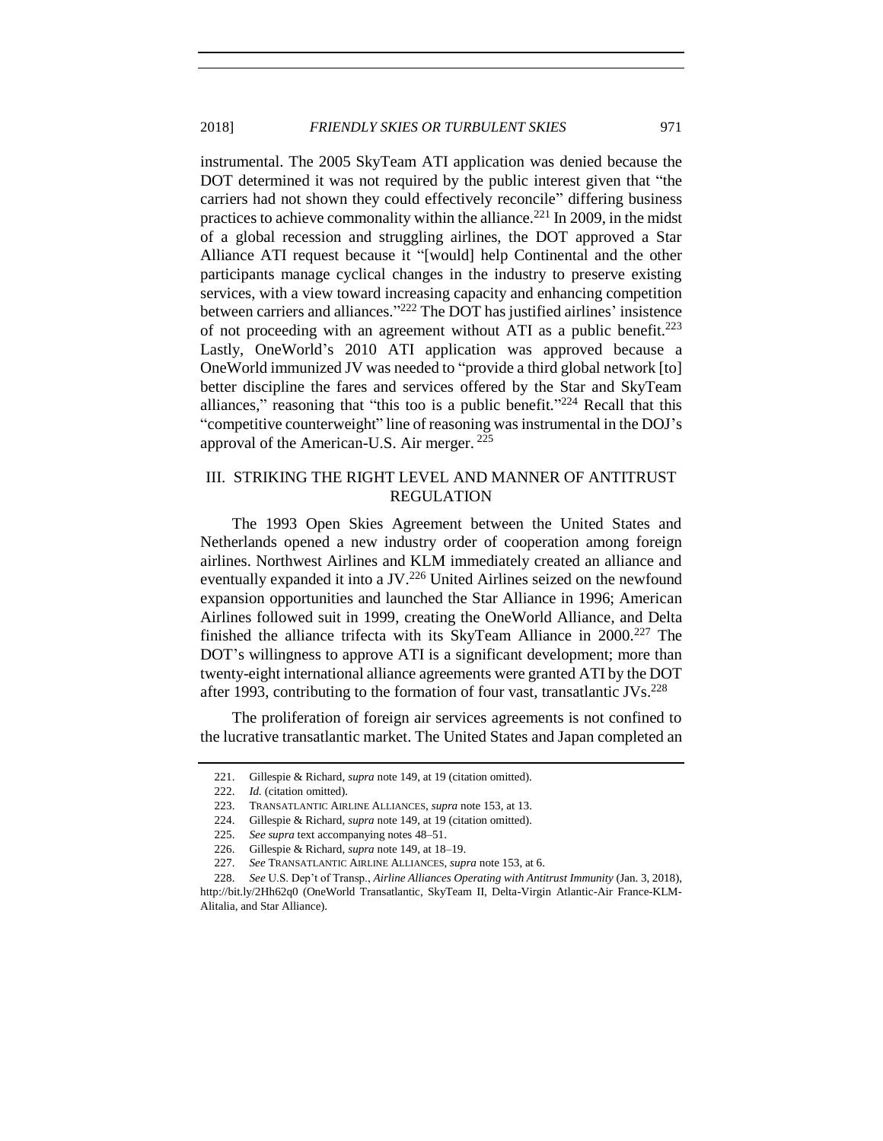instrumental. The 2005 SkyTeam ATI application was denied because the DOT determined it was not required by the public interest given that "the carriers had not shown they could effectively reconcile" differing business practices to achieve commonality within the alliance.<sup>221</sup> In 2009, in the midst of a global recession and struggling airlines, the DOT approved a Star Alliance ATI request because it "[would] help Continental and the other participants manage cyclical changes in the industry to preserve existing services, with a view toward increasing capacity and enhancing competition between carriers and alliances."<sup>222</sup> The DOT has justified airlines' insistence of not proceeding with an agreement without ATI as a public benefit.<sup>223</sup> Lastly, OneWorld's 2010 ATI application was approved because a OneWorld immunized JV was needed to "provide a third global network [to] better discipline the fares and services offered by the Star and SkyTeam alliances," reasoning that "this too is a public benefit." $224$  Recall that this "competitive counterweight" line of reasoning was instrumental in the DOJ's approval of the American-U.S. Air merger. <sup>225</sup>

# <span id="page-28-0"></span>III. STRIKING THE RIGHT LEVEL AND MANNER OF ANTITRUST REGULATION

The 1993 Open Skies Agreement between the United States and Netherlands opened a new industry order of cooperation among foreign airlines. Northwest Airlines and KLM immediately created an alliance and eventually expanded it into a JV.<sup>226</sup> United Airlines seized on the newfound expansion opportunities and launched the Star Alliance in 1996; American Airlines followed suit in 1999, creating the OneWorld Alliance, and Delta finished the alliance trifecta with its  $SkyTeam$  Alliance in 2000.<sup>227</sup> The DOT's willingness to approve ATI is a significant development; more than twenty-eight international alliance agreements were granted ATI by the DOT after 1993, contributing to the formation of four vast, transatlantic  $JVs^{228}$ 

The proliferation of foreign air services agreements is not confined to the lucrative transatlantic market. The United States and Japan completed an

<span id="page-28-1"></span><sup>221.</sup> Gillespie & Richard, *supra* not[e 149,](#page-19-0) at 19 (citation omitted).

<sup>222.</sup> *Id.* (citation omitted).

<sup>223.</sup> TRANSATLANTIC AIRLINE ALLIANCES, *supra* not[e 153,](#page-20-2) at 13.

<sup>224.</sup> Gillespie & Richard, *supra* not[e 149,](#page-19-0) at 19 (citation omitted).

<sup>225.</sup> *See supra* text accompanying notes [48–](#page-7-3)[51.](#page-8-1)

<sup>226.</sup> Gillespie & Richard, *supra* not[e 149,](#page-19-0) at 18–19.

<sup>227.</sup> *See* TRANSATLANTIC AIRLINE ALLIANCES, *supra* not[e 153,](#page-20-2) at 6.

<sup>228.</sup> *See* U.S. Dep't of Transp., *Airline Alliances Operating with Antitrust Immunity* (Jan. 3, 2018), http://bit.ly/2Hh62q0 (OneWorld Transatlantic, SkyTeam II, Delta-Virgin Atlantic-Air France-KLM-Alitalia, and Star Alliance).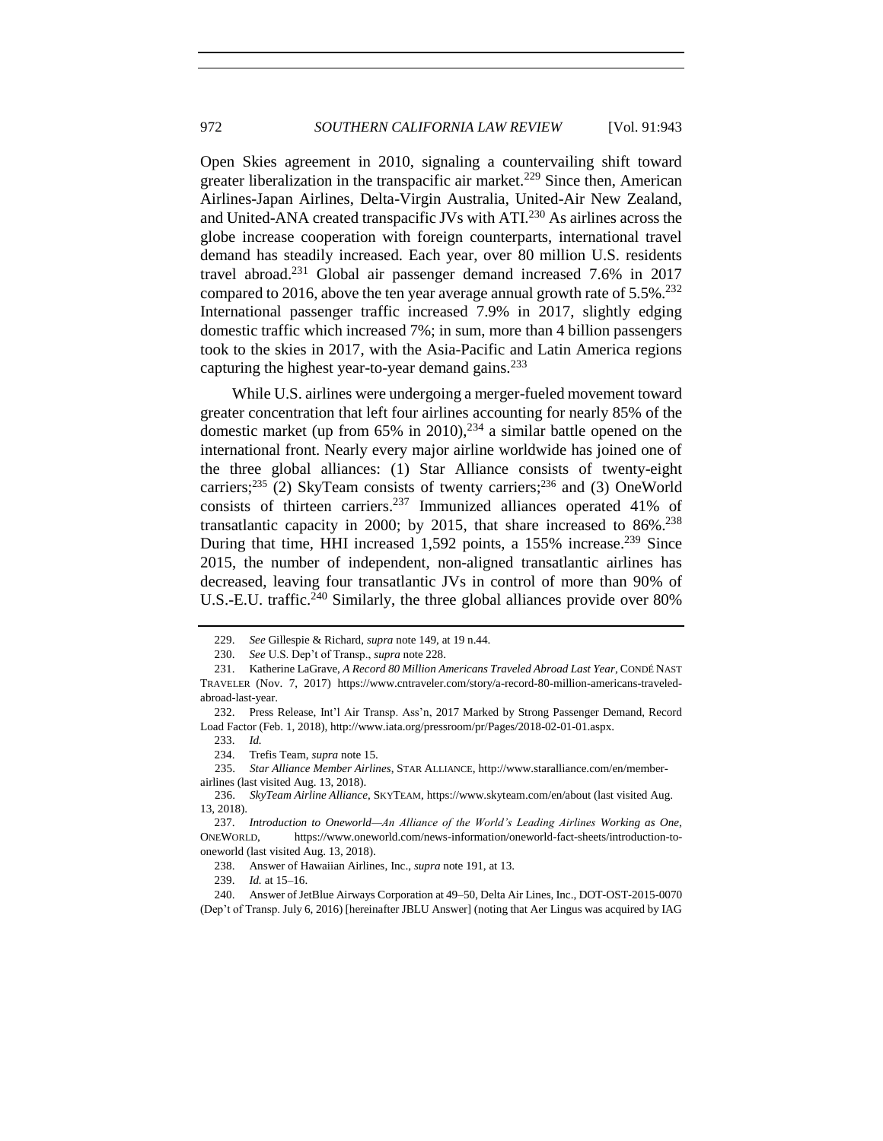Open Skies agreement in 2010, signaling a countervailing shift toward greater liberalization in the transpacific air market.<sup>229</sup> Since then, American Airlines-Japan Airlines, Delta-Virgin Australia, United-Air New Zealand, and United-ANA created transpacific JVs with ATI.<sup>230</sup> As airlines across the globe increase cooperation with foreign counterparts, international travel demand has steadily increased. Each year, over 80 million U.S. residents travel abroad.<sup>231</sup> Global air passenger demand increased 7.6% in 2017 compared to 2016, above the ten year average annual growth rate of  $5.5\%$ <sup>232</sup> International passenger traffic increased 7.9% in 2017, slightly edging domestic traffic which increased 7%; in sum, more than 4 billion passengers took to the skies in 2017, with the Asia-Pacific and Latin America regions capturing the highest year-to-year demand gains. $^{233}$ 

While U.S. airlines were undergoing a merger-fueled movement toward greater concentration that left four airlines accounting for nearly 85% of the domestic market (up from  $65\%$  in 2010),<sup>234</sup> a similar battle opened on the international front. Nearly every major airline worldwide has joined one of the three global alliances: (1) Star Alliance consists of twenty-eight carriers;<sup>235</sup> (2) SkyTeam consists of twenty carriers;<sup>236</sup> and (3) OneWorld consists of thirteen carriers. <sup>237</sup> Immunized alliances operated 41% of transatlantic capacity in 2000; by 2015, that share increased to  $86\%$ <sup>238</sup> During that time, HHI increased 1,592 points, a 155% increase.<sup>239</sup> Since 2015, the number of independent, non-aligned transatlantic airlines has decreased, leaving four transatlantic JVs in control of more than 90% of U.S.-E.U. traffic.<sup>240</sup> Similarly, the three global alliances provide over 80%

234. Trefis Team, *supra* not[e 15.](#page-3-2) 

239. *Id.* at 15–16.

240. Answer of JetBlue Airways Corporation at 49–50, Delta Air Lines, Inc., DOT-OST-2015-0070 (Dep't of Transp. July 6, 2016) [hereinafter JBLU Answer] (noting that Aer Lingus was acquired by IAG

<span id="page-29-0"></span><sup>229.</sup> *See* Gillespie & Richard, *supra* not[e 149,](#page-19-0) at 19 n.44.

<sup>230.</sup> *See* U.S. Dep't of Transp., *supra* not[e 228.](#page-28-1)

<sup>231.</sup> Katherine LaGrave, *A Record 80 Million Americans Traveled Abroad Last Year*, CONDÉ NAST TRAVELER (Nov. 7, 2017) https://www.cntraveler.com/story/a-record-80-million-americans-traveledabroad-last-year.

<sup>232.</sup> Press Release, Int'l Air Transp. Ass'n, 2017 Marked by Strong Passenger Demand, Record Load Factor (Feb. 1, 2018), http://www.iata.org/pressroom/pr/Pages/2018-02-01-01.aspx.

<sup>233.</sup> *Id.*

 <sup>235.</sup> *Star Alliance Member Airlines*, STAR ALLIANCE, http://www.staralliance.com/en/memberairlines (last visited Aug. 13, 2018).

 <sup>236.</sup> *SkyTeam Airline Alliance*, SKYTEAM, https://www.skyteam.com/en/about (last visited Aug. 13, 2018).

<sup>237.</sup> *Introduction to Oneworld—An Alliance of the World's Leading Airlines Working as One*, ONEWORLD, https://www.oneworld.com/news-information/oneworld-fact-sheets/introduction-tooneworld (last visited Aug. 13, 2018).

<sup>238.</sup> Answer of Hawaiian Airlines, Inc., *supra* not[e 191,](#page-24-2) at 13.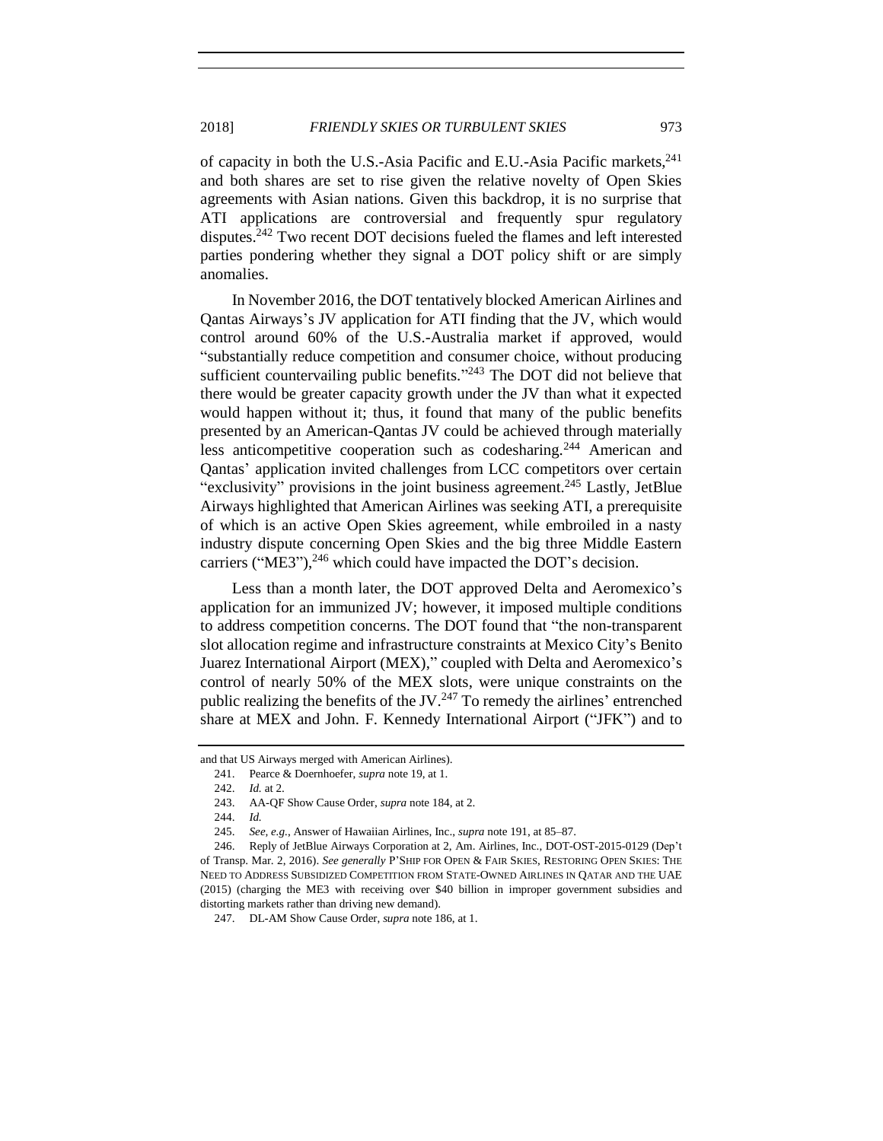of capacity in both the U.S.-Asia Pacific and E.U.-Asia Pacific markets, <sup>241</sup> and both shares are set to rise given the relative novelty of Open Skies agreements with Asian nations. Given this backdrop, it is no surprise that ATI applications are controversial and frequently spur regulatory disputes.<sup>242</sup> Two recent DOT decisions fueled the flames and left interested parties pondering whether they signal a DOT policy shift or are simply anomalies.

In November 2016, the DOT tentatively blocked American Airlines and Qantas Airways's JV application for ATI finding that the JV, which would control around 60% of the U.S.-Australia market if approved, would "substantially reduce competition and consumer choice, without producing sufficient countervailing public benefits."<sup>243</sup> The DOT did not believe that there would be greater capacity growth under the JV than what it expected would happen without it; thus, it found that many of the public benefits presented by an American-Qantas JV could be achieved through materially less anticompetitive cooperation such as codesharing.<sup>244</sup> American and Qantas' application invited challenges from LCC competitors over certain "exclusivity" provisions in the joint business agreement.<sup>245</sup> Lastly, JetBlue Airways highlighted that American Airlines was seeking ATI, a prerequisite of which is an active Open Skies agreement, while embroiled in a nasty industry dispute concerning Open Skies and the big three Middle Eastern carriers ("ME3"), $^{246}$  which could have impacted the DOT's decision.

Less than a month later, the DOT approved Delta and Aeromexico's application for an immunized JV; however, it imposed multiple conditions to address competition concerns. The DOT found that "the non-transparent slot allocation regime and infrastructure constraints at Mexico City's Benito Juarez International Airport (MEX)," coupled with Delta and Aeromexico's control of nearly 50% of the MEX slots, were unique constraints on the public realizing the benefits of the JV. $^{247}$  To remedy the airlines' entrenched share at MEX and John. F. Kennedy International Airport ("JFK") and to

and that US Airways merged with American Airlines).

<sup>241.</sup> Pearce & Doernhoefer, *supra* not[e 19,](#page-4-2) at 1.

<sup>242.</sup> *Id.* at 2.

<sup>243.</sup> AA-QF Show Cause Order, *supra* note [184,](#page-23-2) at 2.

<sup>244.</sup> *Id.*

<sup>245.</sup> *See, e.g.*, Answer of Hawaiian Airlines, Inc., *supra* note [191,](#page-24-2) at 85–87.

<sup>246.</sup> Reply of JetBlue Airways Corporation at 2, Am. Airlines, Inc., DOT-OST-2015-0129 (Dep't of Transp. Mar. 2, 2016). *See generally* P'SHIP FOR OPEN & FAIR SKIES, RESTORING OPEN SKIES: THE NEED TO ADDRESS SUBSIDIZED COMPETITION FROM STATE-OWNED AIRLINES IN QATAR AND THE UAE (2015) (charging the ME3 with receiving over \$40 billion in improper government subsidies and distorting markets rather than driving new demand).

<sup>247.</sup> DL-AM Show Cause Order, *supra* not[e 186,](#page-24-1) at 1.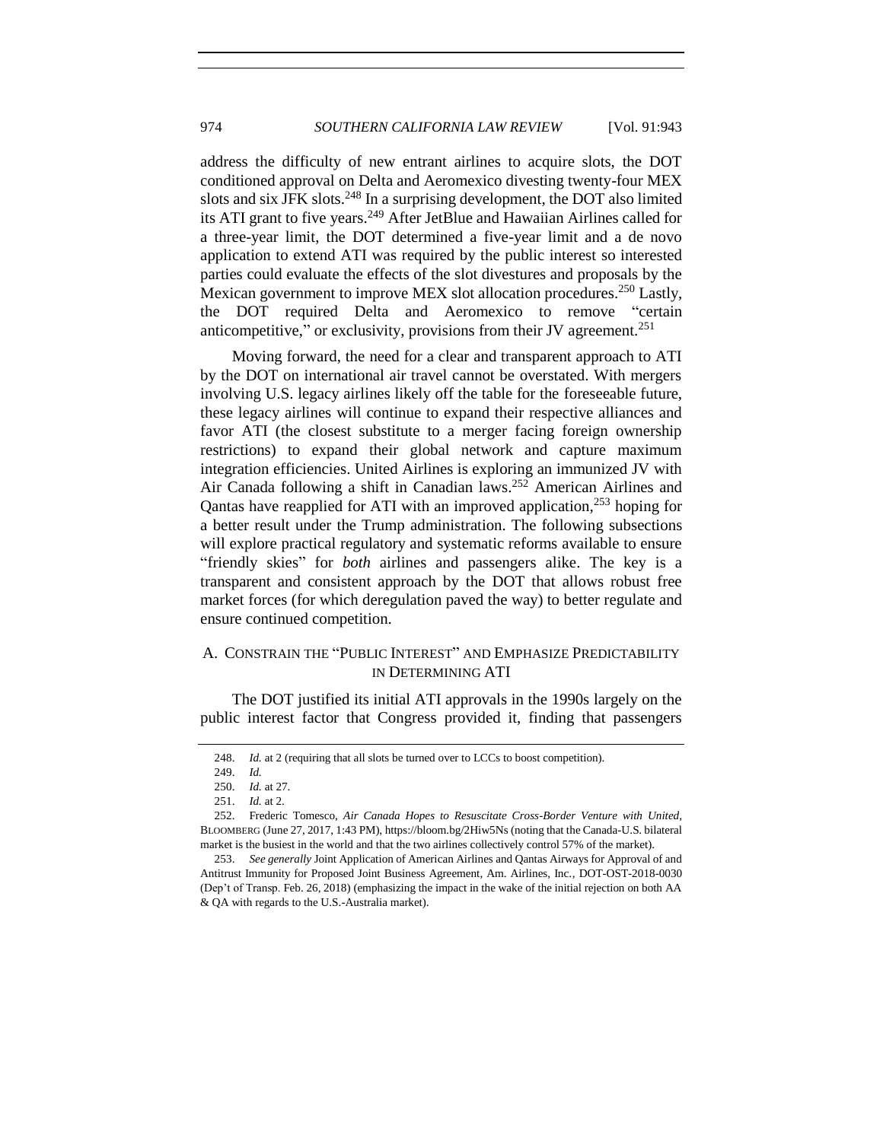address the difficulty of new entrant airlines to acquire slots, the DOT conditioned approval on Delta and Aeromexico divesting twenty-four MEX slots and six JFK slots.<sup>248</sup> In a surprising development, the DOT also limited its ATI grant to five years.<sup>249</sup> After JetBlue and Hawaiian Airlines called for a three-year limit, the DOT determined a five-year limit and a de novo application to extend ATI was required by the public interest so interested parties could evaluate the effects of the slot divestures and proposals by the Mexican government to improve MEX slot allocation procedures.<sup>250</sup> Lastly, the DOT required Delta and Aeromexico to remove "certain anticompetitive," or exclusivity, provisions from their JV agreement.<sup>251</sup>

Moving forward, the need for a clear and transparent approach to ATI by the DOT on international air travel cannot be overstated. With mergers involving U.S. legacy airlines likely off the table for the foreseeable future, these legacy airlines will continue to expand their respective alliances and favor ATI (the closest substitute to a merger facing foreign ownership restrictions) to expand their global network and capture maximum integration efficiencies. United Airlines is exploring an immunized JV with Air Canada following a shift in Canadian laws.<sup>252</sup> American Airlines and Qantas have reapplied for ATI with an improved application,<sup>253</sup> hoping for a better result under the Trump administration. The following subsections will explore practical regulatory and systematic reforms available to ensure "friendly skies" for *both* airlines and passengers alike. The key is a transparent and consistent approach by the DOT that allows robust free market forces (for which deregulation paved the way) to better regulate and ensure continued competition.

# <span id="page-31-0"></span>A. CONSTRAIN THE "PUBLIC INTEREST" AND EMPHASIZE PREDICTABILITY IN DETERMINING ATI

The DOT justified its initial ATI approvals in the 1990s largely on the public interest factor that Congress provided it, finding that passengers

<sup>248.</sup> *Id.* at 2 (requiring that all slots be turned over to LCCs to boost competition).

<sup>249.</sup> *Id.*

<sup>250.</sup> *Id.* at 27.

<sup>251.</sup> *Id.* at 2.

<sup>252.</sup> Frederic Tomesco, *Air Canada Hopes to Resuscitate Cross-Border Venture with United*, BLOOMBERG (June 27, 2017, 1:43 PM), https://bloom.bg/2Hiw5Ns (noting that the Canada-U.S. bilateral market is the busiest in the world and that the two airlines collectively control 57% of the market).

<sup>253.</sup> *See generally* Joint Application of American Airlines and Qantas Airways for Approval of and Antitrust Immunity for Proposed Joint Business Agreement, Am. Airlines, Inc., DOT-OST-2018-0030 (Dep't of Transp. Feb. 26, 2018) (emphasizing the impact in the wake of the initial rejection on both AA & QA with regards to the U.S.-Australia market).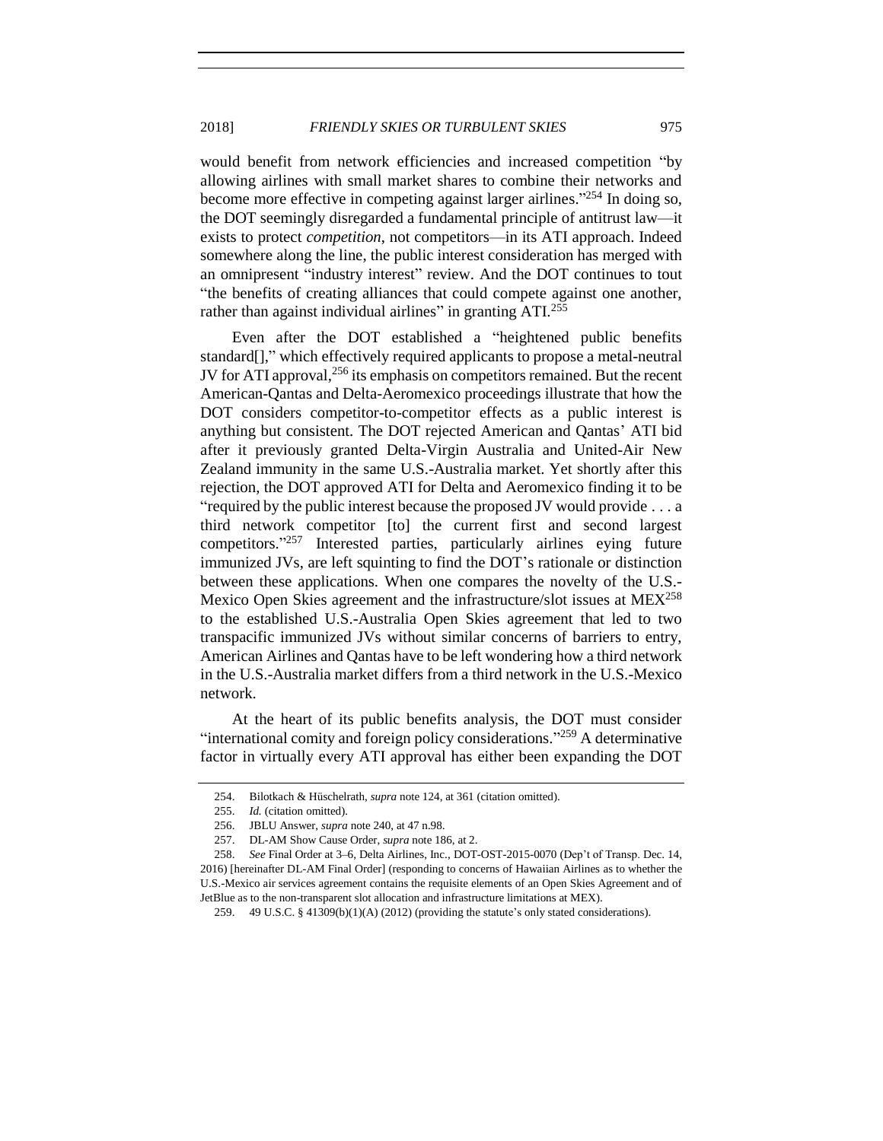would benefit from network efficiencies and increased competition "by allowing airlines with small market shares to combine their networks and become more effective in competing against larger airlines."<sup>254</sup> In doing so, the DOT seemingly disregarded a fundamental principle of antitrust law—it exists to protect *competition*, not competitors—in its ATI approach. Indeed somewhere along the line, the public interest consideration has merged with an omnipresent "industry interest" review. And the DOT continues to tout "the benefits of creating alliances that could compete against one another, rather than against individual airlines" in granting  $ATI<sup>255</sup>$ 

Even after the DOT established a "heightened public benefits standard[]," which effectively required applicants to propose a metal-neutral JV for ATI approval,<sup>256</sup> its emphasis on competitors remained. But the recent American-Qantas and Delta-Aeromexico proceedings illustrate that how the DOT considers competitor-to-competitor effects as a public interest is anything but consistent. The DOT rejected American and Qantas' ATI bid after it previously granted Delta-Virgin Australia and United-Air New Zealand immunity in the same U.S.-Australia market. Yet shortly after this rejection, the DOT approved ATI for Delta and Aeromexico finding it to be "required by the public interest because the proposed JV would provide . . . a third network competitor [to] the current first and second largest competitors." <sup>257</sup> Interested parties, particularly airlines eying future immunized JVs, are left squinting to find the DOT's rationale or distinction between these applications. When one compares the novelty of the U.S.- Mexico Open Skies agreement and the infrastructure/slot issues at MEX<sup>258</sup> to the established U.S.-Australia Open Skies agreement that led to two transpacific immunized JVs without similar concerns of barriers to entry, American Airlines and Qantas have to be left wondering how a third network in the U.S.-Australia market differs from a third network in the U.S.-Mexico network.

At the heart of its public benefits analysis, the DOT must consider "international comity and foreign policy considerations."<sup>259</sup> A determinative factor in virtually every ATI approval has either been expanding the DOT

<span id="page-32-0"></span>

<sup>254.</sup> Bilotkach & Hüschelrath, *supra* not[e 124,](#page-17-0) at 361 (citation omitted).

<sup>255.</sup> *Id.* (citation omitted).

<sup>256.</sup> JBLU Answer, *supra* not[e 240,](#page-29-0) at 47 n.98.

<sup>257.</sup> DL-AM Show Cause Order, *supra* not[e 186,](#page-24-1) at 2.

<sup>258.</sup> *See* Final Order at 3–6, Delta Airlines, Inc., DOT-OST-2015-0070 (Dep't of Transp. Dec. 14, 2016) [hereinafter DL-AM Final Order] (responding to concerns of Hawaiian Airlines as to whether the U.S.-Mexico air services agreement contains the requisite elements of an Open Skies Agreement and of JetBlue as to the non-transparent slot allocation and infrastructure limitations at MEX).

<sup>259.</sup> 49 U.S.C. § 41309(b)(1)(A) (2012) (providing the statute's only stated considerations).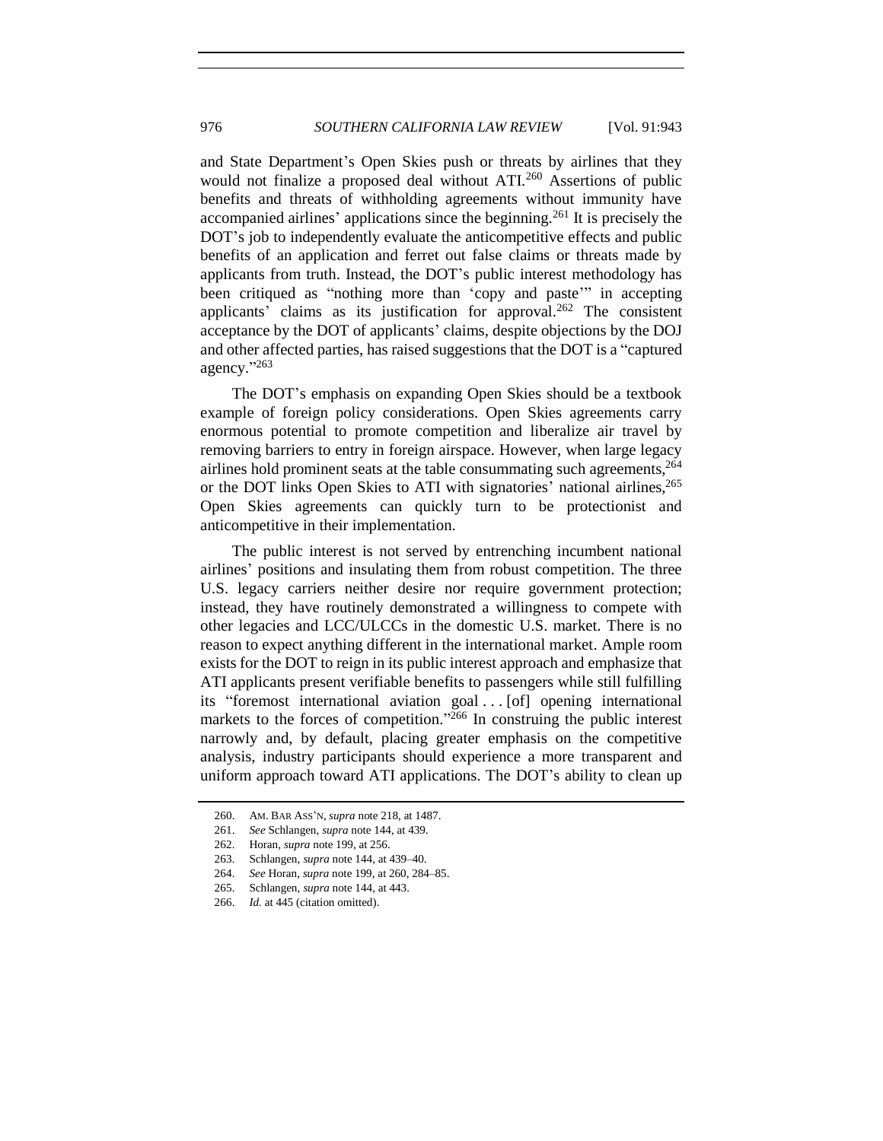and State Department's Open Skies push or threats by airlines that they would not finalize a proposed deal without ATI.<sup>260</sup> Assertions of public benefits and threats of withholding agreements without immunity have accompanied airlines' applications since the beginning.<sup>261</sup> It is precisely the DOT's job to independently evaluate the anticompetitive effects and public benefits of an application and ferret out false claims or threats made by applicants from truth. Instead, the DOT's public interest methodology has been critiqued as "nothing more than 'copy and paste'" in accepting applicants' claims as its justification for approval.<sup>262</sup> The consistent acceptance by the DOT of applicants' claims, despite objections by the DOJ and other affected parties, has raised suggestions that the DOT is a "captured agency." 263

The DOT's emphasis on expanding Open Skies should be a textbook example of foreign policy considerations. Open Skies agreements carry enormous potential to promote competition and liberalize air travel by removing barriers to entry in foreign airspace. However, when large legacy airlines hold prominent seats at the table consummating such agreements, 264 or the DOT links Open Skies to ATI with signatories' national airlines,<sup>265</sup> Open Skies agreements can quickly turn to be protectionist and anticompetitive in their implementation.

The public interest is not served by entrenching incumbent national airlines' positions and insulating them from robust competition. The three U.S. legacy carriers neither desire nor require government protection; instead, they have routinely demonstrated a willingness to compete with other legacies and LCC/ULCCs in the domestic U.S. market. There is no reason to expect anything different in the international market. Ample room exists for the DOT to reign in its public interest approach and emphasize that ATI applicants present verifiable benefits to passengers while still fulfilling its "foremost international aviation goal . . . [of] opening international markets to the forces of competition."<sup>266</sup> In construing the public interest narrowly and, by default, placing greater emphasis on the competitive analysis, industry participants should experience a more transparent and uniform approach toward ATI applications. The DOT's ability to clean up

<sup>260.</sup> AM. BAR ASS'N, *supra* note [218,](#page-27-1) at 1487.

<sup>261.</sup> *See* Schlangen, *supra* not[e 144,](#page-19-1) at 439.

<sup>262.</sup> Horan, *supra* not[e 199,](#page-25-1) at 256.

<sup>263.</sup> Schlangen, *supra* not[e 144,](#page-19-1) at 439–40.

<sup>264.</sup> *See* Horan, *supra* not[e 199,](#page-25-1) at 260, 284–85.

<sup>265.</sup> Schlangen, *supra* not[e 144,](#page-19-1) at 443.

<sup>266.</sup> *Id.* at 445 (citation omitted).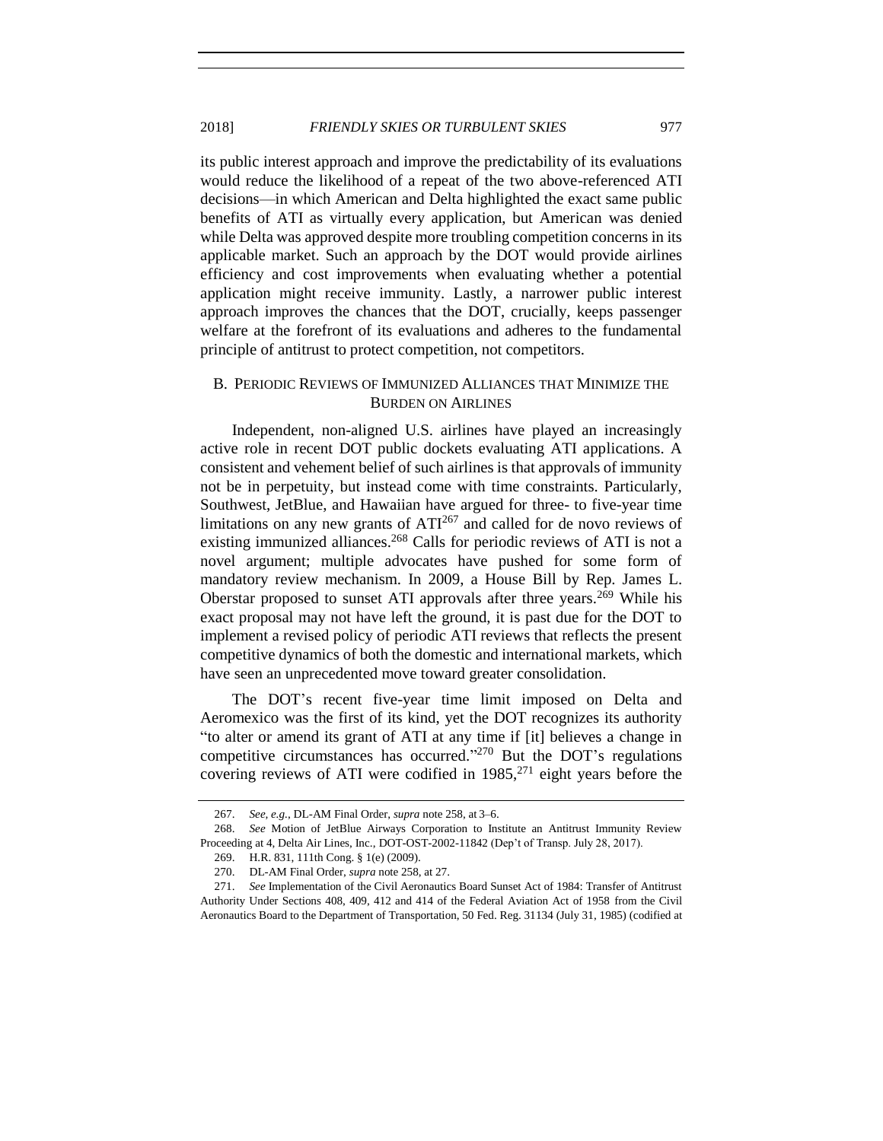its public interest approach and improve the predictability of its evaluations would reduce the likelihood of a repeat of the two above-referenced ATI decisions—in which American and Delta highlighted the exact same public benefits of ATI as virtually every application, but American was denied while Delta was approved despite more troubling competition concerns in its applicable market. Such an approach by the DOT would provide airlines efficiency and cost improvements when evaluating whether a potential application might receive immunity. Lastly, a narrower public interest approach improves the chances that the DOT, crucially, keeps passenger welfare at the forefront of its evaluations and adheres to the fundamental principle of antitrust to protect competition, not competitors.

## <span id="page-34-0"></span>B. PERIODIC REVIEWS OF IMMUNIZED ALLIANCES THAT MINIMIZE THE BURDEN ON AIRLINES

Independent, non-aligned U.S. airlines have played an increasingly active role in recent DOT public dockets evaluating ATI applications. A consistent and vehement belief of such airlines is that approvals of immunity not be in perpetuity, but instead come with time constraints. Particularly, Southwest, JetBlue, and Hawaiian have argued for three- to five-year time limitations on any new grants of  $ATI<sup>267</sup>$  and called for de novo reviews of existing immunized alliances.<sup>268</sup> Calls for periodic reviews of ATI is not a novel argument; multiple advocates have pushed for some form of mandatory review mechanism. In 2009, a House Bill by Rep. James L. Oberstar proposed to sunset ATI approvals after three years.<sup>269</sup> While his exact proposal may not have left the ground, it is past due for the DOT to implement a revised policy of periodic ATI reviews that reflects the present competitive dynamics of both the domestic and international markets, which have seen an unprecedented move toward greater consolidation.

The DOT's recent five-year time limit imposed on Delta and Aeromexico was the first of its kind, yet the DOT recognizes its authority "to alter or amend its grant of ATI at any time if [it] believes a change in competitive circumstances has occurred." <sup>270</sup> But the DOT's regulations covering reviews of ATI were codified in  $1985$ ,<sup>271</sup> eight years before the

<sup>267.</sup> *See, e.g.*, DL-AM Final Order, *supra* not[e 258,](#page-32-0) at 3–6.

<sup>268.</sup> *See* Motion of JetBlue Airways Corporation to Institute an Antitrust Immunity Review Proceeding at 4, Delta Air Lines, Inc., DOT-OST-2002-11842 (Dep't of Transp. July 28, 2017).

<sup>269.</sup> H.R. 831, 111th Cong. § 1(e) (2009).

<sup>270.</sup> DL-AM Final Order, *supra* not[e 258,](#page-32-0) at 27.

<sup>271.</sup> *See* Implementation of the Civil Aeronautics Board Sunset Act of 1984: Transfer of Antitrust Authority Under Sections 408, 409, 412 and 414 of the Federal Aviation Act of 1958 from the Civil Aeronautics Board to the Department of Transportation, 50 Fed. Reg. 31134 (July 31, 1985) (codified at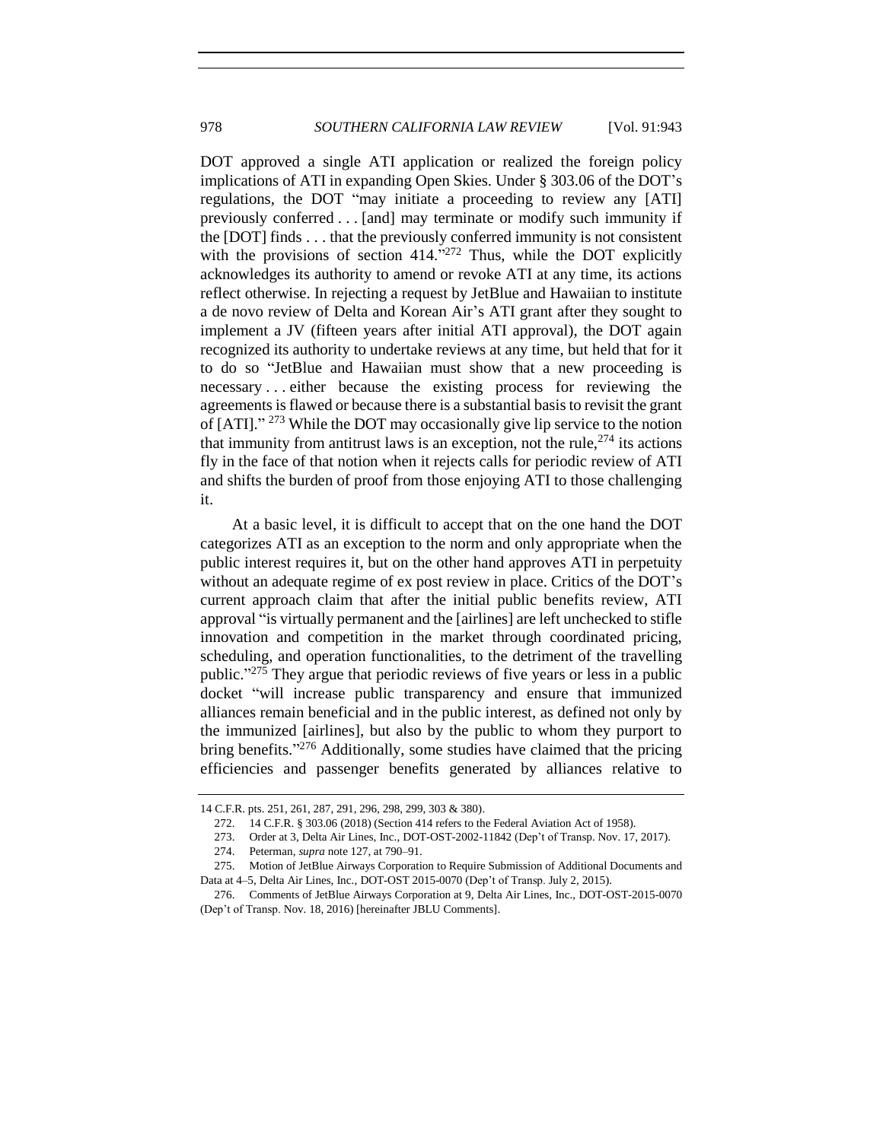DOT approved a single ATI application or realized the foreign policy implications of ATI in expanding Open Skies. Under § 303.06 of the DOT's regulations, the DOT "may initiate a proceeding to review any [ATI] previously conferred . . . [and] may terminate or modify such immunity if the [DOT] finds . . . that the previously conferred immunity is not consistent with the provisions of section  $414.^{272}$  Thus, while the DOT explicitly acknowledges its authority to amend or revoke ATI at any time, its actions reflect otherwise. In rejecting a request by JetBlue and Hawaiian to institute a de novo review of Delta and Korean Air's ATI grant after they sought to implement a JV (fifteen years after initial ATI approval), the DOT again recognized its authority to undertake reviews at any time, but held that for it to do so "JetBlue and Hawaiian must show that a new proceeding is necessary . . . either because the existing process for reviewing the agreements is flawed or because there is a substantial basis to revisit the grant of [ATI]."<sup>273</sup> While the DOT may occasionally give lip service to the notion that immunity from antitrust laws is an exception, not the rule,  $274$  its actions fly in the face of that notion when it rejects calls for periodic review of ATI and shifts the burden of proof from those enjoying ATI to those challenging it.

At a basic level, it is difficult to accept that on the one hand the DOT categorizes ATI as an exception to the norm and only appropriate when the public interest requires it, but on the other hand approves ATI in perpetuity without an adequate regime of ex post review in place. Critics of the DOT's current approach claim that after the initial public benefits review, ATI approval "is virtually permanent and the [airlines] are left unchecked to stifle innovation and competition in the market through coordinated pricing, scheduling, and operation functionalities, to the detriment of the travelling public."<sup>275</sup> They argue that periodic reviews of five years or less in a public docket "will increase public transparency and ensure that immunized alliances remain beneficial and in the public interest, as defined not only by the immunized [airlines], but also by the public to whom they purport to bring benefits."<sup>276</sup> Additionally, some studies have claimed that the pricing efficiencies and passenger benefits generated by alliances relative to

<sup>14</sup> C.F.R. pts. 251, 261, 287, 291, 296, 298, 299, 303 & 380).

<span id="page-35-0"></span><sup>272.</sup> 14 C.F.R. § 303.06 (2018) (Section 414 refers to the Federal Aviation Act of 1958).

<sup>273.</sup> Order at 3, Delta Air Lines, Inc., DOT-OST-2002-11842 (Dep't of Transp. Nov. 17, 2017).

<sup>274.</sup> Peterman, *supra* not[e 127,](#page-17-1) at 790–91.

<sup>275.</sup> Motion of JetBlue Airways Corporation to Require Submission of Additional Documents and Data at 4–5, Delta Air Lines, Inc., DOT-OST 2015-0070 (Dep't of Transp. July 2, 2015).

<sup>276.</sup> Comments of JetBlue Airways Corporation at 9, Delta Air Lines, Inc., DOT-OST-2015-0070 (Dep't of Transp. Nov. 18, 2016) [hereinafter JBLU Comments].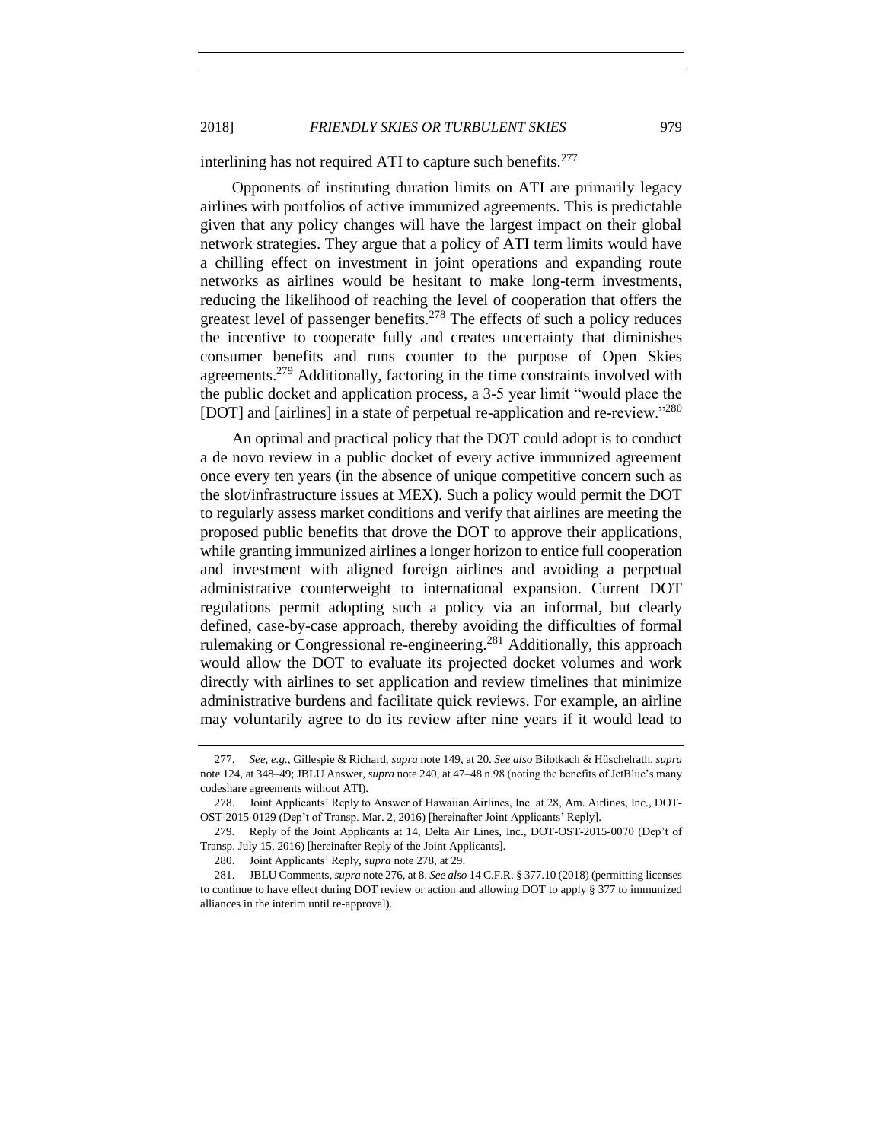interlining has not required ATI to capture such benefits.<sup>277</sup>

Opponents of instituting duration limits on ATI are primarily legacy airlines with portfolios of active immunized agreements. This is predictable given that any policy changes will have the largest impact on their global network strategies. They argue that a policy of ATI term limits would have a chilling effect on investment in joint operations and expanding route networks as airlines would be hesitant to make long-term investments, reducing the likelihood of reaching the level of cooperation that offers the greatest level of passenger benefits.<sup>278</sup> The effects of such a policy reduces the incentive to cooperate fully and creates uncertainty that diminishes consumer benefits and runs counter to the purpose of Open Skies agreements.<sup>279</sup> Additionally, factoring in the time constraints involved with the public docket and application process, a 3-5 year limit "would place the [DOT] and [airlines] in a state of perpetual re-application and re-review."<sup>280</sup>

<span id="page-36-1"></span><span id="page-36-0"></span>An optimal and practical policy that the DOT could adopt is to conduct a de novo review in a public docket of every active immunized agreement once every ten years (in the absence of unique competitive concern such as the slot/infrastructure issues at MEX). Such a policy would permit the DOT to regularly assess market conditions and verify that airlines are meeting the proposed public benefits that drove the DOT to approve their applications, while granting immunized airlines a longer horizon to entice full cooperation and investment with aligned foreign airlines and avoiding a perpetual administrative counterweight to international expansion. Current DOT regulations permit adopting such a policy via an informal, but clearly defined, case-by-case approach, thereby avoiding the difficulties of formal rulemaking or Congressional re-engineering.<sup>281</sup> Additionally, this approach would allow the DOT to evaluate its projected docket volumes and work directly with airlines to set application and review timelines that minimize administrative burdens and facilitate quick reviews. For example, an airline may voluntarily agree to do its review after nine years if it would lead to

<sup>277.</sup> *See, e.g.*, Gillespie & Richard, *supra* not[e 149,](#page-19-0) at 20. *See also* Bilotkach & Hüschelrath, *supra* not[e 124,](#page-17-0) at 348–49; JBLU Answer, *supra* not[e 240,](#page-29-0) at 47–48 n.98 (noting the benefits of JetBlue's many codeshare agreements without ATI).

<sup>278.</sup> Joint Applicants' Reply to Answer of Hawaiian Airlines, Inc. at 28, Am. Airlines, Inc., DOT-OST-2015-0129 (Dep't of Transp. Mar. 2, 2016) [hereinafter Joint Applicants' Reply].

<sup>279.</sup> Reply of the Joint Applicants at 14, Delta Air Lines, Inc., DOT-OST-2015-0070 (Dep't of Transp. July 15, 2016) [hereinafter Reply of the Joint Applicants].

<sup>280.</sup> Joint Applicants' Reply, *supra* not[e 278,](#page-36-0) at 29.

<sup>281.</sup> JBLU Comments, *supra* not[e 276,](#page-35-0) at 8. *See also* 14 C.F.R. § 377.10 (2018) (permitting licenses to continue to have effect during DOT review or action and allowing DOT to apply § 377 to immunized alliances in the interim until re-approval).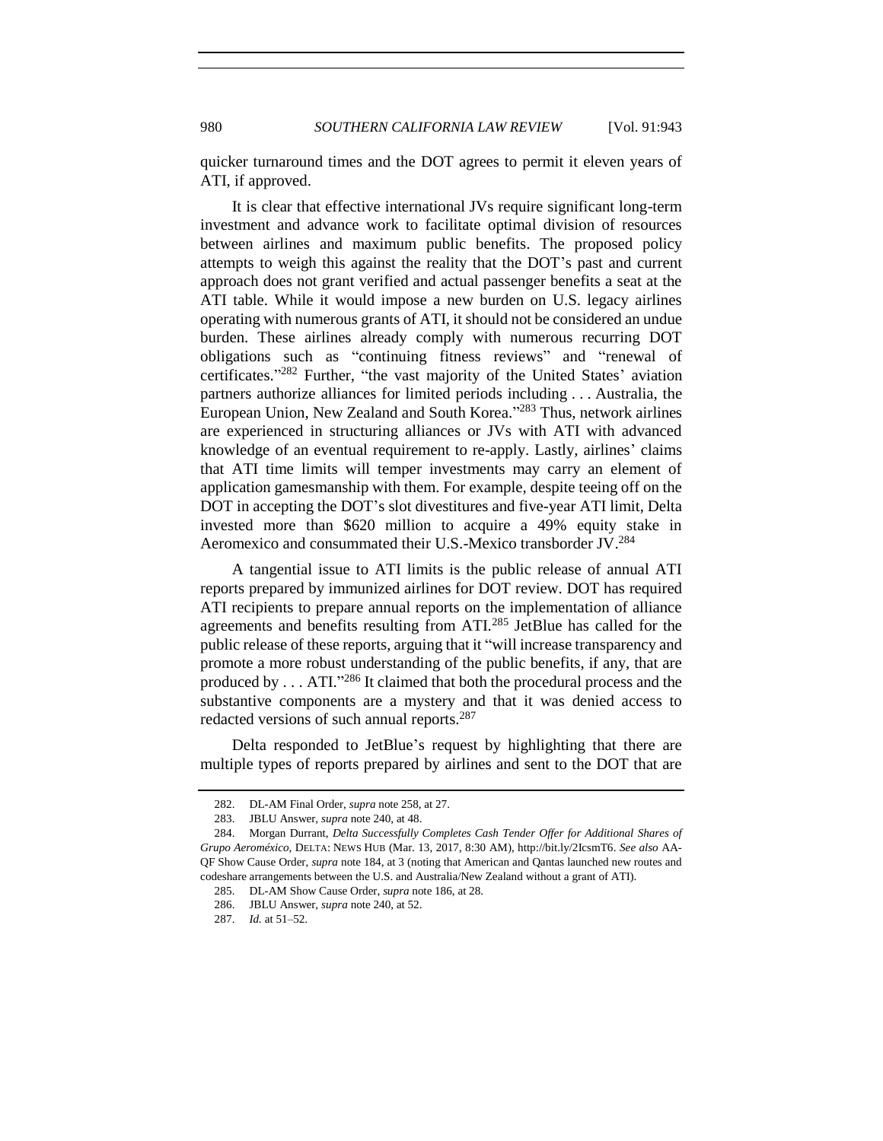980 *SOUTHERN CALIFORNIA LAW REVIEW* [Vol. 91:943

quicker turnaround times and the DOT agrees to permit it eleven years of ATI, if approved.

It is clear that effective international JVs require significant long-term investment and advance work to facilitate optimal division of resources between airlines and maximum public benefits. The proposed policy attempts to weigh this against the reality that the DOT's past and current approach does not grant verified and actual passenger benefits a seat at the ATI table. While it would impose a new burden on U.S. legacy airlines operating with numerous grants of ATI, it should not be considered an undue burden. These airlines already comply with numerous recurring DOT obligations such as "continuing fitness reviews" and "renewal of certificates." <sup>282</sup> Further, "the vast majority of the United States' aviation partners authorize alliances for limited periods including . . . Australia, the European Union, New Zealand and South Korea."<sup>283</sup> Thus, network airlines are experienced in structuring alliances or JVs with ATI with advanced knowledge of an eventual requirement to re-apply. Lastly, airlines' claims that ATI time limits will temper investments may carry an element of application gamesmanship with them. For example, despite teeing off on the DOT in accepting the DOT's slot divestitures and five-year ATI limit, Delta invested more than \$620 million to acquire a 49% equity stake in Aeromexico and consummated their U.S.-Mexico transborder JV.<sup>284</sup>

A tangential issue to ATI limits is the public release of annual ATI reports prepared by immunized airlines for DOT review. DOT has required ATI recipients to prepare annual reports on the implementation of alliance agreements and benefits resulting from ATI.<sup>285</sup> JetBlue has called for the public release of these reports, arguing that it "will increase transparency and promote a more robust understanding of the public benefits, if any, that are produced by . . . ATI."<sup>286</sup> It claimed that both the procedural process and the substantive components are a mystery and that it was denied access to redacted versions of such annual reports.<sup>287</sup>

Delta responded to JetBlue's request by highlighting that there are multiple types of reports prepared by airlines and sent to the DOT that are

<sup>282.</sup> DL-AM Final Order, *supra* not[e 258,](#page-32-0) at 27.

<sup>283.</sup> JBLU Answer, *supra* not[e 240,](#page-29-0) at 48.

<sup>284.</sup> Morgan Durrant, *Delta Successfully Completes Cash Tender Offer for Additional Shares of Grupo Aeroméxico*, DELTA: NEWS HUB (Mar. 13, 2017, 8:30 AM), http://bit.ly/2IcsmT6. *See also* AA-QF Show Cause Order, *supra* not[e 184,](#page-23-2) at 3 (noting that American and Qantas launched new routes and codeshare arrangements between the U.S. and Australia/New Zealand without a grant of ATI).

<sup>285.</sup> DL-AM Show Cause Order, *supra* not[e 186,](#page-24-1) at 28.

<sup>286.</sup> JBLU Answer, *supra* not[e 240,](#page-29-0) at 52.

<sup>287.</sup> *Id.* at 51–52.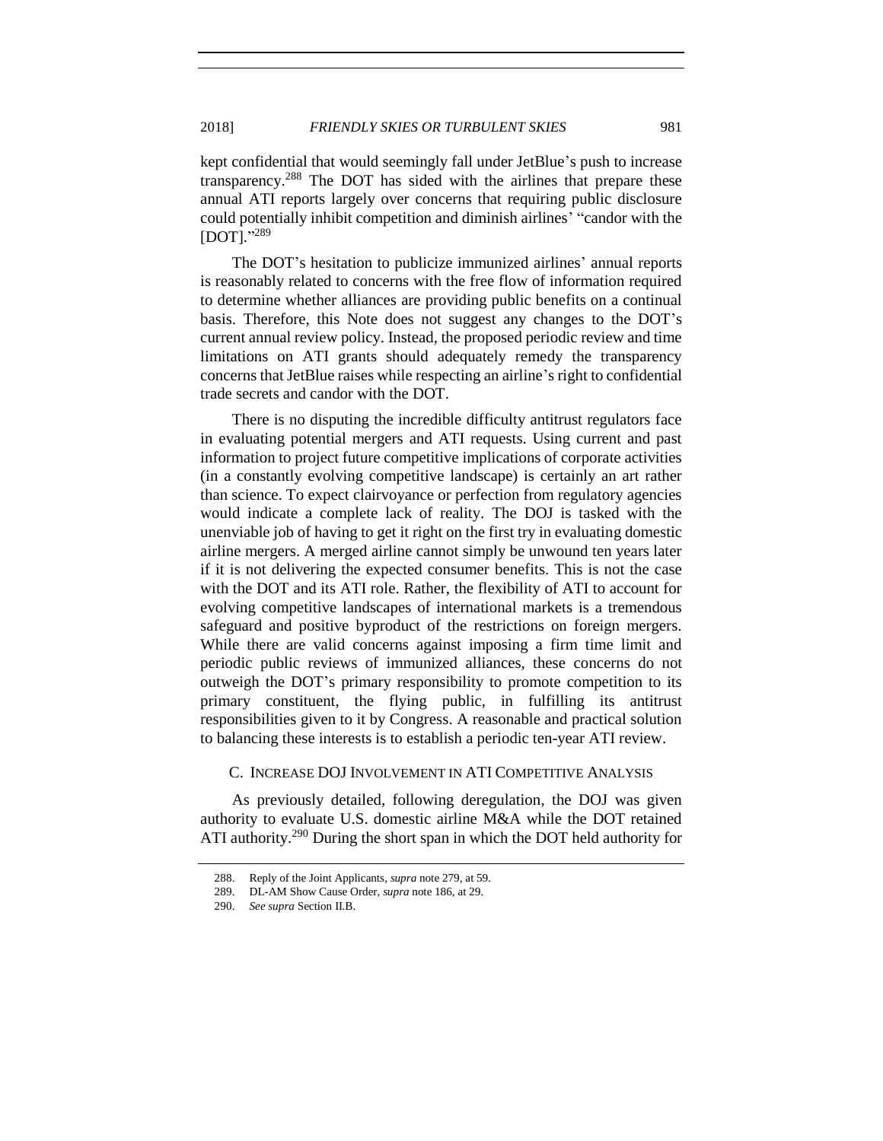kept confidential that would seemingly fall under JetBlue's push to increase transparency.<sup>288</sup> The DOT has sided with the airlines that prepare these annual ATI reports largely over concerns that requiring public disclosure could potentially inhibit competition and diminish airlines' "candor with the [DOT]." 289

The DOT's hesitation to publicize immunized airlines' annual reports is reasonably related to concerns with the free flow of information required to determine whether alliances are providing public benefits on a continual basis. Therefore, this Note does not suggest any changes to the DOT's current annual review policy. Instead, the proposed periodic review and time limitations on ATI grants should adequately remedy the transparency concerns that JetBlue raises while respecting an airline's right to confidential trade secrets and candor with the DOT.

There is no disputing the incredible difficulty antitrust regulators face in evaluating potential mergers and ATI requests. Using current and past information to project future competitive implications of corporate activities (in a constantly evolving competitive landscape) is certainly an art rather than science. To expect clairvoyance or perfection from regulatory agencies would indicate a complete lack of reality. The DOJ is tasked with the unenviable job of having to get it right on the first try in evaluating domestic airline mergers. A merged airline cannot simply be unwound ten years later if it is not delivering the expected consumer benefits. This is not the case with the DOT and its ATI role. Rather, the flexibility of ATI to account for evolving competitive landscapes of international markets is a tremendous safeguard and positive byproduct of the restrictions on foreign mergers. While there are valid concerns against imposing a firm time limit and periodic public reviews of immunized alliances, these concerns do not outweigh the DOT's primary responsibility to promote competition to its primary constituent, the flying public, in fulfilling its antitrust responsibilities given to it by Congress. A reasonable and practical solution to balancing these interests is to establish a periodic ten-year ATI review.

# <span id="page-38-0"></span>C. INCREASE DOJ INVOLVEMENT IN ATI COMPETITIVE ANALYSIS

As previously detailed, following deregulation, the DOJ was given authority to evaluate U.S. domestic airline M&A while the DOT retained ATI authority.<sup>290</sup> During the short span in which the DOT held authority for

<sup>288.</sup> Reply of the Joint Applicants, *supra* not[e 279,](#page-36-1) at 59.

<sup>289.</sup> DL-AM Show Cause Order, *supra* not[e 186,](#page-24-1) at 29.

<sup>290.</sup> *See supra* Section II.B.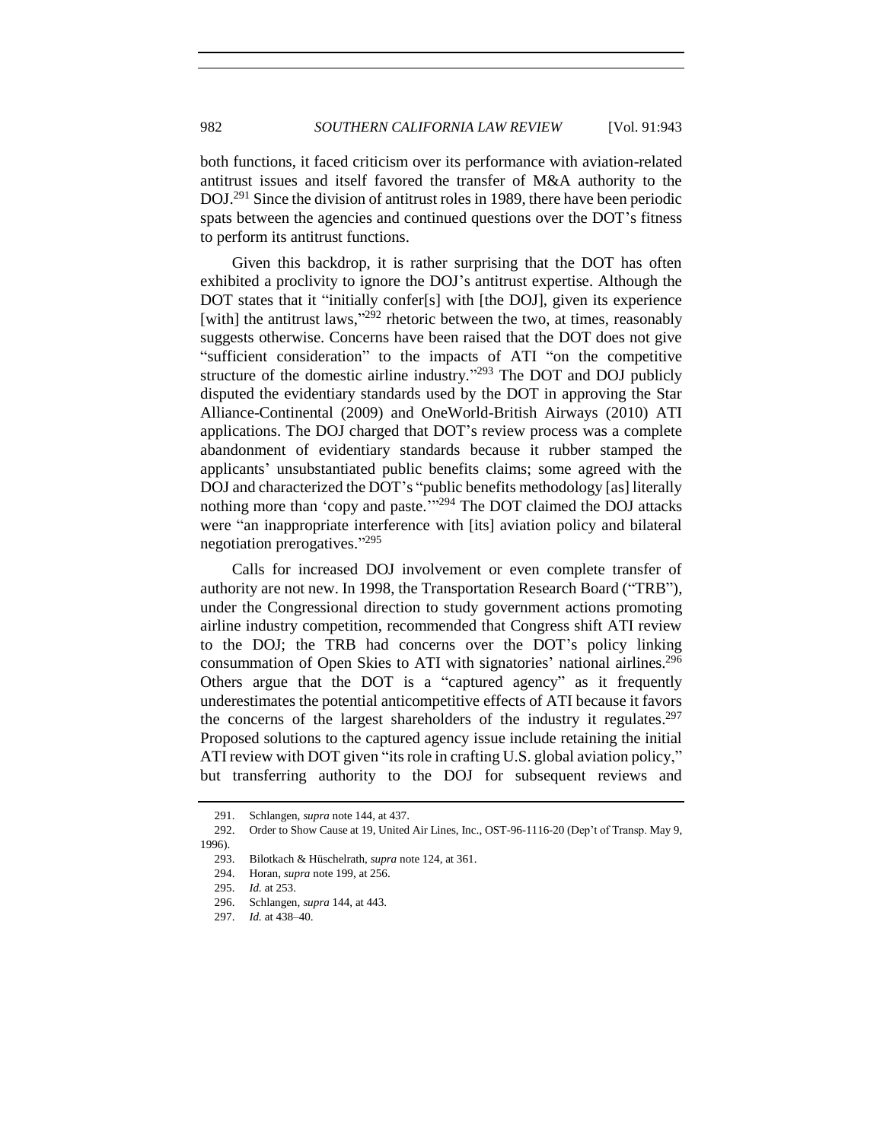both functions, it faced criticism over its performance with aviation-related antitrust issues and itself favored the transfer of M&A authority to the DOJ.<sup>291</sup> Since the division of antitrust roles in 1989, there have been periodic spats between the agencies and continued questions over the DOT's fitness to perform its antitrust functions.

Given this backdrop, it is rather surprising that the DOT has often exhibited a proclivity to ignore the DOJ's antitrust expertise. Although the DOT states that it "initially confer[s] with [the DOJ], given its experience [with] the antitrust laws,"<sup>292</sup> rhetoric between the two, at times, reasonably suggests otherwise. Concerns have been raised that the DOT does not give "sufficient consideration" to the impacts of ATI "on the competitive structure of the domestic airline industry."<sup>293</sup> The DOT and DOJ publicly disputed the evidentiary standards used by the DOT in approving the Star Alliance-Continental (2009) and OneWorld-British Airways (2010) ATI applications. The DOJ charged that DOT's review process was a complete abandonment of evidentiary standards because it rubber stamped the applicants' unsubstantiated public benefits claims; some agreed with the DOJ and characterized the DOT's "public benefits methodology [as] literally nothing more than 'copy and paste."<sup>294</sup> The DOT claimed the DOJ attacks were "an inappropriate interference with [its] aviation policy and bilateral negotiation prerogatives."<sup>295</sup>

Calls for increased DOJ involvement or even complete transfer of authority are not new. In 1998, the Transportation Research Board ("TRB"), under the Congressional direction to study government actions promoting airline industry competition, recommended that Congress shift ATI review to the DOJ; the TRB had concerns over the DOT's policy linking consummation of Open Skies to ATI with signatories' national airlines.<sup>296</sup> Others argue that the DOT is a "captured agency" as it frequently underestimates the potential anticompetitive effects of ATI because it favors the concerns of the largest shareholders of the industry it regulates.<sup>297</sup> Proposed solutions to the captured agency issue include retaining the initial ATI review with DOT given "its role in crafting U.S. global aviation policy," but transferring authority to the DOJ for subsequent reviews and

<sup>291.</sup> Schlangen, *supra* not[e 144,](#page-19-1) at 437.

<sup>292.</sup> Order to Show Cause at 19, United Air Lines, Inc., OST-96-1116-20 (Dep't of Transp. May 9, 1996).

<sup>293.</sup> Bilotkach & Hüschelrath, *supra* not[e 124,](#page-17-0) at 361.

<sup>294.</sup> Horan, *supra* not[e 199,](#page-25-1) at 256.

<sup>295.</sup> *Id.* at 253.

<sup>296.</sup> Schlangen, *supra* [144,](#page-19-1) at 443.

<sup>297.</sup> *Id.* at 438–40.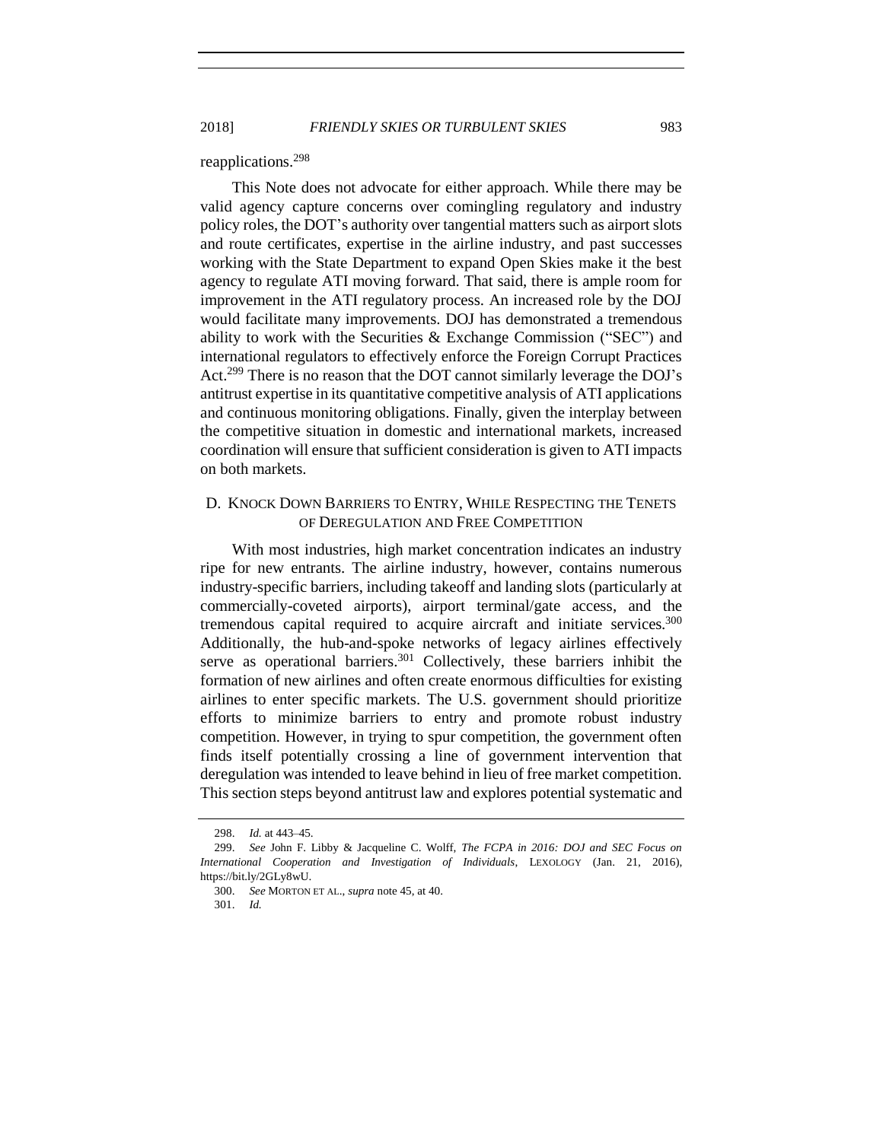2018] *FRIENDLY SKIES OR TURBULENT SKIES* 983

# reapplications.<sup>298</sup>

This Note does not advocate for either approach. While there may be valid agency capture concerns over comingling regulatory and industry policy roles, the DOT's authority over tangential matters such as airport slots and route certificates, expertise in the airline industry, and past successes working with the State Department to expand Open Skies make it the best agency to regulate ATI moving forward. That said, there is ample room for improvement in the ATI regulatory process. An increased role by the DOJ would facilitate many improvements. DOJ has demonstrated a tremendous ability to work with the Securities & Exchange Commission ("SEC") and international regulators to effectively enforce the Foreign Corrupt Practices Act.<sup>299</sup> There is no reason that the DOT cannot similarly leverage the DOJ's antitrust expertise in its quantitative competitive analysis of ATI applications and continuous monitoring obligations. Finally, given the interplay between the competitive situation in domestic and international markets, increased coordination will ensure that sufficient consideration is given to ATI impacts on both markets.

# <span id="page-40-0"></span>D. KNOCK DOWN BARRIERS TO ENTRY, WHILE RESPECTING THE TENETS OF DEREGULATION AND FREE COMPETITION

With most industries, high market concentration indicates an industry ripe for new entrants. The airline industry, however, contains numerous industry-specific barriers, including takeoff and landing slots (particularly at commercially-coveted airports), airport terminal/gate access, and the tremendous capital required to acquire aircraft and initiate services.<sup>300</sup> Additionally, the hub-and-spoke networks of legacy airlines effectively serve as operational barriers.<sup>301</sup> Collectively, these barriers inhibit the formation of new airlines and often create enormous difficulties for existing airlines to enter specific markets. The U.S. government should prioritize efforts to minimize barriers to entry and promote robust industry competition. However, in trying to spur competition, the government often finds itself potentially crossing a line of government intervention that deregulation was intended to leave behind in lieu of free market competition. This section steps beyond antitrust law and explores potential systematic and

<sup>298.</sup> *Id.* at 443–45.

<sup>299.</sup> *See* John F. Libby & Jacqueline C. Wolff, *The FCPA in 2016: DOJ and SEC Focus on International Cooperation and Investigation of Individuals*, LEXOLOGY (Jan. 21, 2016), https://bit.ly/2GLy8wU.

<sup>300.</sup> *See* MORTON ET AL., *supra* not[e 45,](#page-7-1) at 40.

<sup>301.</sup> *Id.*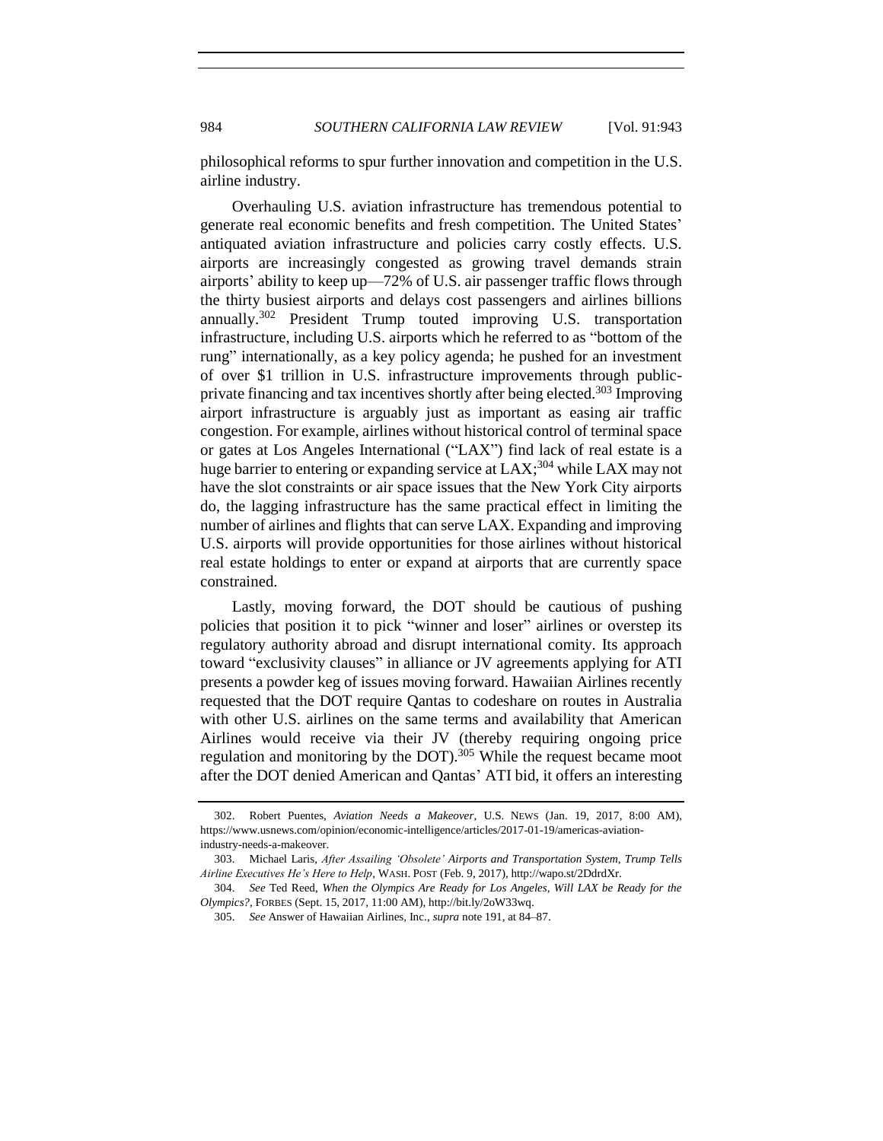984 *SOUTHERN CALIFORNIA LAW REVIEW* [Vol. 91:943

philosophical reforms to spur further innovation and competition in the U.S. airline industry.

Overhauling U.S. aviation infrastructure has tremendous potential to generate real economic benefits and fresh competition. The United States' antiquated aviation infrastructure and policies carry costly effects. U.S. airports are increasingly congested as growing travel demands strain airports' ability to keep up—72% of U.S. air passenger traffic flows through the thirty busiest airports and delays cost passengers and airlines billions annually.<sup>302</sup> President Trump touted improving U.S. transportation infrastructure, including U.S. airports which he referred to as "bottom of the rung" internationally, as a key policy agenda; he pushed for an investment of over \$1 trillion in U.S. infrastructure improvements through publicprivate financing and tax incentives shortly after being elected.<sup>303</sup> Improving airport infrastructure is arguably just as important as easing air traffic congestion. For example, airlines without historical control of terminal space or gates at Los Angeles International ("LAX") find lack of real estate is a huge barrier to entering or expanding service at LAX;<sup>304</sup> while LAX may not have the slot constraints or air space issues that the New York City airports do, the lagging infrastructure has the same practical effect in limiting the number of airlines and flights that can serve LAX. Expanding and improving U.S. airports will provide opportunities for those airlines without historical real estate holdings to enter or expand at airports that are currently space constrained.

Lastly, moving forward, the DOT should be cautious of pushing policies that position it to pick "winner and loser" airlines or overstep its regulatory authority abroad and disrupt international comity. Its approach toward "exclusivity clauses" in alliance or JV agreements applying for ATI presents a powder keg of issues moving forward. Hawaiian Airlines recently requested that the DOT require Qantas to codeshare on routes in Australia with other U.S. airlines on the same terms and availability that American Airlines would receive via their JV (thereby requiring ongoing price regulation and monitoring by the DOT).<sup>305</sup> While the request became moot after the DOT denied American and Qantas' ATI bid, it offers an interesting

<sup>302.</sup> Robert Puentes, *Aviation Needs a Makeover*, U.S. NEWS (Jan. 19, 2017, 8:00 AM), https://www.usnews.com/opinion/economic-intelligence/articles/2017-01-19/americas-aviationindustry-needs-a-makeover.

<sup>303.</sup> Michael Laris, *After Assailing 'Obsolete' Airports and Transportation System, Trump Tells Airline Executives He's Here to Help*, WASH. POST (Feb. 9, 2017), http://wapo.st/2DdrdXr.

<sup>304.</sup> *See* Ted Reed, *When the Olympics Are Ready for Los Angeles, Will LAX be Ready for the Olympics?*, FORBES (Sept. 15, 2017, 11:00 AM), http://bit.ly/2oW33wq.

<sup>305.</sup> *See* Answer of Hawaiian Airlines, Inc., *supra* not[e 191,](#page-24-2) at 84–87.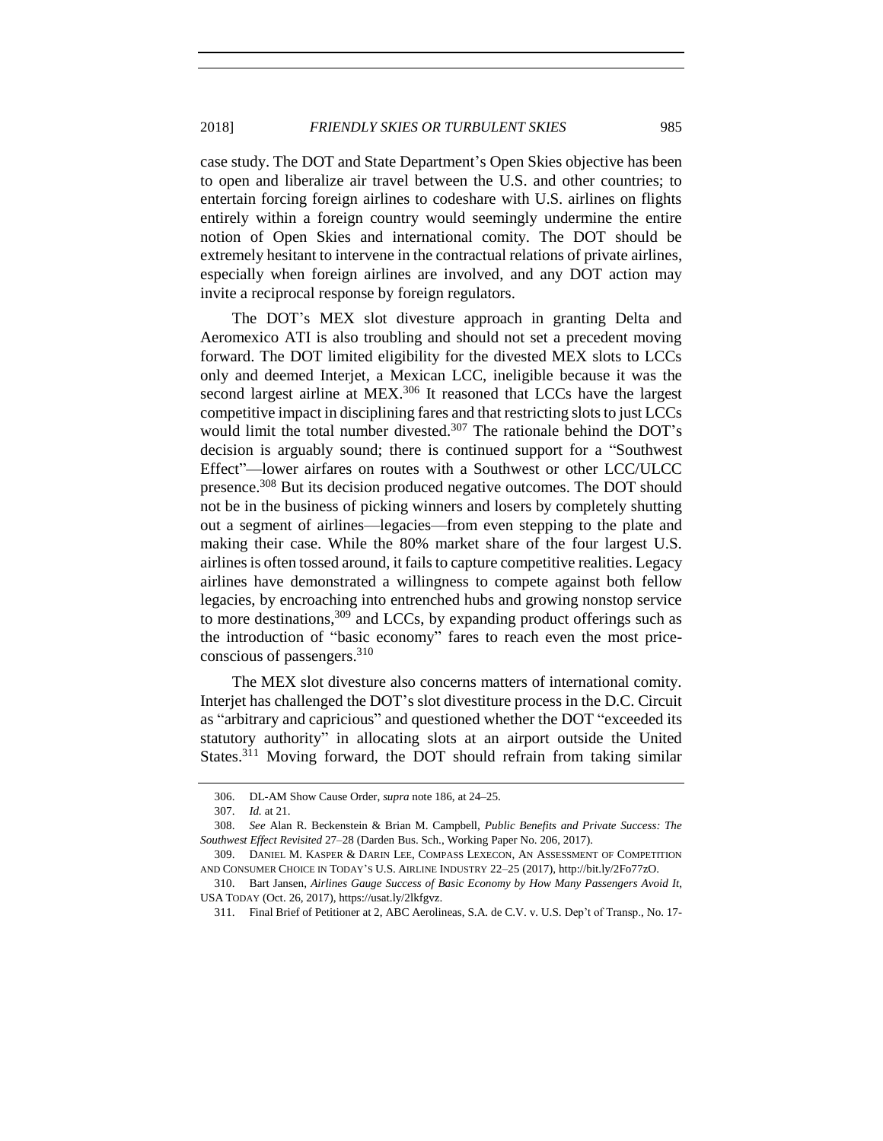case study. The DOT and State Department's Open Skies objective has been to open and liberalize air travel between the U.S. and other countries; to entertain forcing foreign airlines to codeshare with U.S. airlines on flights entirely within a foreign country would seemingly undermine the entire notion of Open Skies and international comity. The DOT should be extremely hesitant to intervene in the contractual relations of private airlines, especially when foreign airlines are involved, and any DOT action may invite a reciprocal response by foreign regulators.

The DOT's MEX slot divesture approach in granting Delta and Aeromexico ATI is also troubling and should not set a precedent moving forward. The DOT limited eligibility for the divested MEX slots to LCCs only and deemed Interjet, a Mexican LCC, ineligible because it was the second largest airline at MEX.<sup>306</sup> It reasoned that LCCs have the largest competitive impact in disciplining fares and that restricting slots to just LCCs would limit the total number divested.<sup>307</sup> The rationale behind the DOT's decision is arguably sound; there is continued support for a "Southwest Effect"—lower airfares on routes with a Southwest or other LCC/ULCC presence.<sup>308</sup> But its decision produced negative outcomes. The DOT should not be in the business of picking winners and losers by completely shutting out a segment of airlines—legacies—from even stepping to the plate and making their case. While the 80% market share of the four largest U.S. airlines is often tossed around, it fails to capture competitive realities. Legacy airlines have demonstrated a willingness to compete against both fellow legacies, by encroaching into entrenched hubs and growing nonstop service to more destinations,  $309$  and LCCs, by expanding product offerings such as the introduction of "basic economy" fares to reach even the most priceconscious of passengers.<sup>310</sup>

The MEX slot divesture also concerns matters of international comity. Interjet has challenged the DOT's slot divestiture process in the D.C. Circuit as "arbitrary and capricious" and questioned whether the DOT "exceeded its statutory authority<sup>"</sup> in allocating slots at an airport outside the United States.<sup>311</sup> Moving forward, the DOT should refrain from taking similar

<sup>306.</sup> DL-AM Show Cause Order, *supra* not[e 186,](#page-24-1) at 24–25.

<sup>307.</sup> *Id.* at 21.

<sup>308.</sup> *See* Alan R. Beckenstein & Brian M. Campbell, *Public Benefits and Private Success: The Southwest Effect Revisited* 27–28 (Darden Bus. Sch., Working Paper No. 206, 2017).

<sup>309.</sup> DANIEL M. KASPER & DARIN LEE, COMPASS LEXECON, AN ASSESSMENT OF COMPETITION AND CONSUMER CHOICE IN TODAY'S U.S. AIRLINE INDUSTRY 22–25 (2017), http://bit.ly/2Fo77zO.

<sup>310.</sup> Bart Jansen, *Airlines Gauge Success of Basic Economy by How Many Passengers Avoid It*, USA TODAY (Oct. 26, 2017), https://usat.ly/2lkfgvz.

<sup>311.</sup> Final Brief of Petitioner at 2, ABC Aerolineas, S.A. de C.V. v. U.S. Dep't of Transp., No. 17-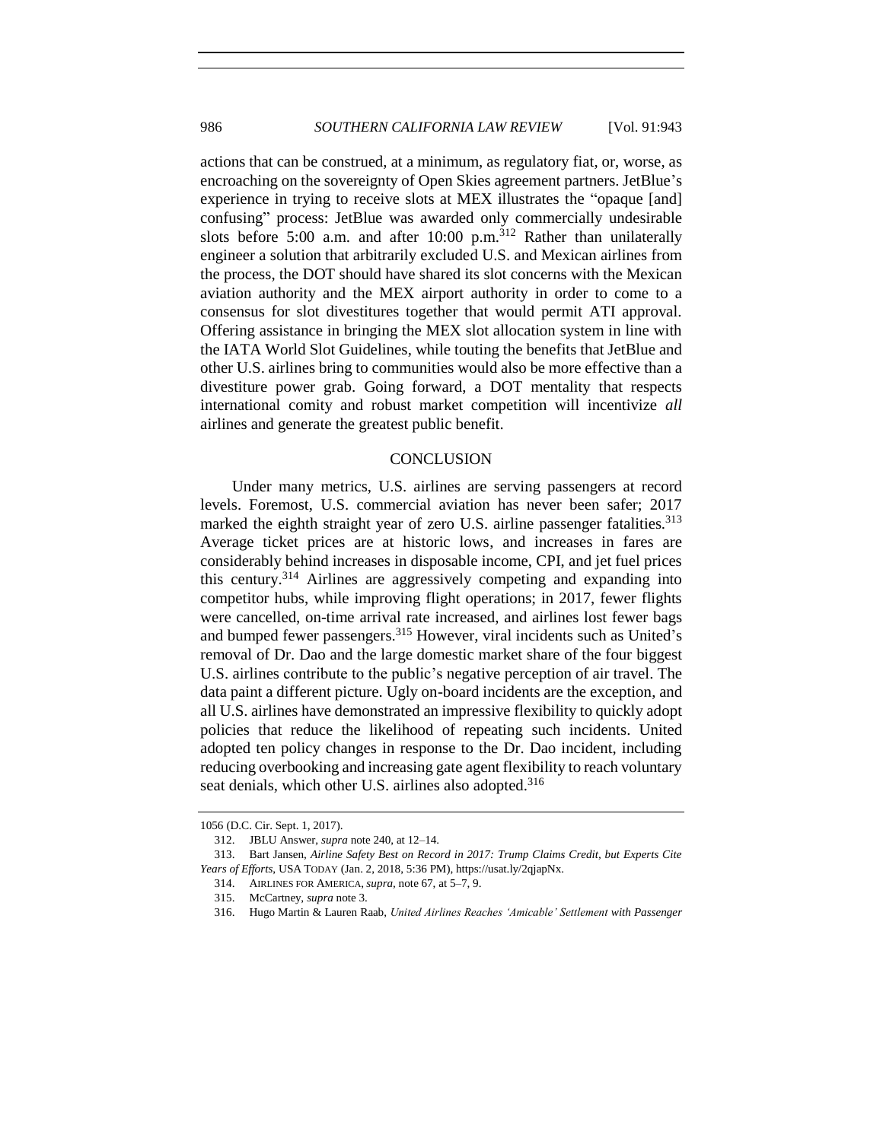actions that can be construed, at a minimum, as regulatory fiat, or, worse, as encroaching on the sovereignty of Open Skies agreement partners. JetBlue's experience in trying to receive slots at MEX illustrates the "opaque [and] confusing" process: JetBlue was awarded only commercially undesirable slots before 5:00 a.m. and after 10:00 p.m.<sup>312</sup> Rather than unilaterally engineer a solution that arbitrarily excluded U.S. and Mexican airlines from the process, the DOT should have shared its slot concerns with the Mexican aviation authority and the MEX airport authority in order to come to a consensus for slot divestitures together that would permit ATI approval. Offering assistance in bringing the MEX slot allocation system in line with the IATA World Slot Guidelines, while touting the benefits that JetBlue and other U.S. airlines bring to communities would also be more effective than a divestiture power grab. Going forward, a DOT mentality that respects international comity and robust market competition will incentivize *all* airlines and generate the greatest public benefit.

#### **CONCLUSION**

<span id="page-43-0"></span>Under many metrics, U.S. airlines are serving passengers at record levels. Foremost, U.S. commercial aviation has never been safer; 2017 marked the eighth straight year of zero U.S. airline passenger fatalities.<sup>313</sup> Average ticket prices are at historic lows, and increases in fares are considerably behind increases in disposable income, CPI, and jet fuel prices this century.<sup>314</sup> Airlines are aggressively competing and expanding into competitor hubs, while improving flight operations; in 2017, fewer flights were cancelled, on-time arrival rate increased, and airlines lost fewer bags and bumped fewer passengers.<sup>315</sup> However, viral incidents such as United's removal of Dr. Dao and the large domestic market share of the four biggest U.S. airlines contribute to the public's negative perception of air travel. The data paint a different picture. Ugly on-board incidents are the exception, and all U.S. airlines have demonstrated an impressive flexibility to quickly adopt policies that reduce the likelihood of repeating such incidents. United adopted ten policy changes in response to the Dr. Dao incident, including reducing overbooking and increasing gate agent flexibility to reach voluntary seat denials, which other U.S. airlines also adopted.<sup>316</sup>

<sup>1056</sup> (D.C. Cir. Sept. 1, 2017).

<sup>312.</sup> JBLU Answer, *supra* not[e 240,](#page-29-0) at 12–14.

<sup>313.</sup> Bart Jansen, *Airline Safety Best on Record in 2017: Trump Claims Credit, but Experts Cite Years of Efforts*, USA TODAY (Jan. 2, 2018, 5:36 PM), https://usat.ly/2qjapNx.

<sup>314.</sup> AIRLINES FOR AMERICA, *supra,* not[e 67,](#page-10-1) at 5–7, 9.

<sup>315.</sup> McCartney, *supra* not[e 3.](#page-1-1)

<sup>316.</sup> Hugo Martin & Lauren Raab, *United Airlines Reaches 'Amicable' Settlement with Passenger*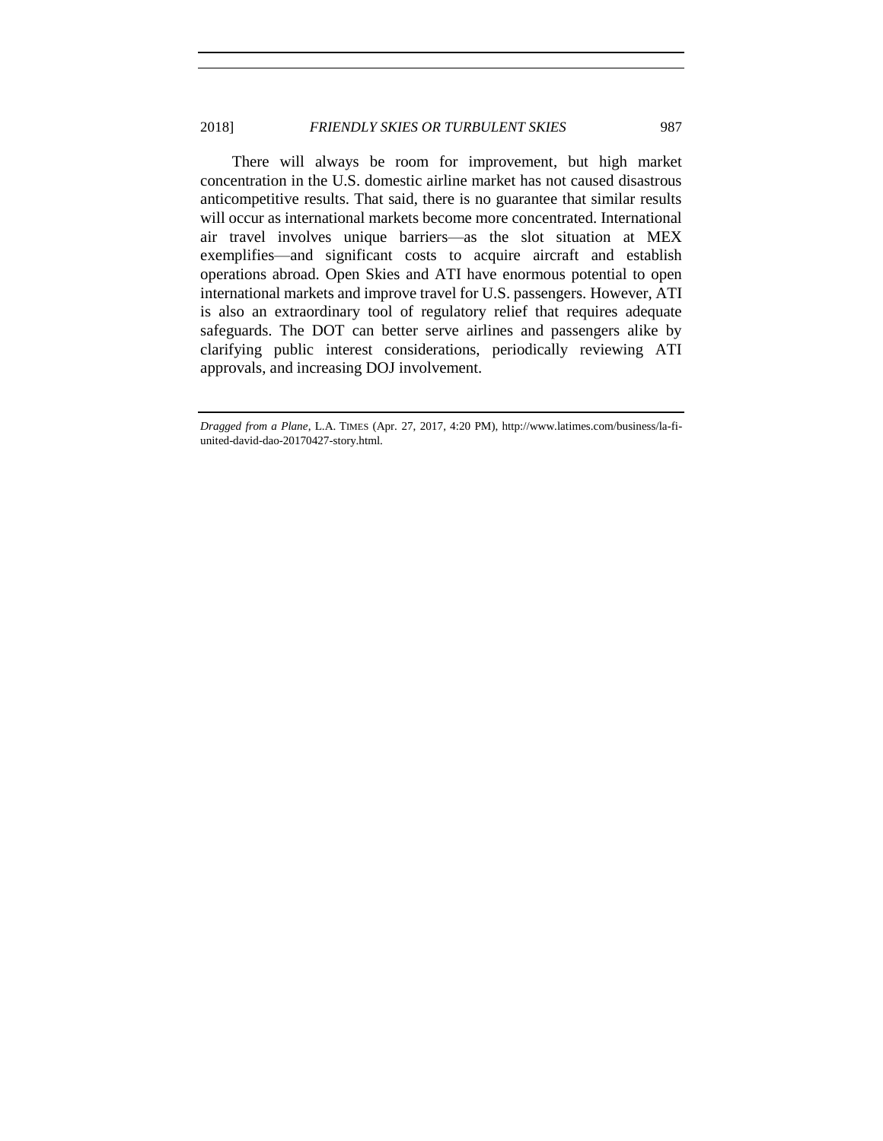There will always be room for improvement, but high market concentration in the U.S. domestic airline market has not caused disastrous anticompetitive results. That said, there is no guarantee that similar results will occur as international markets become more concentrated. International air travel involves unique barriers—as the slot situation at MEX exemplifies—and significant costs to acquire aircraft and establish operations abroad. Open Skies and ATI have enormous potential to open international markets and improve travel for U.S. passengers. However, ATI is also an extraordinary tool of regulatory relief that requires adequate safeguards. The DOT can better serve airlines and passengers alike by clarifying public interest considerations, periodically reviewing ATI approvals, and increasing DOJ involvement.

*Dragged from a Plane*, L.A. TIMES (Apr. 27, 2017, 4:20 PM), http://www.latimes.com/business/la-fiunited-david-dao-20170427-story.html.